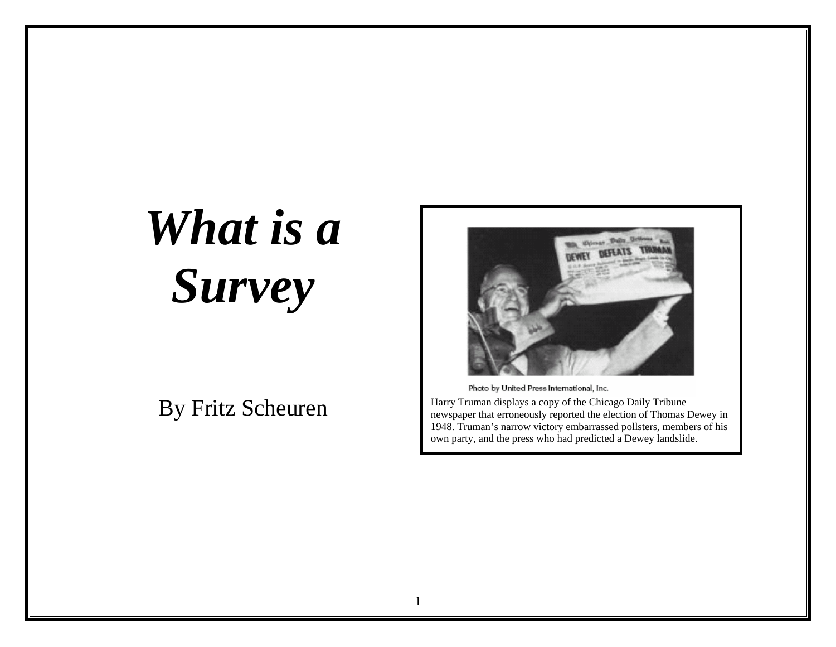# *What is a Survey*

### By Fritz Scheuren



Photo by United Press International, Inc.

Harry Truman displays a copy of the Chicago Daily Tribune newspaper that erroneously reported the election of Thomas Dewey in 1948. Truman's narrow victory embarrassed pollsters, members of his own party, and the press who had predicted a Dewey landslide.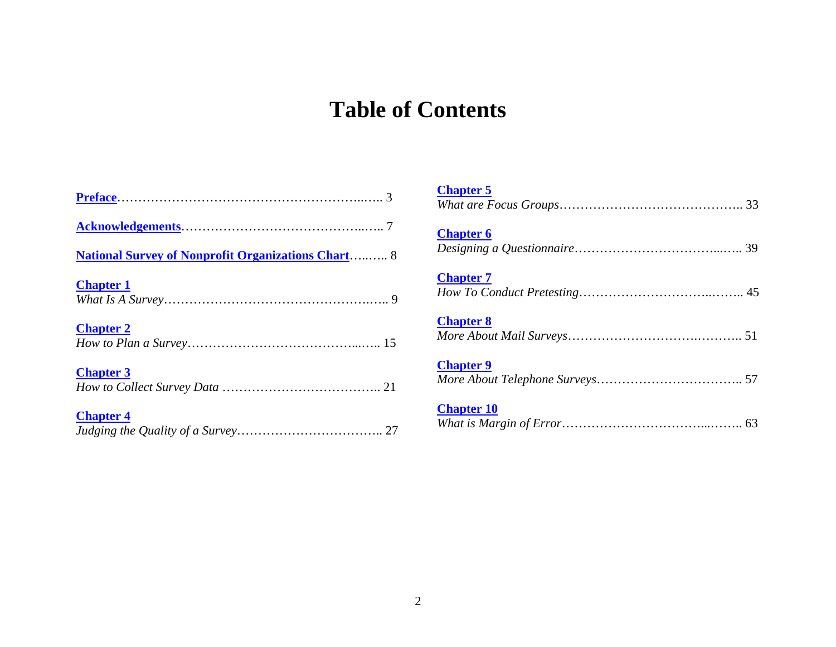### **Table of Contents**

| <b>National Survey of Nonprofit Organizations Chart 8</b> |
|-----------------------------------------------------------|
| <b>Chapter 1</b>                                          |
| <b>Chapter 2</b>                                          |
| <b>Chapter 3</b>                                          |
| <b>Chapter 4</b>                                          |

| <b>Chapter 5</b>  |  |
|-------------------|--|
| <b>Chapter 6</b>  |  |
| <b>Chapter 7</b>  |  |
| <b>Chapter 8</b>  |  |
| <b>Chapter 9</b>  |  |
| <b>Chapter</b> 10 |  |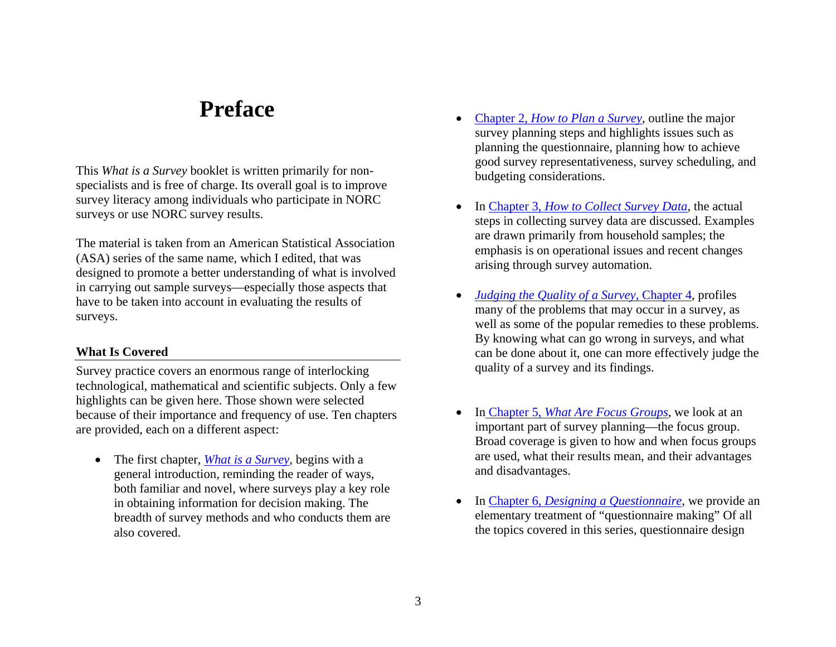### **Preface**

This *What is a Survey* booklet is written primarily for nonspecialists and is free of charge. Its overall goal is to improve survey literacy among individuals who participate in NORC surveys or use NORC survey results.

The material is taken from an American Statistical Association (ASA) series of the same name, which I edited, that was designed to promote a better understanding of what is involved in carrying out sample surveys—especially those aspects that have to be taken into account in evaluating the results of surveys.

#### **What Is Covered**

Survey practice covers an enormous range of interlocking technological, mathematical and scientific subjects. Only a few highlights can be given here. Those shown were selected because of their importance and frequency of use. Ten chapters are provided, each on a different aspect:

• The first chapter, *What is a Survey*, begins with a general introduction, reminding the reader of ways, both familiar and novel, where surveys play a key role in obtaining information for decision making. The breadth of survey methods and who conducts them are also covered.

- • Chapter 2, *How to Plan a Survey*, outline the major survey planning steps and highlights issues such as planning the questionnaire, planning how to achieve good survey representativeness, survey scheduling, and budgeting considerations.
- In *Chapter 3, <i>How to Collect Survey Data*, the actual steps in collecting survey data are discussed. Examples are drawn primarily from household samples; the emphasis is on operational issues and recent changes arising through survey automation.
- • *Judging the Quality of a Survey*, Chapter 4, profiles many of the problems that may occur in a survey, as well as some of the popular remedies to these problems. By knowing what can go wrong in surveys, and what can be done about it, one can more effectively judge the quality of a survey and its findings.
- • In Chapter 5, *What Are Focus Groups*, we look at an important part of survey planning—the focus group. Broad coverage is given to how and when focus groups are used, what their results mean, and their advantages and disadvantages.
- In Chapter 6, *Designing a Questionnaire*, we provide an elementary treatment of "questionnaire making" Of all the topics covered in this series, questionnaire design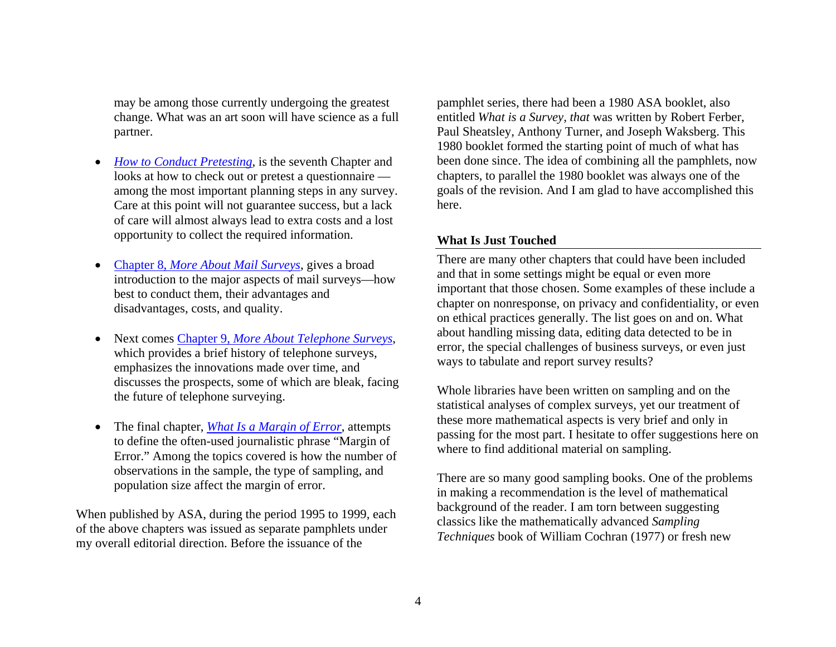m ay be a mong those currently undergoing the greatest change. W hat was an art soon will h ave science as a full partner.

- $\bullet$ *How to Conduct Pretesting*, is the seventh Chapter and looks at how to check out or pretest a questionnaire among the most important planning steps in any survey. Care at this point will not guarantee s uccess, but a lack of care will almost always lead to extra costs and a lost opportunity to collect the required infor mation.
- • Chapter 8, *More About Mail Surveys*, gives a broad introduction to the m ajor aspects of m ail surveys—how best to conduct them, their advantages and disadvantages, costs, and quality.
- $\bullet$ • Next comes Chapter 9, *More About Telephone Surveys*, which provides a brief history of telephone surveys, emphasizes the innovations m ade over time, and discusses the prospects, som e of whi ch are bleak, facing the future of telephone surveying.
- The final chapter, *What Is a Margin of Error*, attem pts to define the often-used journalistic phrase "Margin of Error." Among the topics covered is how the number of observations in the sample, the type of sa mpling, and population size affect the m argin of error.

When published by ASA, during the period 1995 to 1999, each of the above chapters was issued as separate pamphlets under my overall editorial direction. Before the issuance of the

pamphlet series, there had been a 1980 ASA booklet, also entitled *What is a Survey, that* was written by Robert Ferber, Paul Sheatsley, Anthony Turner, and Joseph W aksberg. This 1980 booklet formed the starting point of m uch of what has been done since. The idea of co mbining all the pamphlets, now chapters, to parallel the 1980 booklet was always one of the goals of the revision. And I am glad to have accomplished this here.

#### **What Is Just Touched**

There are many other chapters that could have been included and that in s o me settings might be equal or even more important that those chosen. Som e e xamples of t hese include a chapter on nonresponse, on privacy and confidentiality, or even on ethical practices generally. The list goes on and on. W hat about handling missing d ata, editing data detected to be in error, the special challen ges of business surveys, or even just ways to tabulate and rep ort survey results?

Whole libraries have been written on sampling and on the statistical analyses of complex surveys, yet our treatment of these more mathe matical aspects is very brief and only in passing for the m ost part. I hesitate to offer suggestions here on where to find additional material on sampling.

There are so m any good sam pling books. One of the problems in m aking a recommendation is the level of m athematical background of the reader. I am torn between suggesting classics like the mathematically advanced *Sampling Techniques* book of William Cochran (1977) or fresh new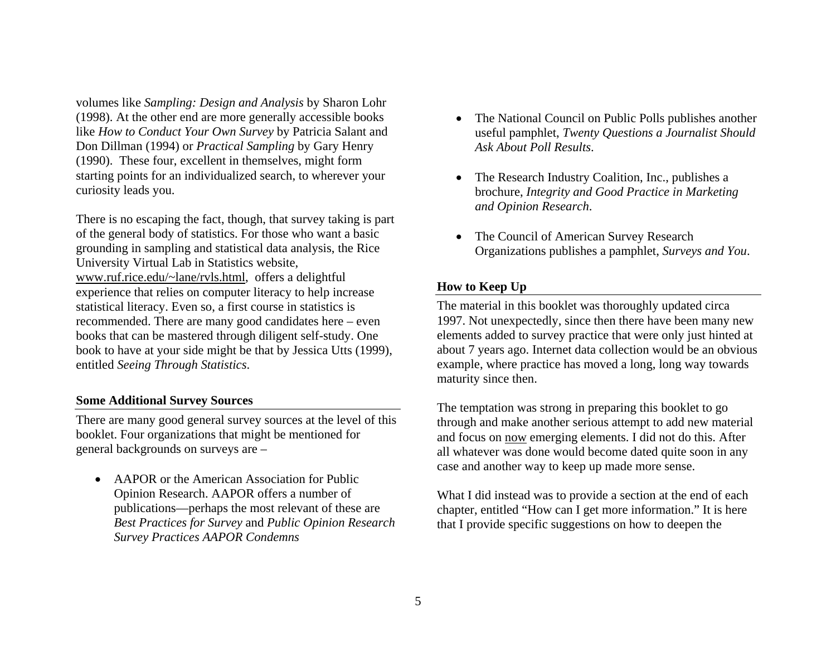volumes like *Sampling: Design and Analysis* by Sharon Lohr (1998). At the other end are more generally accessible books like *How to Conduct Your Own Survey* by Patricia Salant and Don Dillman (1994) or *Practical Sampling* by Gary Henry (1990). These four, excellent in themselves, might form starting points for an individualized search, to wherever your curiosity leads you.

There is no escaping the fact, though, that survey taking is part of the general body of statistics. For those who want a basic grounding in sampling and statistical data analysis, the Rice University Virtual Lab in Statistics website, www.ruf.rice.edu/~lane/rvls.html, offers a delightful experience that relies on computer literacy to help increase statistical literacy. Even so, a first course in statistics is recommended. There are many good candidates here – even books that can be mastered through diligent self-study. One book to have at your side might be that by Jessica Utts (1999), entitled *Seeing Through Statistics*.

#### **Some Additional Survey Sources**

There are many good general survey sources at the level of this booklet. Four organizations that might be mentioned for general backgrounds on surveys are –

• AAPOR or the American Association for Public Opinion Research. AAPOR offers a number of publications—perhaps the most relevant of these are *Best Practices for Survey* and *Public Opinion Research Survey Practices AAPOR Condemns*

- • The National Council on Public Polls publishes another useful pamphlet, *Twenty Questions a Journalist Should Ask About Poll Results*.
- • The Research Industry Coalition, Inc., publishes a brochure, *Integrity and Good Practice in Marketing and Opinion Research*.
- • The Council of American Survey Research Organizations publishes a pamphlet, *Surveys and You*.

#### **How to Keep Up**

The material in this booklet was thoroughly updated circa 1997. Not unexpectedly, since then there have been many new elements added to survey practice that were only just hinted at about 7 years ago. Internet data collection would be an obvious example, where practice has moved a long, long way towards maturity since then.

The temptation was strong in preparing this booklet to go through and make another serious attempt to add new material and focus on now emerging elements. I did not do this. After all whatever was done would become dated quite soon in any case and another way to keep up made more sense.

What I did instead was to provide a section at the end of each chapter, entitled "How can I get more information." It is here that I provide specific suggestions on how to deepen the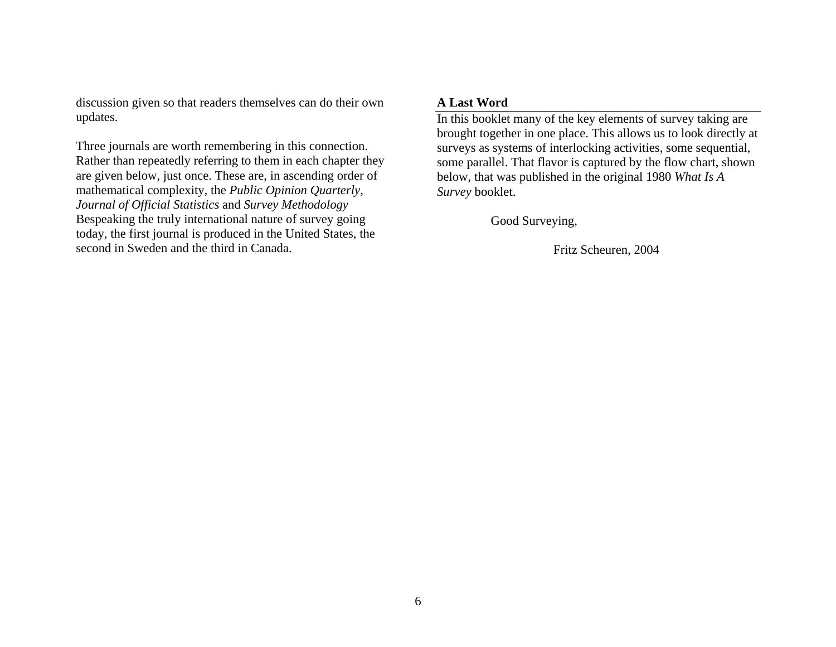discussion given so that readers themselves can do their own updates.

Three journals are worth remembering in this connection. Rather than repeatedly referring to them in each chapter they are given below, just once. These are, in ascending order of mathematical complexity, the *Public Opinion Quarterly*, *Journal of Official Statistics* and *Survey Methodology*  Bespeaking the truly international nature of survey going today, the first journal is produced in the United States, the second in Sweden and the third in Canada.

#### **A Last Word**

In this booklet many of the key elements of survey taking are brought together in one place. This allows us to look directly at surveys as systems of interlocking activities, some sequential, some parallel. That flavor is captured by the flow chart, shown below, that was published in the original 1980 *What Is A Survey* booklet.

Good Surveying,

Fritz Scheuren, 2004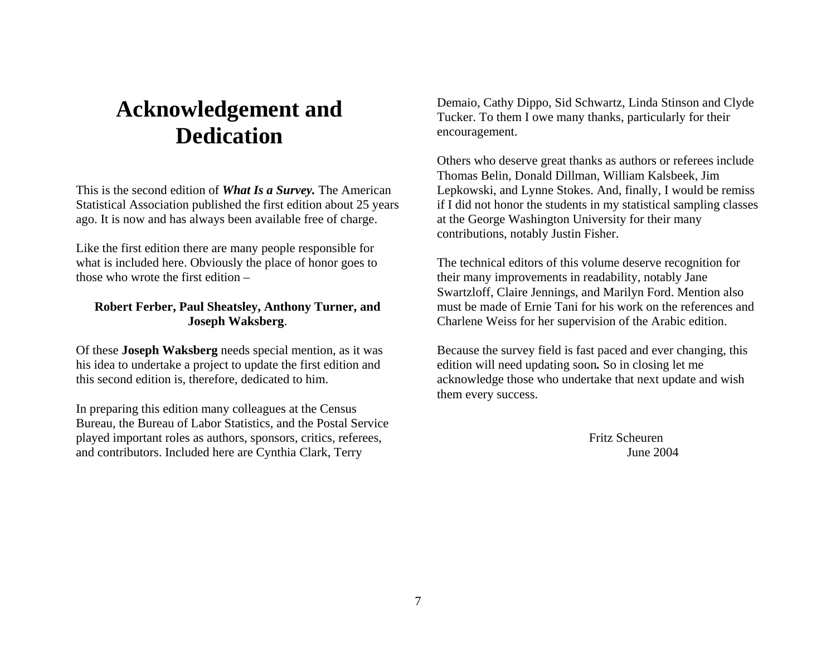### **Acknowledgement and Dedication**

This is the second edition of *What Is a Survey.* The American Statistical Association published the first edition about 25 years ago. It is now and has always been available free of charge.

Like the first edition there are many people responsible for what is included here. Obviously the place of honor goes to those who wrote the first edition –

#### **Robert Ferber, Paul Sheatsley, Anthony Turner, and Joseph Waksberg**.

Of these **Joseph Waksberg** needs special mention, as it was his idea to undertake a project to update the first edition and this second edition is, therefore, dedicated to him.

In preparing this edition many colleagues at the Census Bureau, the Bureau of Labor Statistics, and the Postal Service played important roles as authors, sponsors, critics, referees, and contributors. Included here are Cynthia Clark, Terry

Demaio, Cathy Dippo, Sid Schwartz, Linda Stinson and Clyde Tucker. To them I owe many thanks, particularly for their encouragement.

Others who deserve great thanks as authors or referees include Thomas Belin, Donald Dillman, William Kalsbeek, Jim Lepkowski, and Lynne Stokes. And, finally, I would be remiss if I did not honor the students in my statistical sampling classes at the George Washington University for their many contributions, notably Justin Fisher.

The technical editors of this volume deserve recognition for their many improvements in readability, notably Jane Swartzloff, Claire Jennings, and Marilyn Ford. Mention also must be made of Ernie Tani for his work on the references and Charlene Weiss for her supervision of the Arabic edition.

Because the survey field is fast paced and ever changing, this edition will need updating soon*.* So in closing let me acknowledge those who undertake that next update and wish them every success.

> Fritz Scheuren June 2004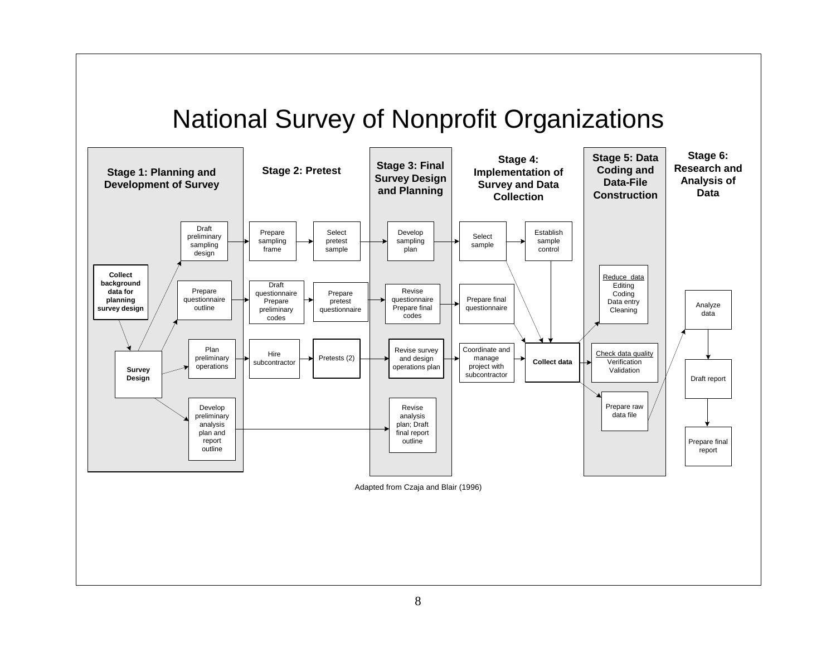## National Survey of Nonprofit Organizations

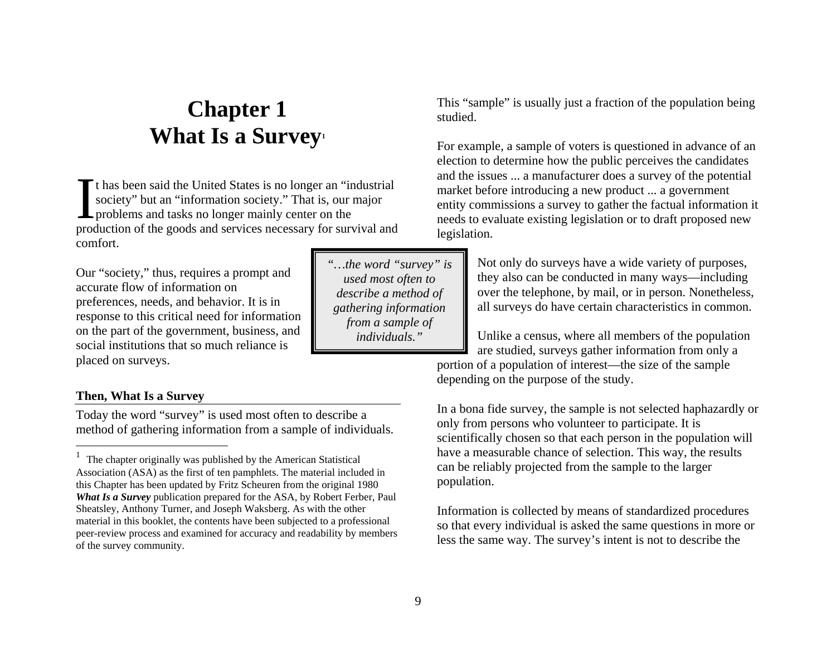### **Chapter 1 What Is a Survey**

If thas been said the United States is no longer an "industrial" society" but an "inform ation society." That is, our m ajor It has been said the United States is no longer an "insociety" but an "information society." That is, our problems and tasks no longer mainly center on the production of the goods and services necessary for survival and comfort.

Our "society," thus, requires a prompt and accurate flow of information on preferences, needs, and behavior. It is in response to this critical need for information on the part of the governm ent, business, and social institutions that so much reliance is placed on surveys.

#### **Then, What Is a Survey**

Today the word "survey" is used m ost often to describe a method of gathering information from a sam ple of individuals.

*"…the word "survey" is used most often to describe a m ethod of gathering information from a sample of individuals."* 

This "sample" is usually just a fraction of the population being studied.

For example, a sam ple of voters is questioned in advance of an election to d etermine how the public perceives the candidates and the issues ... a m anufacturer does a survey of the potential market before introducing a new product ... a governm ent entity commissions a sur vey to gath er the factu al information it needs to evaluate existing legislation or to draft proposed new legislation.

> Not only do surveys have a wide variety of purposes, they also can be conducted in m any ways—including over the telephone, by mail, or in person. Nonetheless, all surveys do have certain characteristics in common.

Unlike a census, where all m e mbers of the population are studied, surveys gather information from only a portion of a population of interest—the size of the sam ple depending on the purpose of the study.

In a bona fide survey, the sam ple is not selected haphazardly or only from persons who volunteer to participate. It is scientifically chosen so that each person in the population will have a measurable chance of selection. This way, the results can be reliably projected from the sample to the larger population.

Information is collected by m eans of standardized procedures so that every individual is asked the sam e questions in m ore or less the sam e way. The survey's intent is not to d escrib e the

<sup>1</sup> The chapter originally was pu blished b y the American Statistical Association (ASA) as the first of ten pamphlets. The material included in this Chapter has been up dated by Fritz Scheuren fro m the original 1980 *What Is a Survey* publication prepared for the ASA, by Robert Ferber, Paul Sheatsley, A nthony Turner, and Joseph Waksberg. As with the other material in this booklet, the contents have been subjected to a professional peer-review process and examined for accuracy and readability b y members of the survey comm u nity.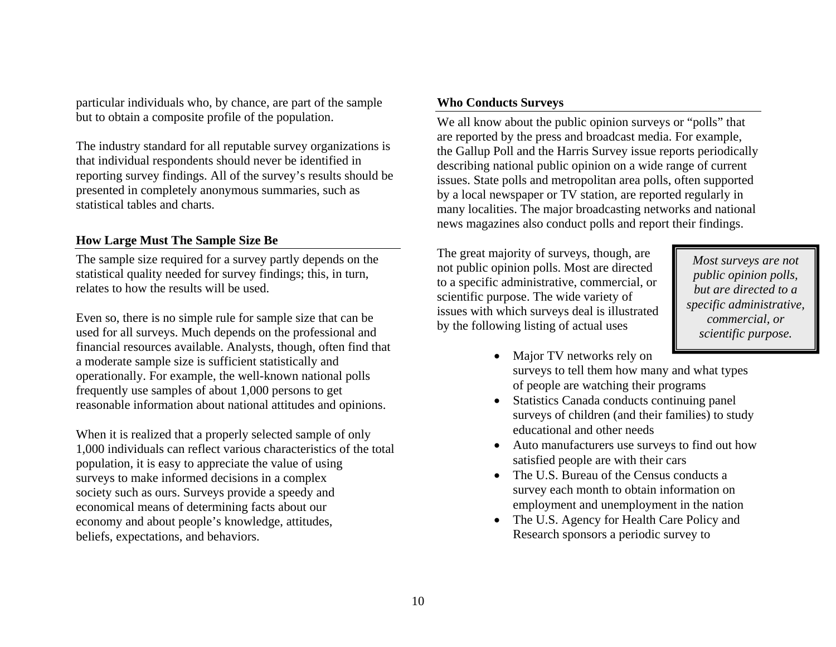particular individuals who, by chance, are part of the sam ple but to obtain a composite profile of the population.

The industry standard for all reputable survey organizations is that individual respondents should never be identified in reporting survey findings. All of the survey's res ults should b e presented in com pletely anonymous summaries, such as statistical tables and charts.

#### **How Large Must The Sample Siz e Be**

The sam ple size required for a survey partly depends on the statistical quality needed for survey findings; this, in turn, relates to how the results will be used.

Even so, there is no simple rule for sam ple size that can be used for all surveys. Much depends on the professional and financial resources available. Analysts, though, often find that a moderate sam ple size is sufficient statistically and operationally. For example, the well-known national polls frequently use sam ples of about 1,000 persons to get reasonable infor mation about national attitudes and opinions.

When it is realized that a properly selected sam ple of only 1,000 individuals can reflect various characteristics of the total population, it is easy to appreciate the value of using surveys to make informed decisions in a complex society such as ours. Surveys provide a speedy and economical means of determining facts about our economy and about peo ple's knowledge, attitud es, beliefs, expectations, and behaviors.

#### **Who Conducts Surveys**

We all know about the public opinion surveys or "polls" that are reported by the press and broadcast m edia. For example, the Gallup P oll and the Harris Survey issue reports periodically describing national public opinion on a wide range of current issues. State polls and m etropolitan area polls, often supported by a local newspaper or TV station, are reported regularly in m any localities. The m ajor broadcasting networks and national news magazines also conduct polls and report their findings.

The great m ajority of surveys, though, are not public opinion polls. Most are directed to a specific administrative, commercial, or scientific purpose. The wide variety of issues with which surveys deal is illustrated by the following listing of actual uses

*Most surveys are not public opinion polls, but are directed to a specific administrative, commercial, or scientific purpose.* 

- Major TV networks rely on surveys to tell them how m any and what types of people are watching their programs
- Statistics Canada conducts continuing panel surveys of children (and their families) to study educational and other needs
- Auto manufacturers use surveys to find out how satisfied peo ple are with their cars
- The U.S. Bureau of the Census conducts a survey each month to obtain information on employm ent and unemployment in the nation
- The U.S. Agency for Health Care Policy and Research sponsors a periodic survey to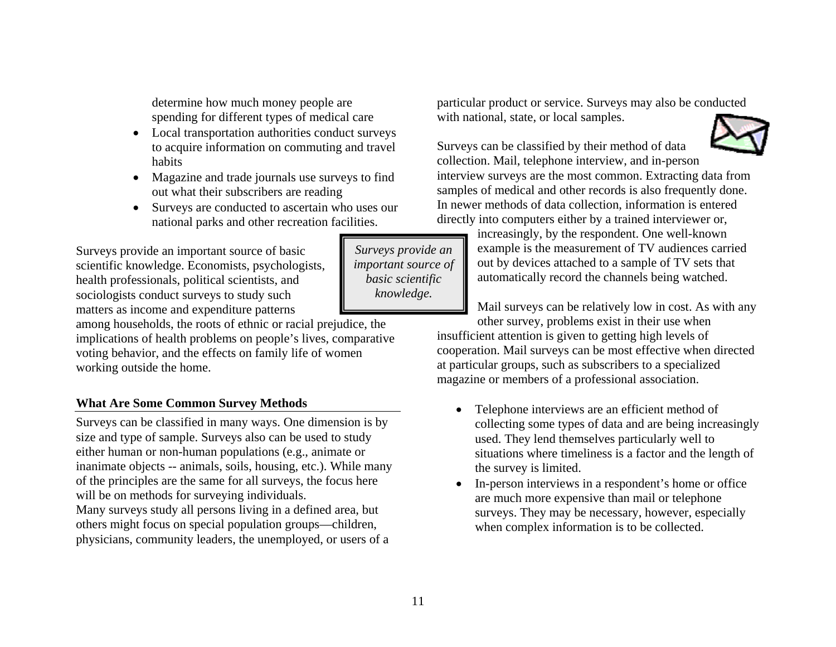determine how much money people are spending for different types of medical care

- Local transportation authorities conduct surveys to acquire information on commuting and travel habits
- • Magazine and trade journals use surveys to find out what their subscribers are reading
- • Surveys are conducted to ascertain who uses our national parks and other recreation facilities.

Surveys provide an important source of basic scientific knowledge. Economists, psychologists, health professionals, political scientists, and sociologists conduct surveys to study such matters as income and expenditure patterns

among households, the roots of ethnic or racial prejudice, the implications of health problems on people's lives, comparative voting behavior, and the effects on family life of women working outside the home.

#### **What Are Some Common Survey Methods**

Surveys can be classified in many ways. One dimension is by size and type of sample. Surveys also can be used to study either human or non-human populations (e.g., animate or inanimate objects -- animals, soils, housing, etc.). While many of the principles are the same for all surveys, the focus here will be on methods for surveying individuals. Many surveys study all persons living in a defined area, but others might focus on special population groups—children,

physicians, community leaders, the unemployed, or users of a

particular product or service. Surveys may also be conducted with national, state, or local samples.

Surveys can be classified by their method of data collection. Mail, telephone interview, and in-person interview surveys are the most common. Extracting data from samples of medical and other records is also frequently done. In newer methods of data collection, information is entered directly into computers either by a trained interviewer or,

> increasingly, by the respondent. One well-known example is the measurement of TV audiences carried out by devices attached to a sample of TV sets that automatically record the channels being watched.

Mail surveys can be relatively low in cost. As with any other survey, problems exist in their use when

insufficient attention is given to getting high levels of cooperation. Mail surveys can be most effective when directed at particular groups, such as subscribers to a specialized magazine or members of a professional association.

- • Telephone interviews are an efficient method of collecting some types of data and are being increasingly used. They lend themselves particularly well to situations where timeliness is a factor and the length of the survey is limited.
- • In-person interviews in a respondent's home or office are much more expensive than mail or telephone surveys. They may be necessary, however, especially when complex information is to be collected.

*Surveys provide an important source of basic scientific knowledge.*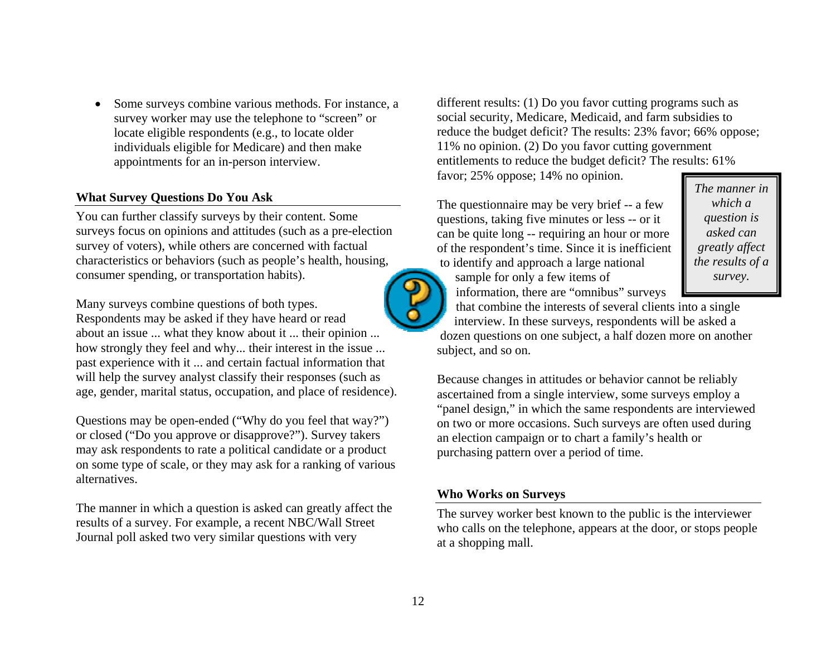$\bullet$ • Some surveys combine various methods. For instance, a survey worker m ay use the telephone to "screen" or locate eligible respondents (e.g., to locate older individuals eligible for Medicare) and then m ake appointm ents for an in-person interview.

#### **What Survey Questions Do You Ask**

You can further classify surveys by their content. Som e surveys focus on opinions and attitud es (such as a pre-election survey of voters), while others are concerned with factual characteristics or behaviors (such as people's health, housing, consumer spending, or transportation habits).

Many surveys combine questions of both types. Respondents m ay be asked if they have heard or read about an issue ... what they know about it ... their opinion ... how strongly they feel and why... their interest in the issue ... past experience with it ... and certain factual information that will help the survey analyst classify their responses (such as age, gender, m arital status, occupation, and place of residence).

Questions may be open-ended ("W hy do you feel that way?") or closed ("Do you approve or disapprove?"). Survey takers may ask respondents to rate a political candidate or a product on some type of scale, or they m ay ask for a ranking of various alternatives.

The m anner in which a question is asked can greatly affect the results of a s urvey. For example, a recent NBC/Wall Street Journal poll asked two very similar questions with very

different res ults: (1) Do you favor cutting programs such as social security, Medicare, Medicaid, and farm subsidies to reduce the budget deficit? The results: 23% favor; 66% oppose; 11% no opinion. (2) Do you favor cutting govern ment entitlem ents to reduce the budget deficit? The results: 61% favor; 25% oppose; 14% no opinion.

The questionnaire m ay be very brief -- a few questions, taking five minutes or less -- or it can be quite long -- requiring an hour or m ore of the respondent's time. Since it is inefficient to identify and approach a large national

*The manner in which a question is asked can greatly affect the results of a survey.* 

sam ple for only a few ite ms of information, there are "omnibus" surveys

that combine the inter ests of several clients into a single interview. In these surveys, respondents will b e asked a dozen questions on one subject, a half dozen m ore on another subject, and so on.

Because changes in attitudes or behavior cannot be reliably ascertained from a single interview, s o m e surveys employ a "panel design," in which the sam e respondents are interviewed on two or more occasions. Such surveys are often used during an election campaign or to chart a family's health or purchasing pattern over a period of tim e.

#### **Who Works on Surveys**

The survey worker best known to the public is the interview er who calls on the telephone, appears at the door, or stops people at a shopping m all.

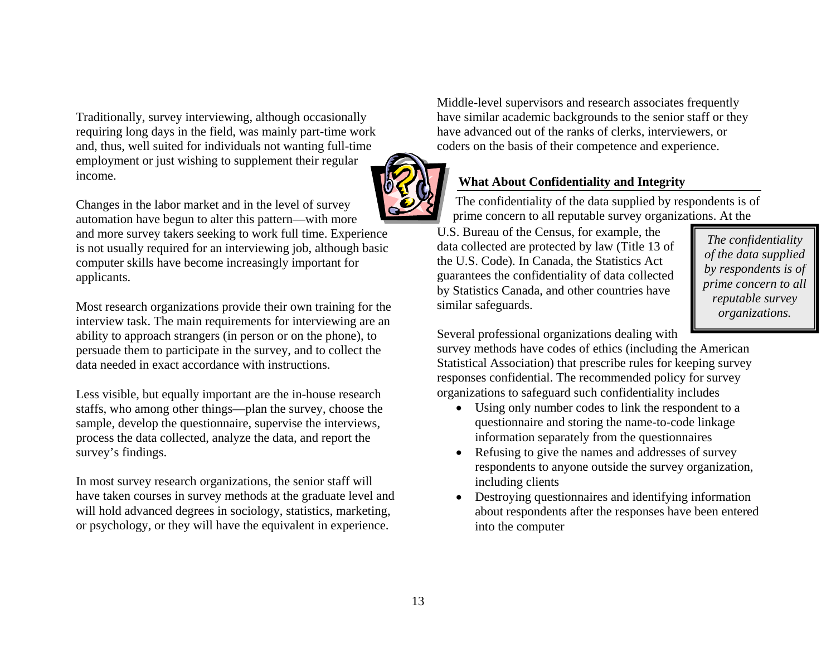Traditionally, survey interviewing, although occasionally requiring long days in the field, was mainly part-time work and, thus, well suited for individuals not wanting full-time employment or just wishing to supplement their regular income.

Changes in the labor market and in the level of survey automation have begun to alter this pattern—with more and more survey takers seeking to work full time. Experience is not usually required for an interviewing job, although basic computer skills have become increasingly important for applicants.

Most research organizations provide their own training for the interview task. The main requirements for interviewing are an ability to approach strangers (in person or on the phone), to persuade them to participate in the survey, and to collect the data needed in exact accordance with instructions.

Less visible, but equally important are the in-house research staffs, who among other things—plan the survey, choose the sample, develop the questionnaire, supervise the interviews, process the data collected, analyze the data, and report the survey's findings.

In most survey research organizations, the senior staff will have taken courses in survey methods at the graduate level and will hold advanced degrees in sociology, statistics, marketing, or psychology, or they will have the equivalent in experience.

Middle-level supervisors and research associates frequently have similar academic backgrounds to the senior staff or they have advanced out of the ranks of clerks, interviewers, or coders on the basis of their competence and experience.



#### **What About Confidentiality and Integrity**

The confidentiality of the data supplied by respondents is of prime concern to all reputable survey organizations. At the

U.S. Bureau of the Census, for example, the data collected are protected by law (Title 13 of the U.S. Code). In Canada, the Statistics Act guarantees the confidentiality of data collected by Statistics Canada, and other countries have similar safeguards.

*The confidentiality of the data supplied by respondents is of prime concern to all reputable survey organizations.* 

Several professional organizations dealing with

survey methods have codes of ethics (including the American Statistical Association) that prescribe rules for keeping survey responses confidential. The recommended policy for survey organizations to safeguard such confidentiality includes

- Using only number codes to link the respondent to a questionnaire and storing the name-to-code linkage information separately from the questionnaires
- Refusing to give the names and addresses of survey respondents to anyone outside the survey organization, including clients
- • Destroying questionnaires and identifying information about respondents after the responses have been entered into the computer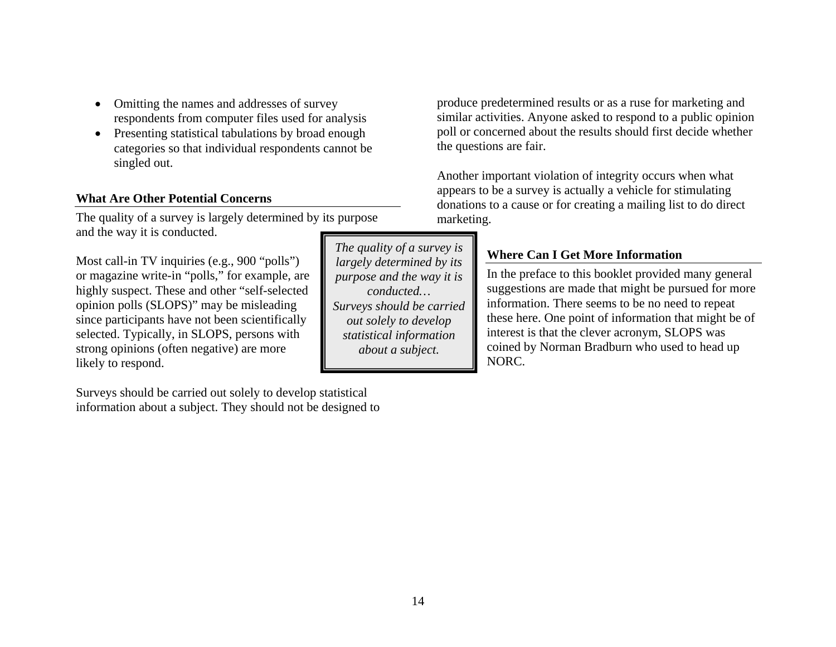- Omitting the names and addresses of survey respondents from computer files used for analysis
- Presenting statistical tabulations by broad enough categories so that individual respondents cannot be singled out.

#### **What Are Other Potential Concerns**

The quality of a survey is largely determined by its purpose and the way it is conducted.

Most call-in TV inquiries (e.g., 900 "polls") or magazine write-in "polls," for example, are highly suspect. These and other "self-selected opinion polls (SLOPS)" may be misleading since participants have not been scientifically selected. Typically, in SLOPS, persons with strong opinions (often negative) are more likely to respond.

Surveys should be carried out solely to develop statistical information about a subject. They should not be designed to produce predetermined results or as a ruse for marketing and similar activities. Anyone asked to respond to a public opinion poll or concerned about the results should first decide whether the questions are fair.

Another important violation of integrity occurs when what appears to be a survey is actually a vehicle for stimulating donations to a cause or for creating a mailing list to do direct marketing.

#### **Where Can I Get More Information**

In the preface to this booklet provided many general suggestions are made that might be pursued for more information. There seems to be no need to repeat these here. One point of information that might be of interest is that the clever acronym, SLOPS was coined by Norman Bradburn who used to head up NORC.

14

*The quality of a survey is largely determined by its purpose and the way it is conducted… Surveys should be carried out solely to develop statistical information about a subject.*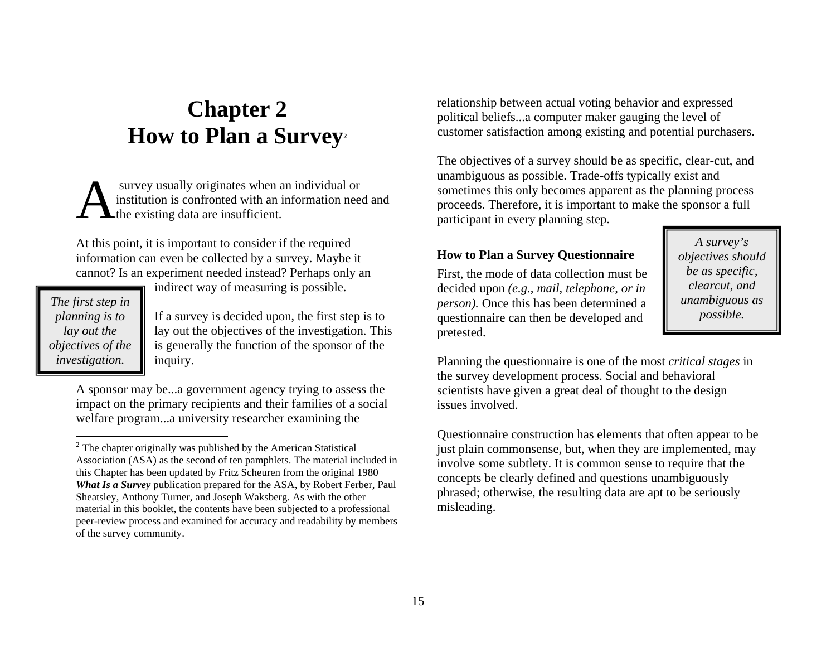### **Chapter 2**  How to Plan a Survey<sup>2</sup>

 survey usually originates when an individual or institution is confronted with an information need and the existing data are insufficient.  $A_{\text{ins}}^{\text{su}}$ 

At this point, it is important to consider if the required information can even be collected by a survey. Maybe it cannot? Is an experiment needed instead? Perhaps only an

*The first step in planning is to lay out the objectives of the investigation.*

indirect way of measuring is possible.

If a survey is decided upon, the first step is to lay out the objectives of the investigation. This is generally the function of the sponsor of the inquiry.

A sponsor may be...a government agency trying to assess the impact on the primary recipients and their families of a social welfare program...a university researcher examining the

relationship between actual voting behavior and expressed political beliefs...a computer maker gauging the level of customer satisfaction among existing and potential purchasers.

The objectives of a survey should be as specific, clear-cut, and unambiguous as possible. Trade-offs typically exist and sometimes this only becomes apparent as the planning process proceeds. Therefore, it is important to make the sponsor a full participant in every planning step.

#### **How to Plan a Survey Questionnaire**

First, the mode of data collection must be decided upon *(e.g., mail, telephone, or in person).* Once this has been determined a questionnaire can then be developed and pretested.

*A survey's objectives should be as specific, clearcut, and unambiguous as possible.*

Planning the questionnaire is one of the most *critical stages* in the survey development process. Social and behavioral scientists have given a great deal of thought to the design issues involved.

Questionnaire construction has elements that often appear to be just plain commonsense, but, when they are implemented, may involve some subtlety. It is common sense to require that the concepts be clearly defined and questions unambiguously phrased; otherwise, the resulting data are apt to be seriously misleading.

 $2^2$  The chapter originally was published by the American Statistical Association (ASA) as the second of ten pamphlets. The material included in this Chapter has been updated by Fritz Scheuren from the original 1980 *What Is a Survey* publication prepared for the ASA, by Robert Ferber, Paul Sheatsley, Anthony Turner, and Joseph Waksberg. As with the other material in this booklet, the contents have been subjected to a professional peer-review process and examined for accuracy and readability by members of the survey community.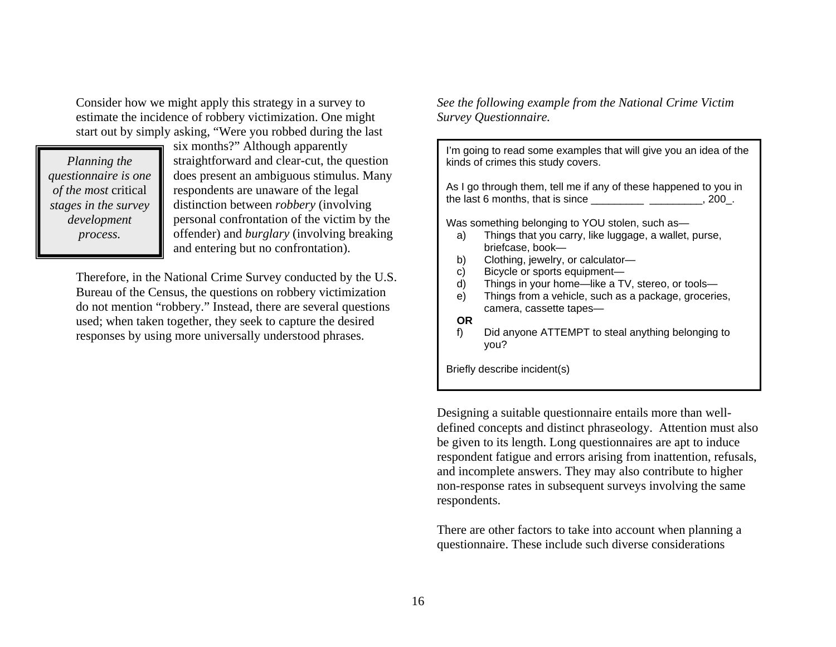Consider how we might apply this strategy in a survey to estimate the incidence of robbery victimization. One might start out by simply asking, "Were you robbed during the last

*Planning the questionnaire is one of the most* critical *stages in the survey development process.* 

six months?" Although apparently straightforward and clear-cut, the question does present an ambiguous stimulus. Many respondents are unaware of the legal distinction between *robbery* (involving personal confrontation of the victim by the offender) and *burglary* (involving breaking and entering but no confrontation).

Therefore, in the National Crime Survey conducted by the U.S. Bureau of the Census, the questions on robbery victimization do not mention "robbery." Instead, there are several questions used; when taken together, they seek to capture the desired responses by using more universally understood phrases.

*See the following example from the National Crime Victim Survey Questionnaire.*

I'm going to read some examples that will give you an idea of the kinds of crimes this study covers.

As I go through them, tell me if any of these happened to you in the last 6 months, that is since  $\frac{1}{2}$   $\frac{1}{2}$   $\frac{1}{2}$   $\frac{1}{2}$   $\frac{1}{2}$   $\frac{1}{2}$   $\frac{1}{2}$   $\frac{1}{2}$   $\frac{1}{2}$   $\frac{1}{2}$   $\frac{1}{2}$   $\frac{1}{2}$   $\frac{1}{2}$   $\frac{1}{2}$   $\frac{1}{2}$   $\frac{1}{2}$   $\frac{1}{2}$   $\frac{1}{2}$   $\frac{1}{2}$ 

Was something belonging to YOU stolen, such as—

- a) Things that you carry, like luggage, a wallet, purse, briefcase, book—
- b) Clothing, jewelry, or calculator—
- c) Bicycle or sports equipment—
- d) Things in your home—like a TV, stereo, or tools—
- e) Things from a vehicle, such as a package, groceries, camera, cassette tapes—

#### **OR**

f) Did anyone ATTEMPT to steal anything belonging to you?

Briefly describe incident(s)

Designing a suitable questionnaire entails more than welldefined concepts and distinct phraseology. Attention must also be given to its length. Long questionnaires are apt to induce respondent fatigue and errors arising from inattention, refusals, and incomplete answers. They may also contribute to higher non-response rates in subsequent surveys involving the same respondents.

There are other factors to take into account when planning a questionnaire. These include such diverse considerations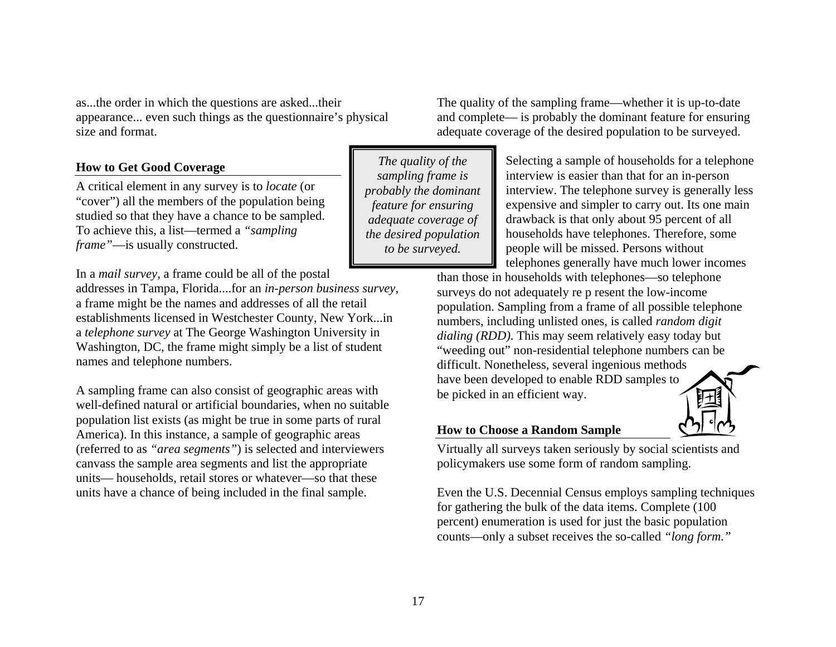as...the order in which the questions are asked...their appearance... even such things as the questionnaire's physical size and format.

#### **How to Get Good Coverage**

A critical element in any survey is to *locate* (or "cover") all the members of the population being studied so that they have a chance to be sampled. To achieve this, a list—termed a *"sampling frame"*—is usually constructed.

In a *mail survey,* a frame could be all of the postal

addresses in Tampa, Florida....for an *in-person business survey,*  a frame might be the names and addresses of all the retail establishments licensed in Westchester County, New York...in <sup>a</sup>*telephone survey* at The George Washington University in Washington, DC, the frame might simply be a list of student names and telephone numbers.

A sampling frame can also consist of geographic areas with well-defined natural or artificial boundaries, when no suitable population list exists (as might be true in some parts of rural America). In this instance, a sample of geographic areas (referred to as *"area segments"*) is selected and interviewers canvass the sample area segments and list the appropriate units— households, retail stores or whatever—so that these units have a chance of being included in the final sample.

The quality of the sampling frame—whether it is up-to-date and complete— is probably the dominant feature for ensuring adequate coverage of the desired population to be surveyed.

*The quality of the sampling frame is probably the dominant feature for ensuring adequate coverage of the desired population to be surveyed.* 

Selecting a sample of households for a telephone interview is easier than that for an in-person interview. The telephone survey is generally less expensive and simpler to carry out. Its one main drawback is that only about 95 percent of all households have telephones. Therefore, some people will be missed. Persons without telephones generally have much lower incomes

than those in households with telephones—so telephone surveys do not adequately re p resent the low-income population. Sampling from a frame of all possible telephone numbers, including unlisted ones, is called *random digit dialing (RDD)*. This may seem relatively easy today but "weeding out" non-residential telephone numbers can be difficult. Nonetheless, several ingenious methods have been developed to enable RDD samples to be picked in an efficient way.

#### **How to Choose a Random Sample**

Virtually all surveys taken seriously by social scientists and policymakers use some form of random sampling.

Even the U.S. Decennial Census employs sampling techniques for gathering the bulk of the data items. Complete (100 percent) enumeration is used for just the basic population counts—only a subset receives the so-called *"long form."*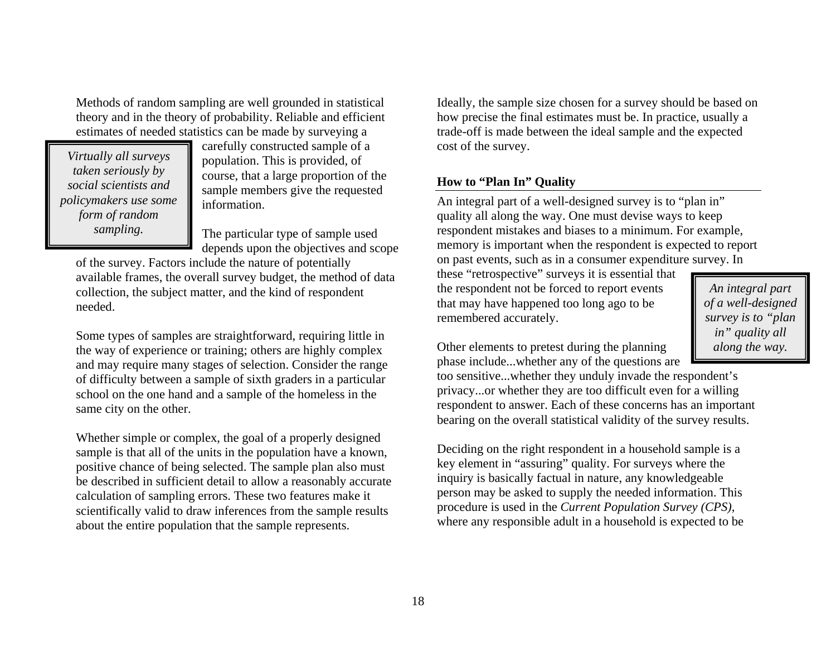Methods of random sampling are well grounded in statistical theory and in the theory of probability. Reliable and efficient estimates of needed statistics can be made by sur veying a

*taken seriously by social scientists and policymakers use some form of random sampling.*

Virtually all surveys carefully constructed sample of a cost of the survey.<br>Virtually all surveys population This is provided of population. This is provided, of course, that a large proportion of the sample m embers give the requested information.

> The particular type of sample used depends upon the objectives and scope

of the survey. Factors include the nature of potentially available frames, the overall survey budget, the m ethod of data collection, the subject matter, and the kind of respondent needed.

Som e types of sa m ples are straightforward, requiring little in the way of experience or training; others are highly com plex and may require m any stages of selection. Consider the range of difficulty between a sample of sixth graders in a particular school on the one hand and a sam ple of the homeless in the same city on the other.

Whether simple or complex, the goal of a properly designed sam ple is that all of the units in the population have a known, positive cha nce of being selected. The sam ple plan also m ust be described in sufficient detail to allow a reasonably accurate calculation of sa m pling errors. These two features m ake it scientifically valid to draw inferences from the sam ple results about the entire population that the sam ple represents.

Ideally, the sam ple size chosen for a survey should be based on how precise the final estim ates must be. In practice, usually a trade-off is m ade betwe en the ideal sam ple and the expected

#### **How to "Plan In" Quality**

An integral part of a well-designed survey is to "plan in" quality all along the way. One m ust devise ways to keep respondent mistakes and biases to a minim um. For example, m emory is important when the respondent is expected to report on past events, such as in a consumer expenditure survey. In

these "retros pective" sur veys it is ess ential that the respondent not be forced to report events that may have happened too long ago to be remembered accurately.

*An integral part of a well-designed survey is to "plan in" quality all along the way.* 

Other eleme nts to pretest during the planning phase include...whether any of the questions are

too sensitive...whether they unduly invade the respondent's privacy...or whether they are too difficult even for a willing respondent to answer. Each of these concerns has an important bearing on the overall statistical validity of the s urvey results.

Deciding on the right respondent in a household sam ple is a key element in "assuring" quality. For surveys where the inquiry is basically factual in nature, any knowledgeable person m ay be asked to supply the needed information. This procedure is used in the *Current Population Survey (CPS),* where any responsible adult in a household is expected to be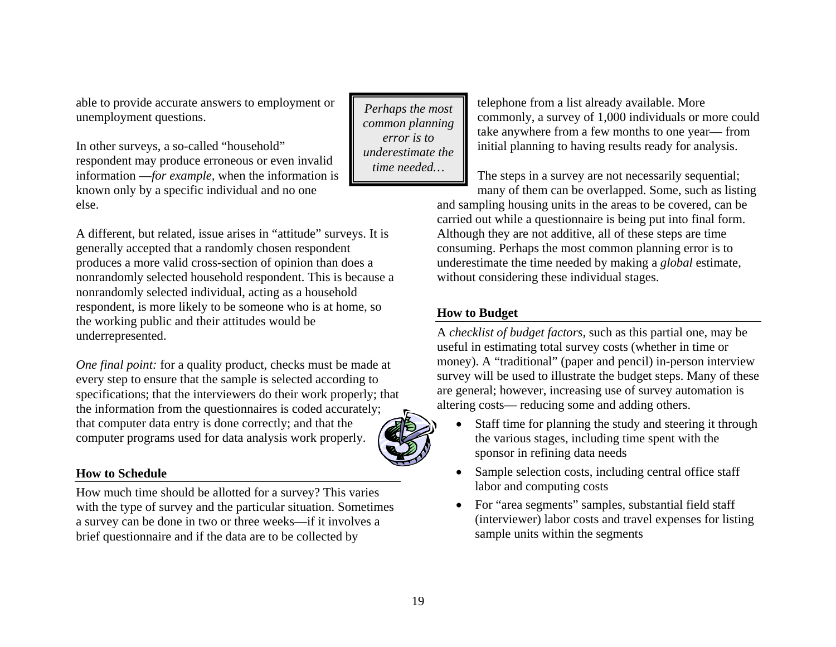able to provide accurate answers to employment or unemployment questions.

In other surveys, a so-called "household" respondent may produce erroneous or even invalid information —*for example,* when the information is known only by a specific individual and no one else.

A different, but related, issue arises in "attitude" surveys. It is generally accepted that a randomly chosen respondent produces a more valid cross-section of opinion than does a nonrandomly selected household respondent. This is because a nonrandomly selected individual, acting as a household respondent, is more likely to be someone who is at home, so the working public and their attitudes would be underrepresented.

*One final point:* for a quality product, checks must be made at every step to ensure that the sample is selected according to specifications; that the interviewers do their work properly; that the information from the questionnaires is coded accurately; that computer data entry is done correctly; and that the computer programs used for data analysis work properly.

#### **How to Schedule**

How much time should be allotted for a survey? This varies with the type of survey and the particular situation. Sometimes a survey can be done in two or three weeks—if it involves a brief questionnaire and if the data are to be collected by

telephone from a list already available. More commonly, a survey of 1,000 individuals or more could take anywhere from a few months to one year— from initial planning to having results ready for analysis.

The steps in a survey are not necessarily sequential; many of them can be overlapped. Some, such as listing and sampling housing units in the areas to be covered, can be carried out while a questionnaire is being put into final form. Although they are not additive, all of these steps are time consuming. Perhaps the most common planning error is to underestimate the time needed by making a *global* estimate, without considering these individual stages.

#### **How to Budget**

A *checklist of budget factors,* such as this partial one, may be useful in estimating total survey costs (whether in time or money). A "traditional" (paper and pencil) in-person interview survey will be used to illustrate the budget steps. Many of these are general; however, increasing use of survey automation is altering costs— reducing some and adding others.

- $\bullet$  Staff time for planning the study and steering it through the various stages, including time spent with the sponsor in refining data needs
- $\bullet$  Sample selection costs, including central office staff labor and computing costs
- For "area segments" samples, substantial field staff (interviewer) labor costs and travel expenses for listing sample units within the segments

*Perhaps the most common planning error is to underestimate the time needed…*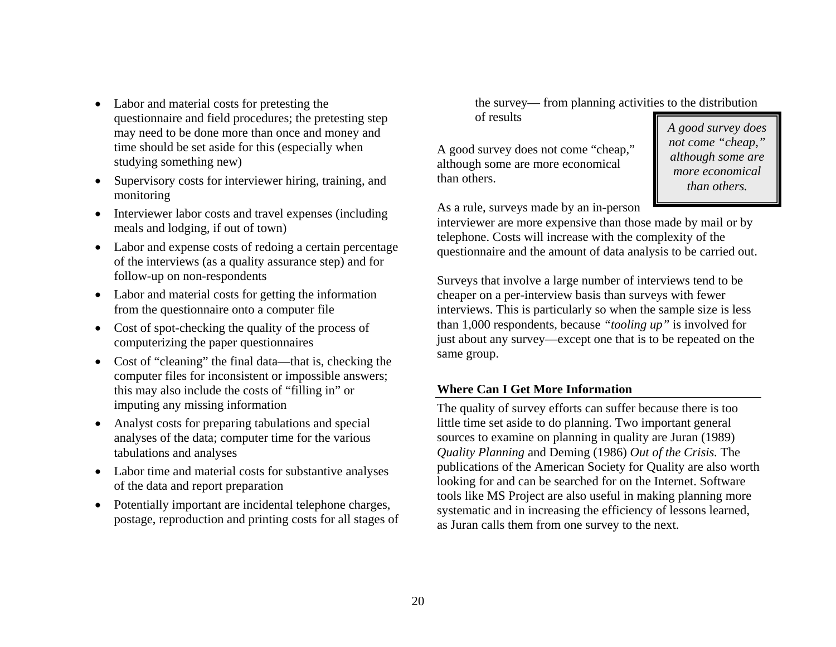- Labor and material costs for pretesting the questionnaire and field procedures; the pretesting step may need to be done more than once and money and time should be set aside for this (especially when studying something new)
- Supervisory costs for interviewer hiring, training, and monitoring
- Interviewer labor costs and travel expenses (including meals and lodging, if out of town)
- Labor and expense costs of redoing a certain percentage of the interviews (as a quality assurance step) and for follow-up on non-respondents
- Labor and material costs for getting the information from the questionnaire onto a computer file
- Cost of spot-checking the quality of the process of computerizing the paper questionnaires
- Cost of "cleaning" the final data—that is, checking the computer files for inconsistent or impossible answers; this may also include the costs of "filling in" or imputing any missing information
- $\bullet$  Analyst costs for preparing tabulations and special analyses of the data; computer time for the various tabulations and analyses
- Labor time and material costs for substantive analyses of the data and report preparation
- Potentially important are incidental telephone charges, postage, reproduction and printing costs for all stages of

the survey— from planning activities to the distribution of results

A good survey does not come "cheap," although some are more economical than others.

*A good survey does not come "cheap," although some are more economical than others.* 

As a rule, surveys made by an in-person

interviewer are more expensive than those made by mail or by telephone. Costs will increase with the complexity of the questionnaire and the amount of data analysis to be carried out.

Surveys that involve a large number of interviews tend to be cheaper on a per-interview basis than surveys with fewer interviews. This is particularly so when the sample size is less than 1,000 respondents, because *"tooling up"* is involved for just about any survey—except one that is to be repeated on the same group.

#### **Where Can I Get More Information**

The quality of survey efforts can suffer because there is too little time set aside to do planning. Two important general sources to examine on planning in quality are Juran (1989) *Quality Planning* and Deming (1986) *Out of the Crisis.* The publications of the American Society for Quality are also worth looking for and can be searched for on the Internet. Software tools like MS Project are also useful in making planning more systematic and in increasing the efficiency of lessons learned, as Juran calls them from one survey to the next.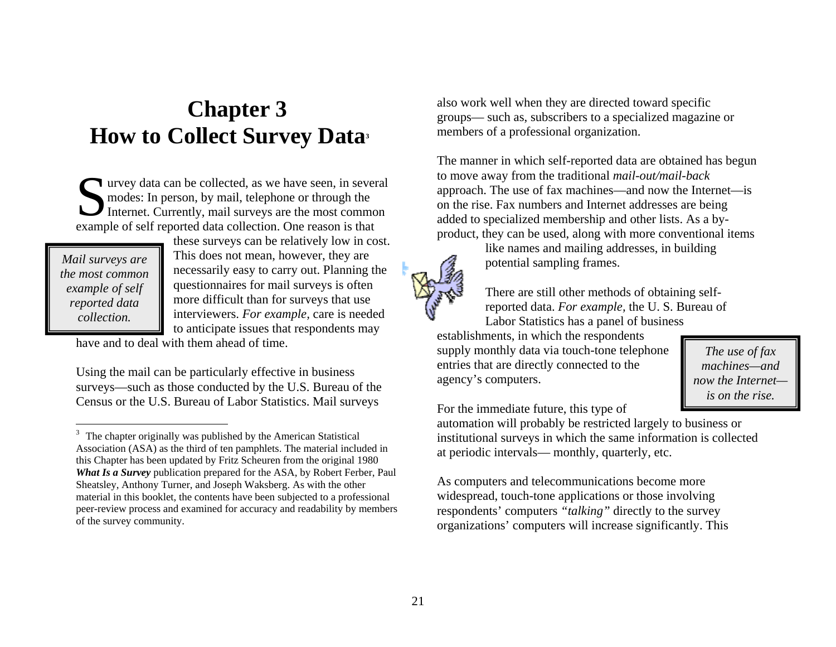### **Chapter 3 How to Collect Survey Data3**

urvey data can be collected, as we have seen, in several modes: In person, by mail, telephone or through the Internet. Currently, m ail surveys are the m ost common example of s elf reported data collection. One reason is that  $S_{\scriptscriptstyle\rm Int}^{\scriptscriptstyle\rm urv}$ 

*Mail surveys are the most common example of self reported data collection.* 

these surveys can be r elatively low in cost. This does not mean, however, they are necessarily easy to carry out. Planning the questionnaires for m ail surveys is often more difficult than for surveys that use interviewers. *For example,* care is n eeded to anticipate issues that respondents m ay

have and to deal with them ahead of time.

Using the mail can be particularly effective in business surveys—such as those conducted by the U.S. Bureau of the Census or the U.S. Bureau of Labor Statistics. Mail surveys

also work well when th e y are directe d toward spe cific groups— such as, subscribers to a specialized m agazine or m embers of a professional organization.

The m anner in which self-reported data are obtained has begun to move away from the traditional *mail-out/mail-b ack* approach. T he use of fax machines—and now the Internet—is on the rise. Fax numbers and Internet addresses are being added to specialized m embership and other lists. As a byproduct, they can be used, along with m ore conventional items

> like nam es and m ailing addresses, in building potential sampling frames.



There are still other methods of obtaining selfreported data. *For example,* the U. S. Bureau of Labor Statistics has a panel of business

establishments, in which the respondents supply monthly data via touch-tone telephone entries that are directly connected to the agency's computers.

For the immediate future, this typ e of

autom ation will probably be restricted largely to business or institutional surveys in w hich the same information is collected at periodic intervals— monthly, quarterly, etc.

As computers and telecommunications becom e more widespread, touch-tone applications or those involving respondents' computers *"talking"*  directly to the survey organiz ations' computers will incre ase significantly. This

*The use of fax machines—and now the Internetis on the rise.* 

 $3$  The chapter originally was published by the American Statistical Association (ASA) as the t hird of ten pamp hlets. The material i ncluded i nthis Chapter has been up dated by Fritz Scheuren fro m the original 1980 *What Is a Survey* publication prepared for the ASA, by Robert Ferber, Paul Sheatsley, A nthony Turner, and Joseph Waksberg. As with the other material in this booklet, the contents have been subjected to a professional peer-review process and examined for accuracy and readability b y members of the survey comm unity.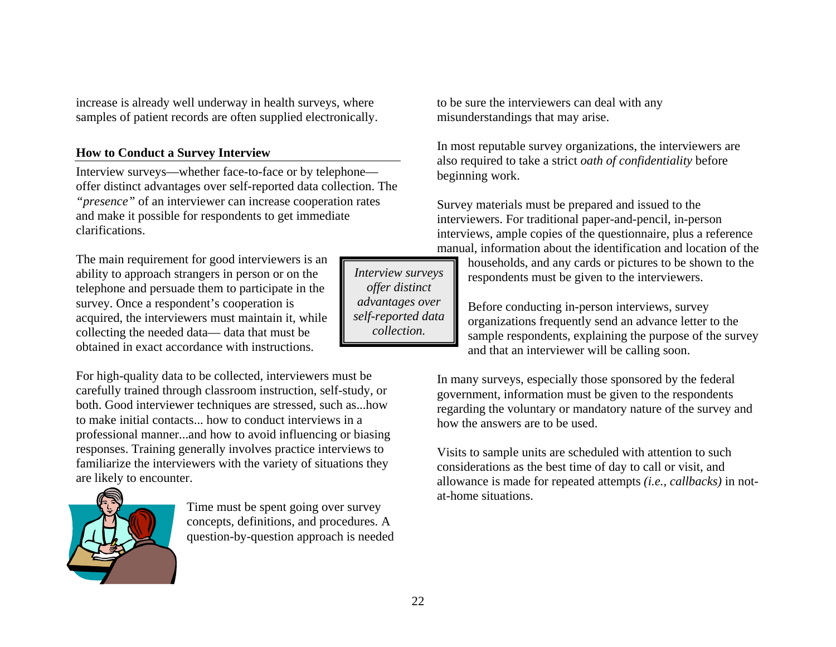increase is already well underway in health surveys, where samples of patient records are often supplied electronically.

#### **How to Conduct a Survey Interview**

Interview surveys—whether face-to-face or by telephone offer distinct advantages over self-reported data collection. The *"presence"* of an interviewer can increase cooperation rates and make it possible for respondents to get immediate clarifications.

The main requirement for good interviewers is an ability to approach strangers in person or on the telephone and persuade them to participate in the survey. Once a respondent's cooperation is acquired, the interviewers must maintain it, while collecting the needed data— data that must be obtained in exact accordance with instructions.

For high-quality data to be collected, interviewers must be carefully trained through classroom instruction, self-study, or both. Good interviewer techniques are stressed, such as...how to make initial contacts... how to conduct interviews in a professional manner...and how to avoid influencing or biasing responses. Training generally involves practice interviews to familiarize the interviewers with the variety of situations they are likely to encounter.



Time must be spent going over survey concepts, definitions, and procedures. A question-by-question approach is needed to be sure the interviewers can deal with any misunderstandings that may arise.

In most reputable survey organizations, the interviewers are also required to take a strict *oath of confidentiality* before beginning work.

Survey materials must be prepared and issued to the interviewers. For traditional paper-and-pencil, in-person interviews, ample copies of the questionnaire, plus a reference manual, information about the identification and location of the

households, and any cards or pictures to be shown to the Interview surveys respondents must be given to the interviewers.

> Before conducting in-person interviews, survey organizations frequently send an advance letter to the sample respondents, explaining the purpose of the survey and that an interviewer will be calling soon.

In many surveys, especially those sponsored by the federal government, information must be given to the respondents regarding the voluntary or mandatory nature of the survey and how the answers are to be used.

Visits to sample units are scheduled with attention to such considerations as the best time of day to call or visit, and allowance is made for repeated attempts *(i.e., callbacks)* in notat-home situations.

*advantages over self-reported data collection.*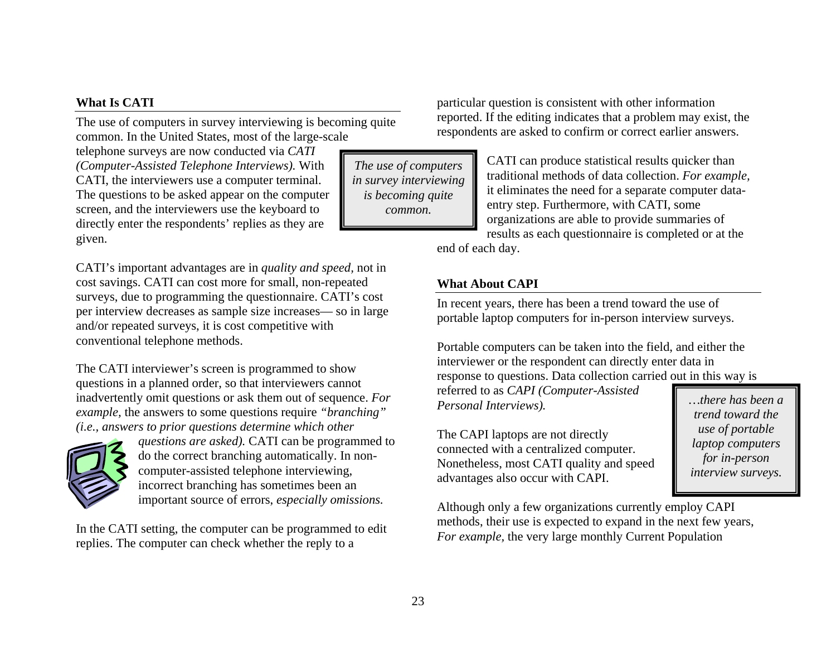#### **What Is CATI**

The use of computers in survey inter viewing is becoming quite common. In the United States, m ost of the large-scale

telephone surveys are now conducted via *CATI (Computer-Assisted Telephone Interviews).* With CATI, the interviewers use a computer terminal. The questions to be asked appear on the computer screen, and the interview ers use the keyboard to directly enter the respondents' replies as they are given.

CATI's important advantages are in *quality and speed,* not in cost savings. CATI can cost m ore for small, non-repeated surveys, due to program ming the questionnaire. CATI's cost per interview decreases as sam ple size increases— so in large and/or r epeated surveys, it is cost competitive with conventional telephone m ethods.

The CATI interviewer's screen is programm ed t o show questions in a planned order, so that interviewers cannot inadvertently omit questions or ask them out of s equence. *For example,* the answers to som e questions require *"branching" (i.e., answers to prior questions determine which other* 



*questions are asked).* CATI can be programm ed to do the correct branching autom atically. In noncomputer-assisted telephone interviewing, incorrect branching has sometimes been an important source of errors, *especially omissions.* 

In the CATI setting, the computer can be programmed to edit replies. The computer can check whether the reply to a

*The use of computers in survey interviewing is becoming quite common.* 

particular question is consistent with other information reported. If the editing indicates that a problem may exist, the respondents are asked to confirm or correct earlier answers.

> CATI can produce statistical results q uicker than tradition al m ethods of data collection. *For example,*  it eliminates the need for a separate computer dataentry step. F urthermore, with CATI, som e organizations are able to provide sum maries of

results as each questionnaire is com pleted or at the end of each day.

#### **What About CAPI**

In recent years, there has been a trend toward the use of portable laptop computers for in-person interview surveys.

Portable computers can be taken into the field, and either the interviewer or the respondent can directly enter data in response to questions. D ata collection carried out in this way is

referred to as *CAPI (Computer-Assisted Personal Interviews).* **a** transfer the *number of the interviews* and the *Personal Interviews*).

The CAPI laptops are not directly connected with a centralized computer. Nonetheless, m ost CATI quality and speed advantages also occur with CAPI.

Although only a few organizations currently employ CAPI methods, their use is expected to expand in the next few years, *For example,* the very large monthly Current Population

trend toward the *use of portable laptop computers for in-person interview surveys.*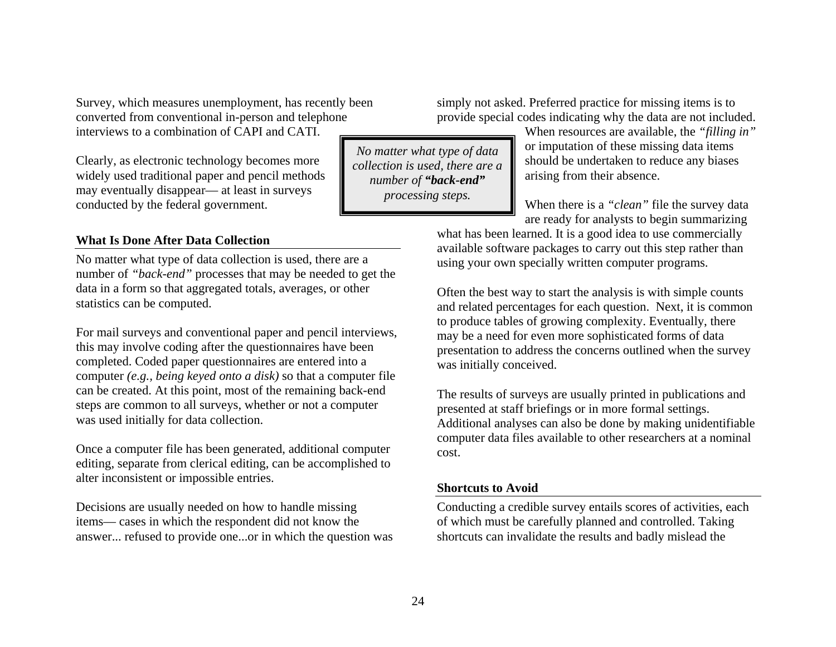Survey, which measures unemployment, has recently been converted from conventional in-person and telephone interviews to a combination of CAPI and CATI.

Clearly, as electronic technology becomes more widely used traditional paper and pencil methods may eventually disappear— at least in surveys conducted by the federal government.

#### **What Is Done After Data Collection**

No matter what type of data collection is used, there are a number of *"back-end"* processes that may be needed to get the data in a form so that aggregated totals, averages, or other statistics can be computed.

For mail surveys and conventional paper and pencil interviews, this may involve coding after the questionnaires have been completed. Coded paper questionnaires are entered into a computer *(e.g., being keyed onto a disk)* so that a computer file can be created. At this point, most of the remaining back-end steps are common to all surveys, whether or not a computer was used initially for data collection.

Once a computer file has been generated, additional computer editing, separate from clerical editing, can be accomplished to alter inconsistent or impossible entries.

Decisions are usually needed on how to handle missing items— cases in which the respondent did not know the answer... refused to provide one...or in which the question was simply not asked. Preferred practice for missing items is to provide special codes indicating why the data are not included.

*No matter what type of data collection is used, there are a number of "back-end" processing steps.* 

When resources are available, the *"filling in"*  or imputation of these missing data items should be undertaken to reduce any biases arising from their absence.

When there is a *"clean"* file the survey data are ready for analysts to begin summarizing

what has been learned. It is a good idea to use commercially available software packages to carry out this step rather than using your own specially written computer programs.

Often the best way to start the analysis is with simple counts and related percentages for each question. Next, it is common to produce tables of growing complexity. Eventually, there may be a need for even more sophisticated forms of data presentation to address the concerns outlined when the survey was initially conceived.

The results of surveys are usually printed in publications and presented at staff briefings or in more formal settings. Additional analyses can also be done by making unidentifiable computer data files available to other researchers at a nominal cost.

#### **Shortcuts to Avoid**

Conducting a credible survey entails scores of activities, each of which must be carefully planned and controlled. Taking shortcuts can invalidate the results and badly mislead the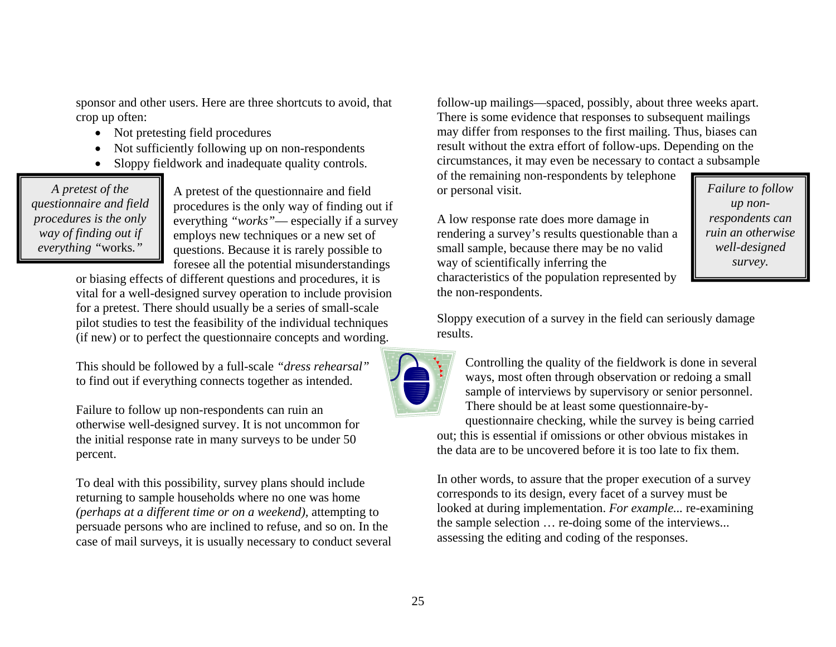sponsor and other users. Here are three shortcuts to avoid, that crop up often:

- Not pretesting field procedures
- •Not sufficiently following up on non-respondents
- •Sloppy fieldwork and inadequate quality controls.

*A pretest of the questionnaire and field procedures is the only way of finding out if everything "*works*."* 

A pretest of the questionnaire and field procedures is the only way of finding out if everything *"works"*— especially if a survey employs new techniques or a new set of questions. Because it is rarely possible to foresee all the potential misunderstandings

or biasing effects of different questions and procedures, it is vital for a well-designed survey operation to include provision for a pretest. There should usually be a series of small-scale pilot studies to test the feasibility of the individual techniques (if new) or to perfect the questionnaire concepts and wording.

This should be followed by a full-scale *"dress rehearsal"*  to find out if everything connects together as intended.

Failure to follow up non-respondents can ruin an otherwise well-designed survey. It is not uncommon for the initial response rate in many surveys to be under 50 percent.

To deal with this possibility, survey plans should include returning to sample households where no one was home *(perhaps at a different time or on a weekend),* attempting to persuade persons who are inclined to refuse, and so on. In the case of mail surveys, it is usually necessary to conduct several

follow-up mailings—spaced, possibly, about three weeks apart. There is some evidence that responses to subsequent mailings may differ from responses to the first mailing. Thus, biases can result without the extra effort of follow-ups. Depending on the circumstances, it may even be necessary to contact a subsample

of the remaining non-respondents by telephone or personal visit. *Failure to follow* 

A low response rate does more damage in rendering a survey's results questionable than a small sample, because there may be no valid way of scientifically inferring the characteristics of the population represented by the non-respondents.

*up nonrespondents can ruin an otherwise well-designed survey.* 

Sloppy execution of a survey in the field can seriously damage results.



Controlling the quality of the fieldwork is done in several ways, most often through observation or redoing a small sample of interviews by supervisory or senior personnel. There should be at least some questionnaire-by-

questionnaire checking, while the survey is being carried out; this is essential if omissions or other obvious mistakes in the data are to be uncovered before it is too late to fix them.

In other words, to assure that the proper execution of a survey corresponds to its design, every facet of a survey must be looked at during implementation. *For example...* re-examining the sample selection … re-doing some of the interviews... assessing the editing and coding of the responses.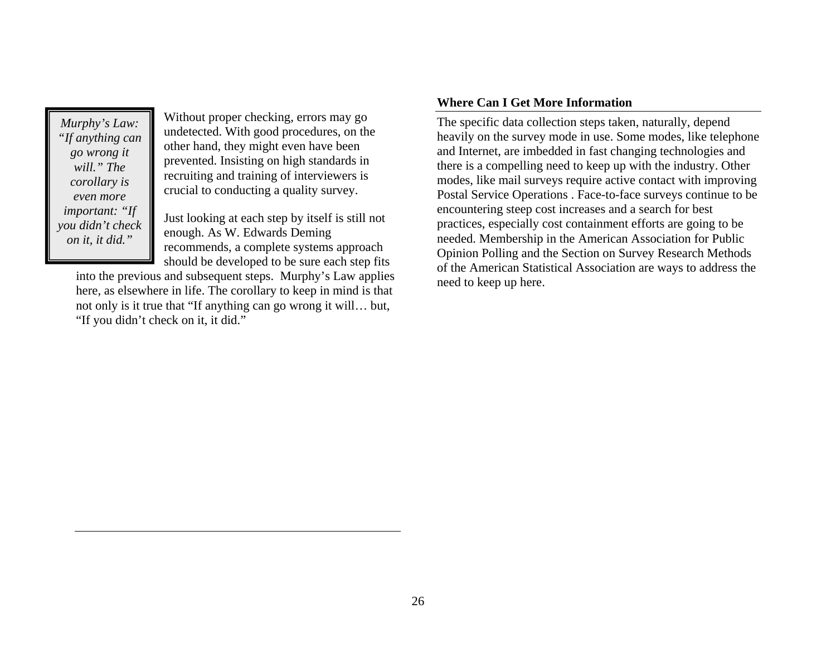*Murphy's Law: "If anything can go wrong it will." The corollary is even more important: "If you didn't check on it, it did."*

Without proper checking, errors may go undetected. With good procedures, on the other hand, they might even have been prevented. Insisting on high standards in recruiting and training of interviewers is crucial to conducting a quality survey.

Just looking at each step by itself is still not enough. As W. Edwards Deming recommends, a complete systems approach should be developed to be sure each step fits

into the previous and subsequent steps. Murphy's Law applies here, as elsewhere in life. The corollary to keep in mind is that not only is it true that "If anything can go wrong it will… but, "If you didn't check on it, it did."

#### **Where Can I Get More Information**

The specific data collection steps taken, naturally, depend heavily on the survey mode in use. Some modes, like telephone and Internet, are imbedded in fast changing technologies and there is a compelling need to keep up with the industry. Other modes, like mail surveys require active contact with improving Postal Service Operations . Face-to-face surveys continue to be encountering steep cost increases and a search for best practices, especially cost containment efforts are going to be needed. Membership in the American Association for Public Opinion Polling and the Section on Survey Research Methods of the American Statistical Association are ways to address the need to keep up here.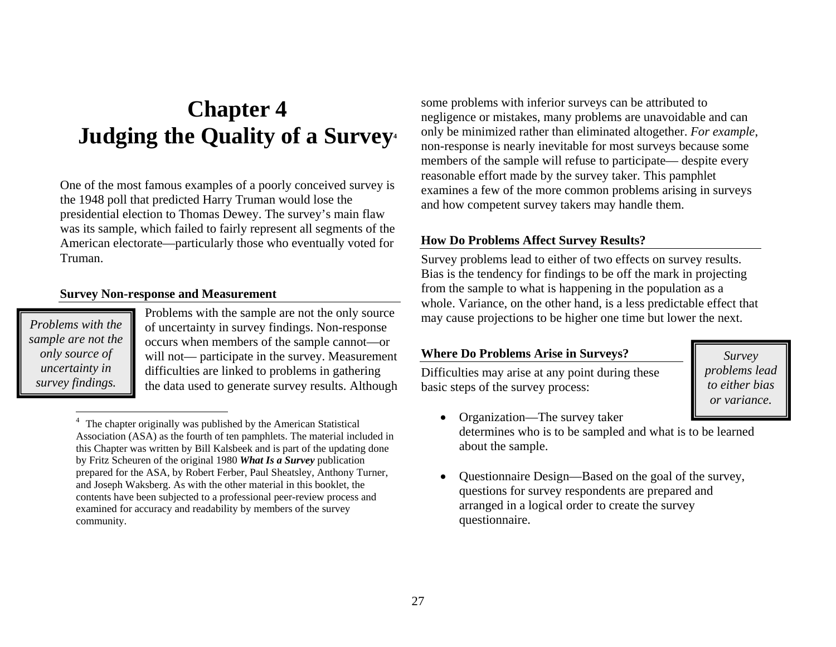### **Chapter 4**  Judging the Quality of a Survey<sup>4</sup>

One of the most famous examples of a poorly conceived survey is the 1948 poll that predicted Harry Truman would lose the presidential election to Thomas Dewey. The survey's main flaw was its sample, which failed to fairly represent all segments of the American electorate—particularly those who eventually voted for Truman.

#### **Survey Non-response and Measurement**

*sample are not the only source of uncertainty in survey findings.* 

Problems with the sample are not the only source of uncertainty in survey findings. Non-response occurs when members of the sample cannot—or will not— participate in the survey. Measurement difficulties are linked to problems in gathering the data used to generate survey results. Although **Problems with the represents** with the sample are not the only source may cause projections to be higher one time but lower the next.

some problems with inferior surveys can be attributed to negligence or mistakes, many problems are unavoidable and can only be minimized rather than eliminated altogether. *For example*, non-response is nearly inevitable for most surveys because some members of the sample will refuse to participate— despite every reasonable effort made by the survey taker. This pamphlet examines a few of the more common problems arising in surveys and how competent survey takers may handle them.

#### **How Do Problems Affect Survey Results?**

Survey problems lead to either of two effects on survey results. Bias is the tendency for findings to be off the mark in projecting from the sample to what is happening in the population as a whole. Variance, on the other hand, is a less predictable effect that

#### **Where Do Problems Arise in Surveys?**

Difficulties may arise at any point during these basic steps of the survey process:

*Survey problems lead to either bias or variance.* 

- • Organization—The survey taker determines who is to be sampled and what is to be learned about the sample.
- • Questionnaire Design—Based on the goal of the survey, questions for survey respondents are prepared and arranged in a logical order to create the survey questionnaire.

<sup>&</sup>lt;sup>4</sup> The chapter originally was published by the American Statistical Association (ASA) as the fourth of ten pamphlets. The material included in this Chapter was written by Bill Kalsbeek and is part of the updating done by Fritz Scheuren of the original 1980 *What Is a Survey* publication prepared for the ASA, by Robert Ferber, Paul Sheatsley, Anthony Turner, and Joseph Waksberg. As with the other material in this booklet, the contents have been subjected to a professional peer-review process and examined for accuracy and readability by members of the survey community.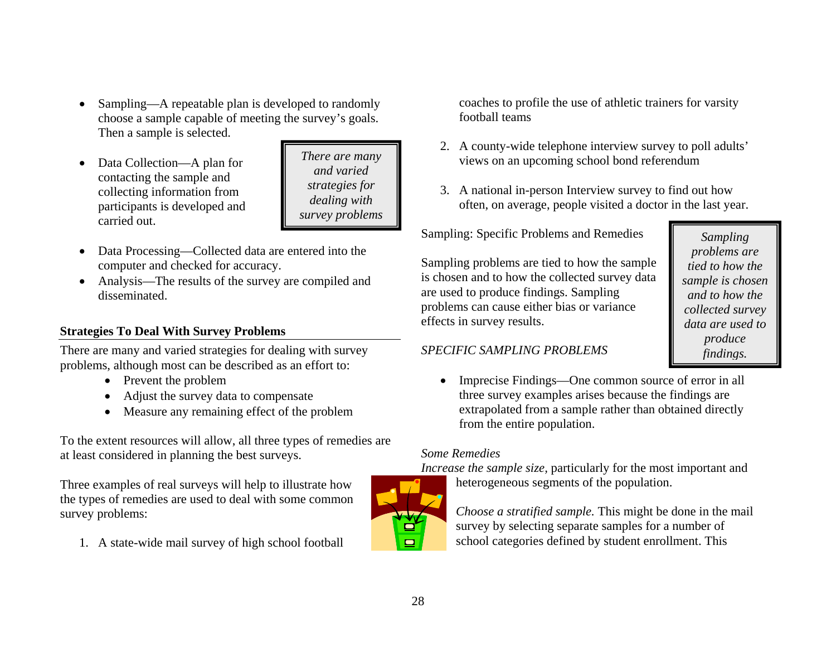- Sampling—A repeatable plan is developed to randomly choose a sample capable of meeting the survey's goals. Then a sample is selected.
- • Data Collection—A plan for contacting the sample and collecting information from participants is developed and carried out.

*There are many and varied strategies for dealing with survey problems* 

- Data Processing—Collected data are entered into the computer and checked for accuracy.
- Analysis—The results of the survey are compiled and disseminated.

#### **Strategies To Deal With Survey Problems**

There are many and varied strategies for dealing with survey problems, although most can be described as an effort to:

- Prevent the problem
- Adjust the survey data to compensate
- Measure any remaining effect of the problem

To the extent resources will allow, all three types of remedies are at least considered in planning the best surveys.

Three examples of real surveys will help to illustrate how the types of remedies are used to deal with some common survey problems:

1. A state-wide mail survey of high school football

coaches to profile the use of athletic trainers for varsity football teams

- . A county-wide telephone interview survey to poll adults' 2 views on an upcoming school bond referendum
- 3. A national in-person Interview survey to find out how often, on average, people visited a doctor in the last year.

*Sampling problems are tied to how the sample is chosen and to how the collected survey data are used to produce findings.*

Sampling: Specific Problems and Remedies

Sampling problems are tied to how the sample is chosen and to how the collected survey data are used to produce findings. Sampling problems can cause either bias or variance effects in survey results.

#### *ROBLEMSSPECIFIC SAMPLING P*

• Imprecise Findings—One common source of error in all three survey examples arises because the findings are extrapolated from a sample rather than obtained directly from the entire population.

#### *ome RS emedies*

*Increase the sample size,* particularly for the most important and heterogeneous segments of the population.

*Choose a stratified sample.* This might be done in the mail survey by selecting separate samples for a number of school categories defined by student enrollment. This

 $\mathbf{p}$  $\blacksquare$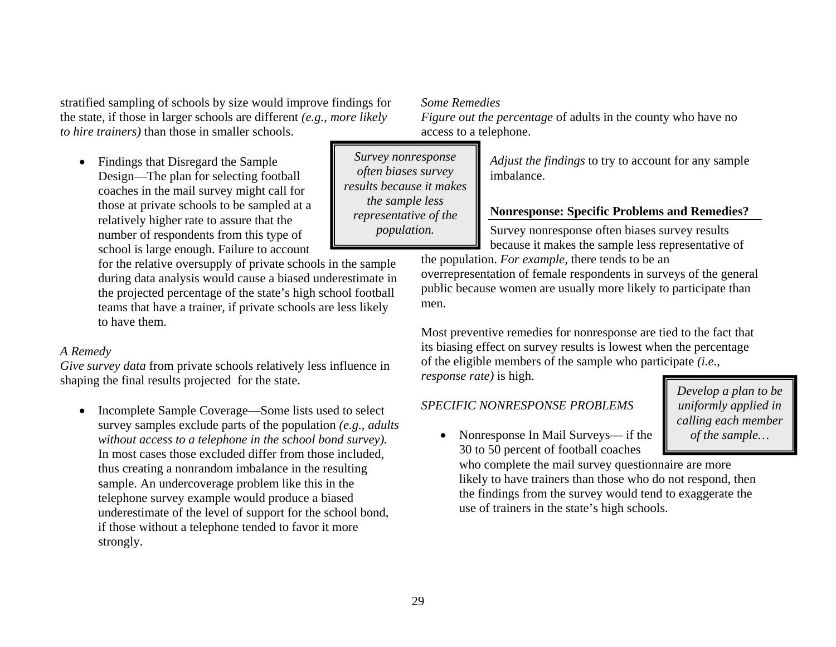stratified sampling of schools by size would improve findings for the state, if those in larger schools are different *(e.g., more likely to hire trainers)* than those in smaller schools.

 $\bullet$ • Findings that Disregard the Sample Design—The plan for selecting football coaches in the mail survey mig ht c all for those at private schools to be sam ple dat arelatively higher rate to assure that the number of respondents from this type of school is large enough. Failure to account

for the relative oversupply of private schools in the sample during data analysis would cause a biased underestimate in the projected percentage of the state's high school football teams that have a trainer, if private schools are less likely to have them.

#### *A Remedy*

*Give survey data* from private schools relatively less influence in shaping the final results projected for the state.

survey samples exclude parts of the population *(e.g., adults* underestimate of the level of support for the school bond, •• Incomplete Sample Coverage—Some lists used to select *without access to a telephone in the school bond survey).*  In most cases those excluded differ from those included, thus creatin g a nonrand o m i mbalance in the res ulting sample. An undercoverage problem like this in the telephone survey example would produce a biased if those without a telephone tended to favor it more strongly.

*SomeRemedies*

*Survey nonresponse* 

*r s esults because it <sup>m</sup>akeoften biases survey* 

*the sample less represe ntativ e of the population.* 

access to a telephone. *Figure out the percentage* of adults in the county who have no

> Adjust the findings to try to account for any sample imbalance.

#### **Nonresponse: Specific Problems and Remedies?**

Survey nonresponse often biases survey results because it makes the s ample less representative of

the population. *For example*, there tends to be an overrepresentation of female respondents in surveys of the general public because wom en are usually m ore likely to p articipate th a n men.

Most preventive remedies for nonresponse are tied to the fact that its biasing effect on survey results is lowest when the per centage of the eligible m embers of the sam ple who participate *(i.e., response rate)* is high.

#### *NSEPROBLEMSSPECIFICNONRESPO*

*Develop a plan to be uniformly applied in calling each member of the sample…* 

• Nonresponse In Mail Surveys— if the 30 to 50 percent of football coaches

who complete the mail survey questionnaire are more likely to have trainers than those who do not respond, then the findings from the survey would tend to exaggerate the use of trainers in the state's high schools.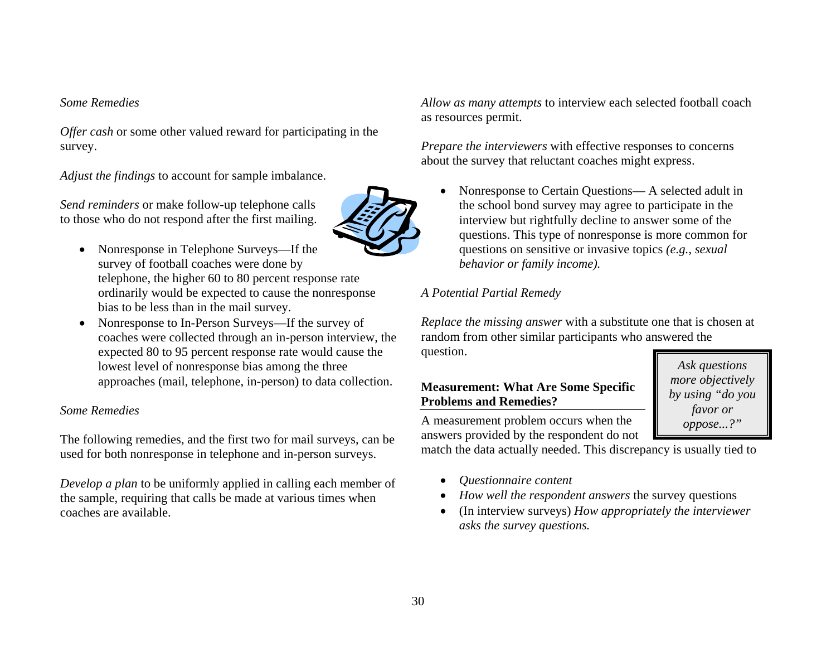#### *Some Remedies*

*Offer cash* or some other valued reward for participating in the survey.

*Adjust the findings* to account for sample imbalance.

*Send reminders* or make follow-up telephone calls to those who do not respond after the first mailing.

- Nonresponse in Telephone Surveys—If the survey of football coaches were done by telephone, the higher 60 to 80 percent response rate ordinarily would be expected to cause the nonresponse bias to be less than in the mail survey.
- $\bullet$  Nonresponse to In-Person Surveys—If the survey of coaches were collected through an in-person interview, the expected 80 to 95 percent response rate would cause the lowest level of nonresponse bias among the three approaches (mail, telephone, in-person) to data collection.

#### *Some Remedies*

The following remedies, and the first two for mail surveys, can be used for both nonresponse in telephone and in-person surveys.

*Develop a plan* to be uniformly applied in calling each member of the sample, requiring that calls be made at various times when coaches are available.

*Prepare the interviewers* with effective responses to concerns about the survey that reluctant coaches might express.

• Nonresponse to Certain Questions— A selected adult in the school bond survey may agree to participate in the interview but rightfully decline to answer some of the questions. This type of nonresponse is more common for questions on sensitive or invasive topics *(e.g., sexual behavior or family income).*

#### *A Potential Partial Remedy*

*Replace the missing answer* with a substitute one that is chosen at random from other similar participants who answered the question.

#### **Measurement: What Are Some Specific Problems and Remedies?**

*Ask questions more objectively by using "do you favor or oppose...?"*

A measurement problem occurs when the answers provided by the respondent do not

match the data actually needed. This discrepancy is usually tied to

- •*Questionnaire content*
- •*How well the respondent answers* the survey questions
- • (In interview surveys) *How appropriately the interviewer asks the survey questions.*

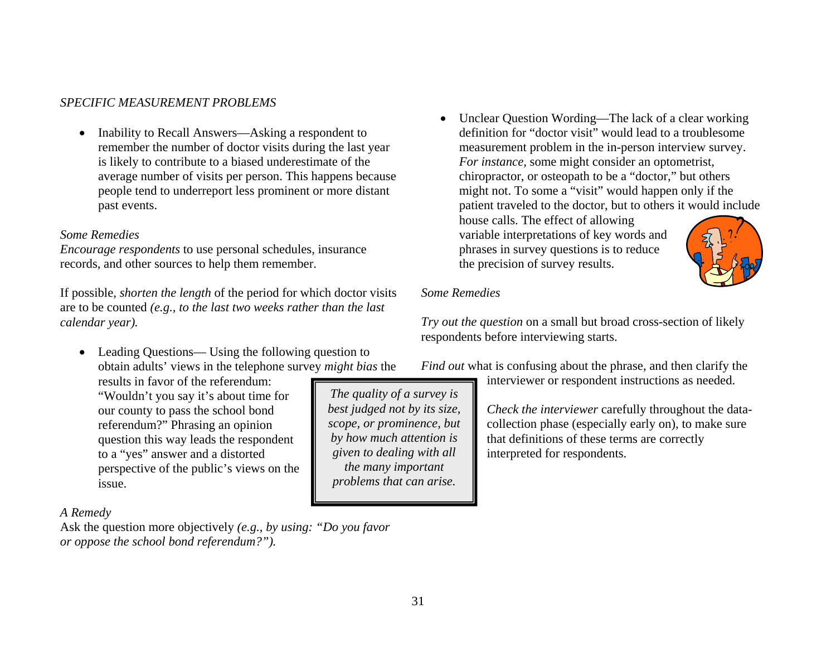#### *SPECIFIC MEASUREMENT PROBLEMS*

• Inability to Recall Answers—Asking a respondent to remember the number of doctor visits during the last year is likely to contribute to a biased underestimate of the average number of visits per person. This happens because people tend to underreport less prominent or more distant past events.

#### *Some Remedies*

*Encourage respondents* to use personal schedules, insurance records, and other sources to help them remember.

If possible, *shorten the length* of the period for which doctor visits are to be counted *(e.g., to the last two weeks rather than the last calendar year).* 

• Leading Questions— Using the following question to obtain adults' views in the telephone survey *might bias* the

results in favor of the referendum: "Wouldn't you say it's about time for our county to pass the school bond referendum?" Phrasing an opinion question this way leads the respondent to a "yes" answer and a distorted perspective of the public's views on the issue.

#### *A Remedy*

Ask the question more objectively *(e.g., by using: "Do you favor or oppose the school bond referendum?").* 

• Unclear Question Wording—The lack of a clear working definition for "doctor visit" would lead to a troublesomemeasurement problem in the in-person interview survey. *For instance,* some might consider an optometrist, chiropractor, or osteopath to be a "doctor," but others might not. To some a "visit" would happen only if the patient traveled to the doctor, but to others it would include house calls. The effect of allowing variable interpretations of key words and phrases in survey questions is to reduce the precision of survey results.

#### *Some Remedies*

*Try out the question* on a small but broad cross-section of likely respondents before interviewing starts.

*Find out* what is confusing about the phrase, and then clarify the interviewer or respondent instructions as needed.

> *Check the interviewer* carefully throughout the datacollection phase (especially early on), to make sure that definitions of these terms are correctly interpreted for respondents.

*The quality of a survey is best judged not by its size, scope, or prominence, but by how much attention is given to dealing with all the many important problems that can arise.*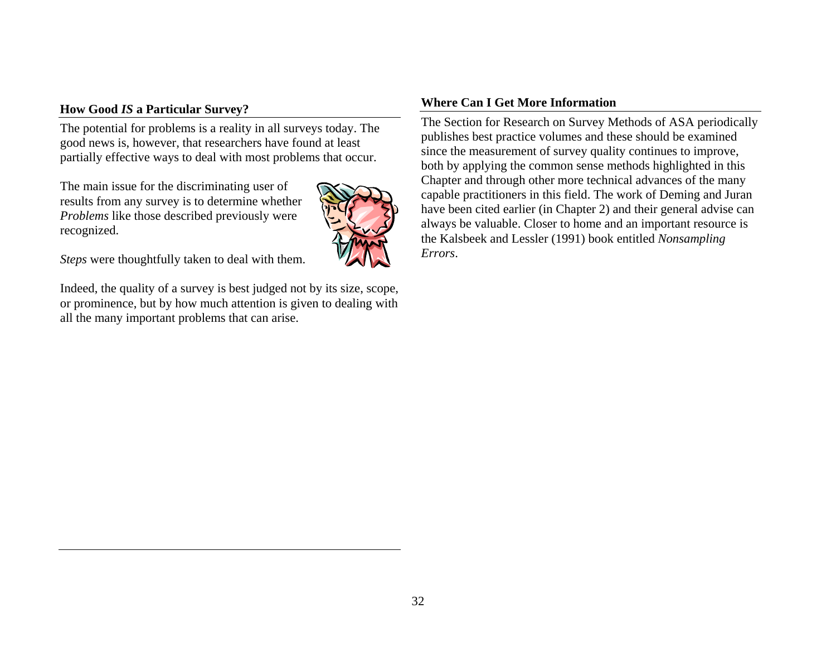#### **How Good** *IS* **a Particular Survey?**

The potential for problems is a reality in all surveys today. The good news is, however, that researchers have found at least partially effective ways to deal with most problems that occur.

The main issue for the discriminating user of results from any survey is to determine whether *Problems* like those described previously were recognized.

*Steps* were thoughtfully taken to deal with them.

Indeed, the quality of a survey is best judged not by its size, scope, or prominence, but by how much attention is given to dealing with all the many important problems that can arise.

#### **Where Can I Get More Information**

The Section for Research on Survey Methods of ASA periodically publishes best practice volumes and these should be examined since the measurement of survey quality continues to improve, both by applying the common sense methods highlighted in this Chapter and through other more technical advances of the many capable practitioners in this field. The work of Deming and Juran have been cited earlier (in Chapter 2) and their general advise can always be valuable. Closer to home and an important resource is the Kalsbeek and Lessler (1991) book entitled *Nonsampling Errors*.

32

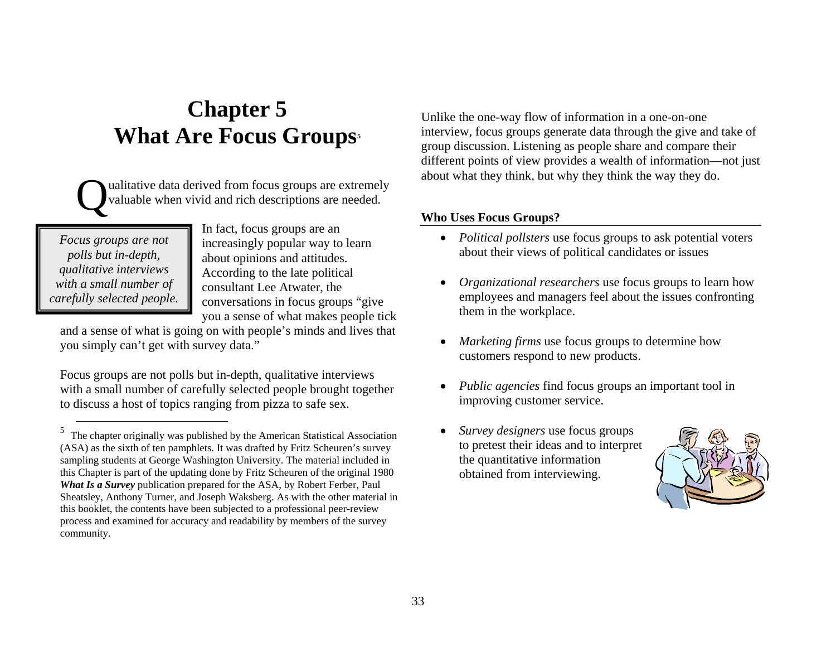### **Chapter 5 What Are Focus Groups**

ualitative data derived from focus groups are extremely valuable when vivid and rich descriptions are needed.  $\mathbf{Q}^{\text{ua}}$ 

*Focus groups are not polls but in-depth, qualitative interviews with a small number of carefully selected people.*  In fact, focus groups are an increasingly popular way to learn about opinions and attitudes. According to the late political consultant Lee Atwater, the conversations in focus groups "give you a sense of what makes people tick

and a sense of what is going on with people's minds and lives that you simply can't get with survey data."

Focus groups are not polls but in-depth, qualitative interviews with a small number of carefully selected people brought together to discuss a host of topics ranging from pizza to safe sex.

Unlike the one-way flow of information in a one-on-one interview, focus groups generate data through the give and take of group discussion. Listening as people share and compare their different points of view provides a wealth of information—not just about what they think, but why they think the way they do.

#### **Who Uses Focus Groups?**

- *Political pollsters* use focus groups to ask potential voters about their views of political candidates or issues
- • *Organizational researchers* use focus groups to learn how employees and managers feel about the issues confronting them in the workplace.
- • *Marketing firms* use focus groups to determine how customers respond to new products.
- • *Public agencies* find focus groups an important tool in improving customer service.
- • *Survey designers* use focus groups to pretest their ideas and to interpret the quantitative information obtained from interviewing.



<sup>5</sup> The chapter originally was published by the American Statistical Association (ASA) as the sixth of ten pamphlets. It was drafted by Fritz Scheuren's survey sampling students at George Washington University. The material included in this Chapter is part of the updating done by Fritz Scheuren of the original 1980 *What Is a Survey* publication prepared for the ASA, by Robert Ferber, Paul Sheatsley, Anthony Turner, and Joseph Waksberg. As with the other material in this booklet, the contents have been subjected to a professional peer-review process and examined for accuracy and readability by members of the survey community.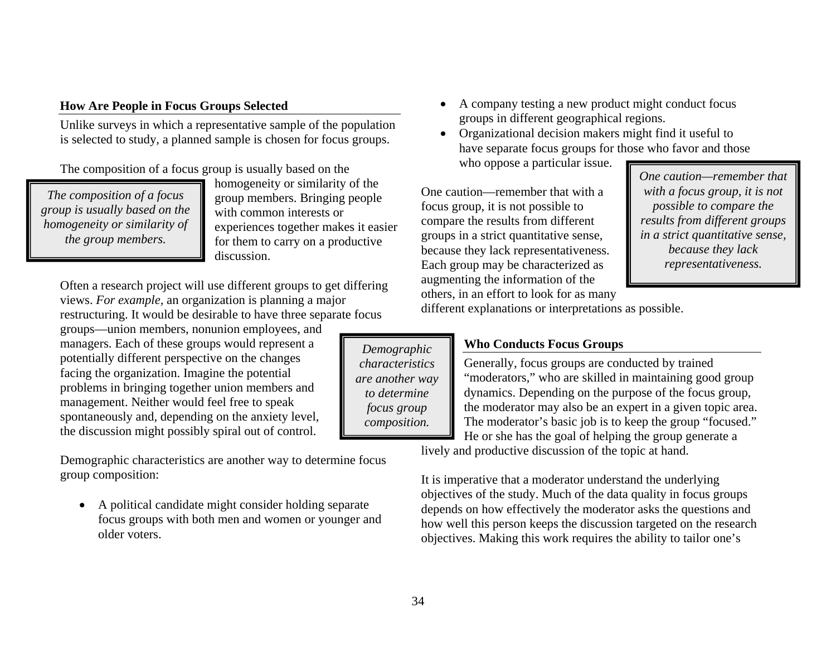#### **How Are People in Foc us Groups Selected**

Unlike surveys in which a representative sam ple of the population is selected to study, a planned sam ple is chosen for focus groups.

The composition of a focus group is usually based on the

*The composition of a focus group is usually based on the homogeneity or similarity of the group members.* 

homogeneity or similarity of the group m e mbers. Bringing people with common interests orexperiences together m akes it easier for them to carry on a productive discussion.

Often a research project will use different groups to get differing views. *For example,* an organization is planning a m ajor restructuring. It would be desirable to have three separate focus

groups—union m e mbers, nonunion employees, and managers. Each of these groups would represent a potentially different perspective on the changes facing the organization. Imagine the potential problems in bringing together union m embers and m anage m ent. Neither would feel free to speak spontaneously and, depending on the anxiety level, the discussion might possibly spiral out of control.

Demographic characteristics are another way to d etermine focus group com position:

• A political candidate might consider holding separate focus groups with both m en and women or younger and older voters.

- •• A company testing a new product might conduct focus groups in different geographical regions.
- Organizational decision m akers might find it useful to have separate focus groups for those who favor and those
	- who oppose a particular issue.

One caution—remember that with a focus group, it is not possible to compare the results from different groups in a strict quantitative sense, because they lack representativeness. Each group m ay be characterized as augmenting the information of the others, in an effort to look for as m any *One caution—remember that with a focus group, it is not possible to compare the results from different groups in a strict quantitative sense, because they lack representativeness.* 

different explanations or interpretations as possible.

#### **Who Conducts Focus Groups**

Generally, focus groups are conducted by trained "moderators," who are skilled in m aintaining good group dynamics. Depending on the purpose of the focus group, the moderator m ay also be an expert in a given topic area. The moderator's basic job is to keep the group "focused." He or she has the goal of helping the group generate a

lively and productive discussion of the topic at hand.

It is imperative that a m oderator understand the underlying objectives of the study. Much of the data quality in focus groups depends on how effectively the moderator asks the questions and how well this person keeps the discussion targeted on the research objectives. Making this work requires the ability to tailor on e's

*Demographic characteristics are another way to determinefocus group composition.*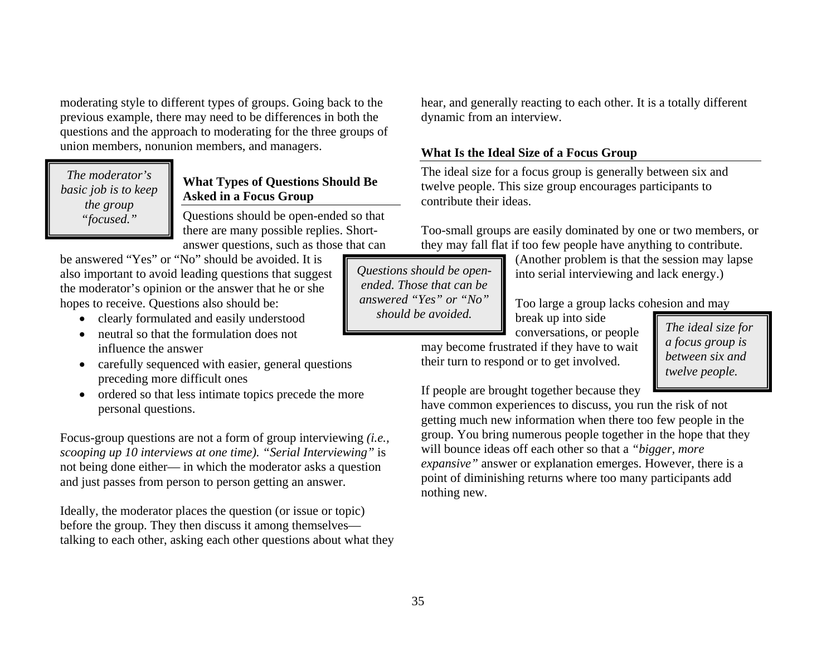moderating style to different types of groups. Going back to the previous example, there may need to be differences in both the questions and the approach to moderating for the three groups of union members, nonunion members, and managers.

*The moderator's basic job is to keep the group "focused."* 

### **What Types of Questions Should Be Asked in a Focus Group**

Questions should be open-ended so that there are many possible replies. Shortanswer questions, such as those that can

be answered "Yes" or "No" should be avoided. It is also important to avoid leading questions that suggest the moderator's opinion or the answer that he or she hopes to receive. Questions also should be:

- clearly formulated and easily understood
- neutral so that the formulation does not influence the answer
- carefully sequenced with easier, general questions preceding more difficult ones
- ordered so that less intimate topics precede the more personal questions.

Focus-group questions are not a form of group interviewing *(i.e., scooping up 10 interviews at one time). "Serial Interviewing"* is not being done either— in which the moderator asks a question and just passes from person to person getting an answer.

Ideally, the moderator places the question (or issue or topic) before the group. They then discuss it among themselves talking to each other, asking each other questions about what they hear, and generally reacting to each other. It is a totally different dynamic from an interview.

#### **What Is the Ideal Size of a Focus Group**

The ideal size for a focus group is generally between six and twelve people. This size group encourages participants to contribute their ideas.

Too-small groups are easily dominated by one or two members, or they may fall flat if too few people have anything to contribute.

> (Another problem is that the session may lapse into serial interviewing and lack energy.)

Too large a group lacks cohesion and may

break up into side conversations, or people

may become frustrated if they have to wait their turn to respond or to get involved.

*The ideal size for a focus group is between six and twelve people.* 

If people are brought together because they

have common experiences to discuss, you run the risk of not getting much new information when there too few people in the group. You bring numerous people together in the hope that they will bounce ideas off each other so that a *"bigger, more expansive"* answer or explanation emerges. However, there is a point of diminishing returns where too many participants add nothing new.

*Questions should be openended. Those that can be answered "Yes" or "No" should be avoided.*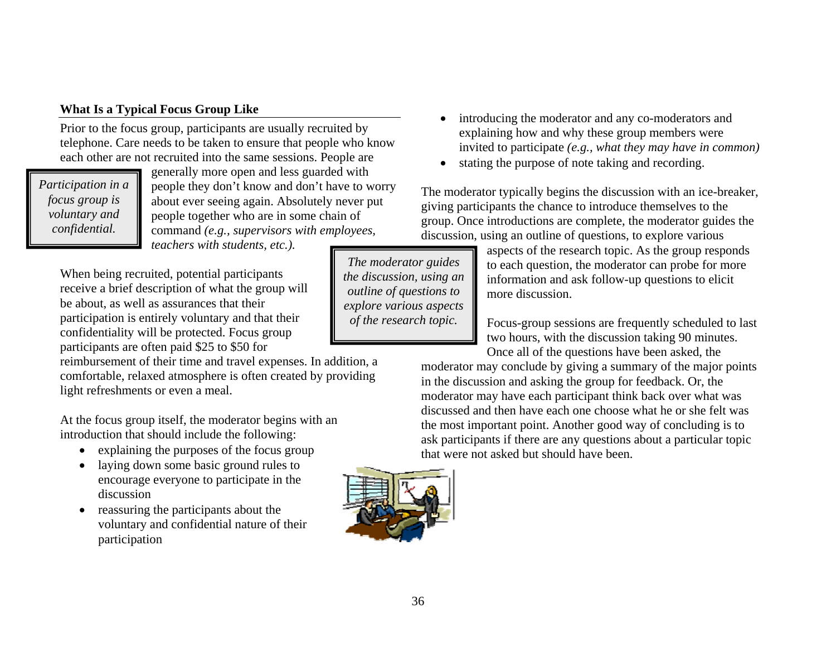#### **What Is a Typical Focus Group Like**

Prior to the focus group, participants are usually recruited by telephone. Care needs to be taken to ensure that people who know each other are not recruited into the same sessions. People are

*Participation in a focus group is voluntary and confidential.*

generally more open and less guarded with people they don't know and don't have to worry about ever seeing again. Absolutely never put people together who are in som e chain of command *(e.g., supervisors with employees, teachers with students, etc.).*

When being recruited, potential participants receive a brief description of what the group will be about, as well as assurances that their participation is entirely v oluntary and that their confidentiality will b e protected. Focus group participants are often paid \$25 to \$50 for

reimbursement of their tim e and travel expenses. In addition, a comfortable, relaxed atm osphere is often created by providing light refresh ments or even a meal.

At the focus group itself, the moderator begins with an introduction that should include the following:

- explaining the purposes of the focus group
- laying down some basic ground rules to encourage everyone to participate in the discussion
- • reassuring the participants about the voluntary and confidential nature of their participation

*The moderator guides the discussion, using an outline of questions to explore various aspects of the research topic.*

- • introducing the moderator and any co-moderators and explaining how and why these group m e mbers were invited to participate *(e.g., what they may have in common)*
- •stating the purpose of note taking and recording.

The moderator typically begins the discussion with an ice-breaker, giving participants the chance to introduce themselves to the group. Once introductions are com plete, the m oderator guides the discussion, using an outline of questions, to explore various

aspects of the research topic. As the group responds to each question, the m oderator can probe for more information and ask follow-up questions to elicit more discussion.

Focus-group sessions are frequently scheduled to last two hours, with the discussion taking 90 minutes. Once all of the questions have been asked, the

moderator may conclude by giving a summary of the m ajor points in the discussion and asking the group for feedback. Or, the moderator may have each participant think back over what was discussed and then have each one choose what he or she felt was the m ost important point. Another good way of concluding is to ask participants if there are any questions about a particular topic that were not asked but should have been.

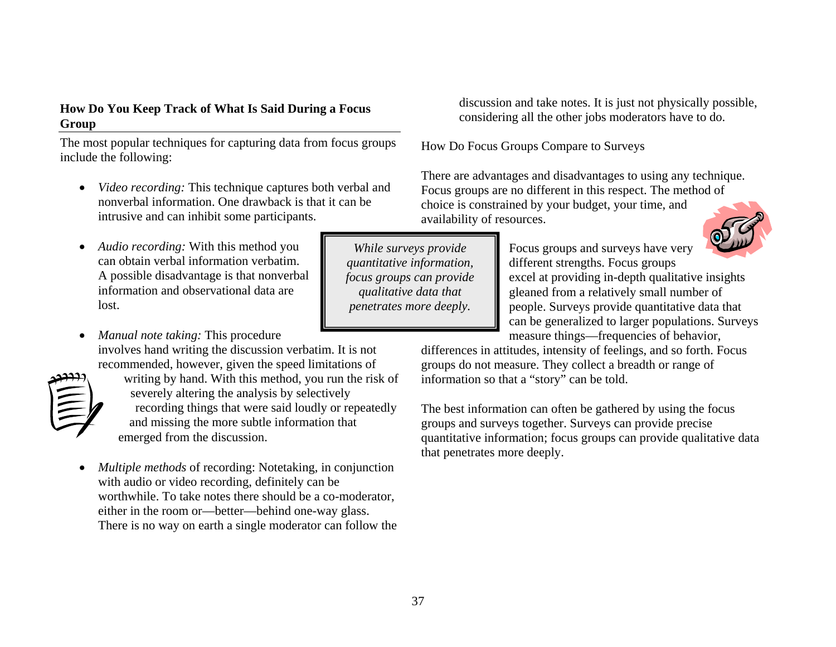#### **How Do You Keep Track of What Is Said During a Focus Group**

The most popular techniques for capturing data from focus groups include the following:

- $\bullet$  *Video recording:* This technique captures both verbal and nonverbal information. One drawback is that it can be intrusive and can inhibit some participants.
- • *Audio recording:* With this method you can obtain verbal information verbatim. A possible disadvantage is that nonverbal information and observational data are lost.
- $\bullet$  *Manual note taking:* This procedure involves hand writing the discussion verbatim. It is not recommended, however, given the speed limitations of



writing by hand. With this method, you run the risk of severely altering the analysis by selectively recording things that were said loudly or repeatedly and missing the more subtle information that emerged from the discussion.

• *Multiple methods* of recording: Notetaking, in conjunction with audio or video recording, definitely can be worthwhile. To take notes there should be a co-moderator, either in the room or—better—behind one-way glass. There is no way on earth a single moderator can follow the discussion and take notes. It is just not physically possible, considering all the other jobs moderators have to do.

How Do Focus Groups Compare to Surveys

There are advantages and disadvantages to using any technique. Focus groups are no different in this respect. The method of choice is constrained by your budget, your time, and availability of resources.



differences in attitudes, intensity of feelings, and so forth. Focus groups do not measure. They collect a breadth or range of information so that a "story" can be told.

The best information can often be gathered by using the focus groups and surveys together. Surveys can provide precise quantitative information; focus groups can provide qualitative data that penetrates more deeply.

*quantitative information, focus groups can provide qualitative data that penetrates more deeply.*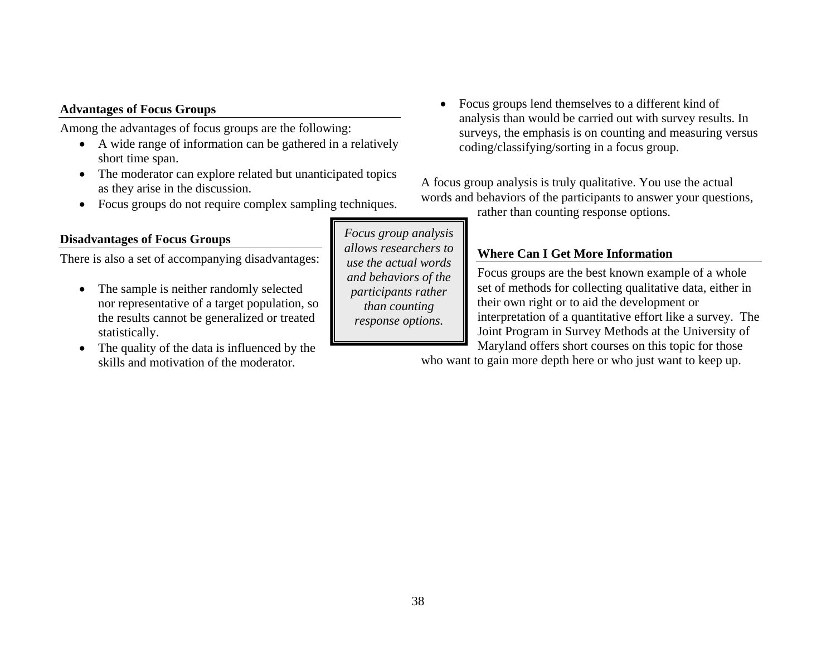#### **Advantages of Focus Groups**

Among the advantages of focus groups are the following:

- A wide range of information can be gathered in a relatively short time span.
- The moderator can explore related but unanticipated topics as they arise in the discussion.
- Focus groups do not require complex sampling techniques.

#### **Disadvantages of Focus Groups**

There is also a set of accompanying disadvantages:

- The sample is neither randomly selected nor representative of a target population, so the results cannot be generalized or treated statistically.
- The quality of the data is influenced by the skills and motivation of the moderator.

*Focus group analysis allows researchers to use the actual words and behaviors of the participants rather than counting response options.*

• Focus groups lend themselves to a different kind of analysis than would be carried out with survey results. In surveys, the emphasis is on counting and measuring versus coding/classifying/sorting in a focus group.

A focus group analysis is truly qualitative. You use the actual words and behaviors of the participants to answer your questions,

rather than counting response options.

#### **Where Can I Get More Information**

Focus groups are the best known example of a whole set of methods for collecting qualitative data, either in their own right or to aid the development or interpretation of a quantitative effort like a survey. The Joint Program in Survey Methods at the University of Maryland offers short courses on this topic for those

who want to gain more depth here or who just want to keep up.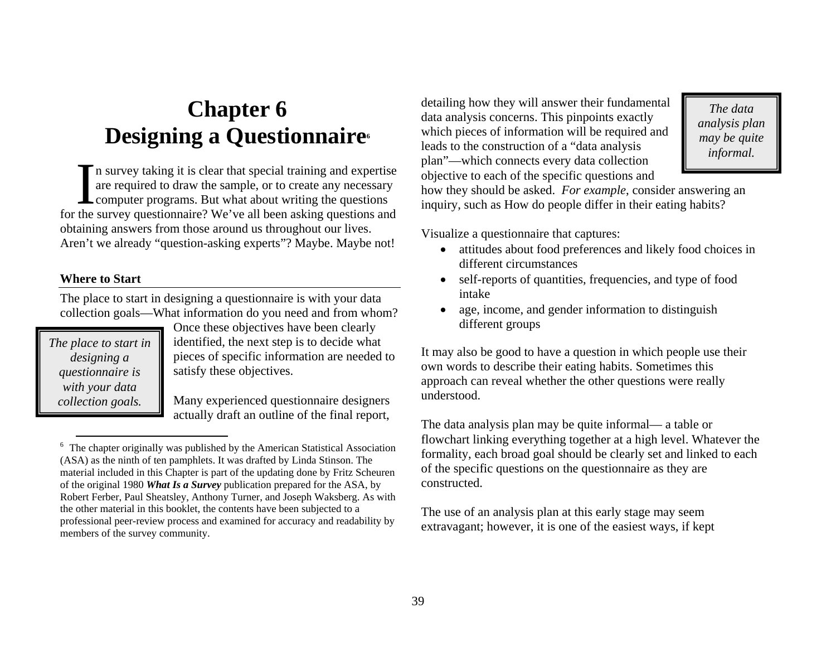### **Chapter 6 Designing a Questionnaire6**

n survey taking it is clear that special training and expertise are required to draw the sam ple, or to create any necessary In survey taking it is clear that special training and expertis are required to draw the sample, or to create any necessary computer programs. But what about writing the questions for the surve y questionn aire? W<sup>e</sup>'ve all been asking questions and obtaining answers from those around us throughout our lives. Aren't we already "question-asking experts"? Maybe. Maybe not!

#### **Where to Start**

The place to start in designing a questionnaire is with your data collection goals—W hat information do you need and from whom?

*The place to start in designing a questionnaire is with your data collection goals.* 

Once these objectives h ave been clearly identified, the next step is to decide what pieces of specific information are needed to satisfy these objectives.

Many experienced questionnaire designers actually draft an outline of the final report,

detailing how they will answer their fundamental data analysis concerns. This pinpoints exactly which pieces of infor mation will be required and leads to the construction of a "data analysis plan"—which connects every data collection objective to each of the specific questions and

*The data analysis plan may be quite informal.* 

how they should be asked. *For example*, consider answering an inquiry, such as How do people differ in their eating habits?

Visualize a questionnaire that captures:

- attitudes about food preferences and likely food choices in different circumstances
- • self-reports of quantities, frequencies, and type of food intake
- •• age, income, and gender information to distinguish different groups

It may also be good to have a question in which people use their own words to describ e their e ating h abits. Sometimes this approach can reveal whether the other questions were really understood.

The data analysis plan may be quite infor mal— a table or flowchart linking everything together at a high level. W hatever the for mality, each broad goal should be clearly set and linked to each of the specific questions on the questionnaire as they are constructed.

The use of an analysis plan at this early stage m ay seem extravagant; however, it is one of the easiest ways, if kept

 $6$  The chapter originally was published by the American Statistical Association (AS A) as the ninth of ten pamphlets. It was drafted by Li nda Stinson. The material inclu ded in this C hapter is part of the up dating done b y Fritz Scheuren of the original 1980 *What Is a S urvey* publication pre pared for the ASA, by Robert Ferber, Paul S heatsley, A nthony Turner, a nd Joseph Waksberg. As with the other material in this booklet, the contents have been subjected to a professional peer-review process and examined for accuracy and readability by members of the survey community.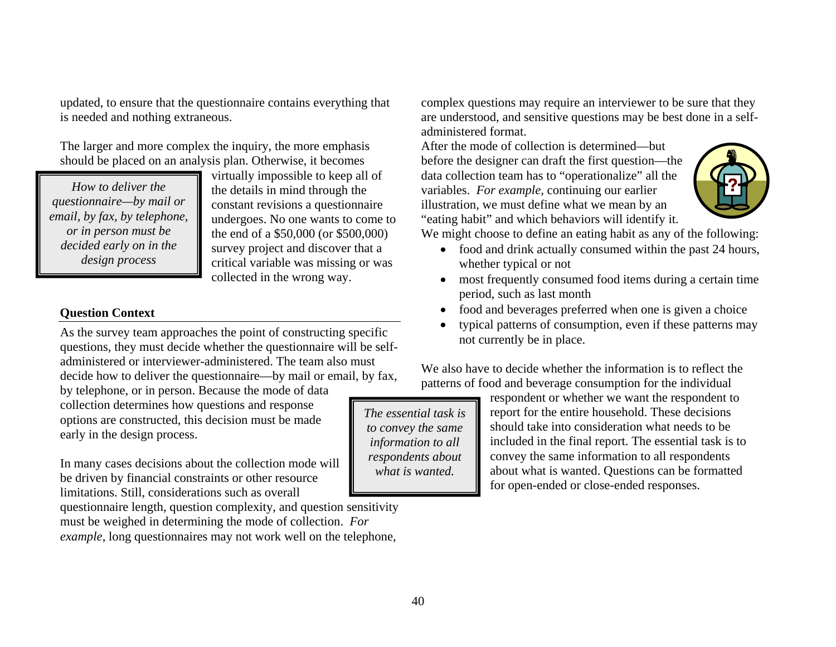updated, to ensure that the questionnaire contains everything that is needed and nothing extraneous.

The larger and m ore complex the inquiry, the more emphasis should be placed on an analysis plan. Otherwise, it becom es

*How to deliver the questionnaire—by mail or email, by fax, by telephone, or in person must be decided early on in the* 

virtually impossible to keep all of the details in mind through the constant revisions a questionnaire undergoes. No one wants to com e to the end of a \$50,000 (or \$500,000) survey project and discover that a critical variable was missing or was collected in the wrong way.

#### **Question C ontext**

As the survey team approaches the point of constructing specific questions, they m ust decide whether the questionnaire will be selfadministered or interviewer-administered. The team also mustdecide how to deliver the questionnaire—by m ail or email, by fax,

by telephone, or in person. Because the mode of data collection determines how questions and response options are constructed, this decision must be m ade early in the design process.

In many cases decisions about the collection mode will be driven by financial constraints or other resource limitations. Still, considerations suc h as overall

questionnair e length, question com plexity, and q uestion sensitivity must be weighed in determining the mode of collection. *For example*, long questionnaires m ay not work well on the telephone,

com plex questions m ay require an interviewer to be sure that they are understood, and sensitive questions m ay be best done in a selfadministered format.

After the mode of collection is determined—but before the designer can draft the first question—the data collection team has to "oper ationalize" all the variables. *For example*, continuing our earlier illustration, we m ust define what we m ean by an "eating habit" and which behaviors will identify it.



We might choose to define an eating habit as any of the following:

- *ded early on in the* survey project and discover that a **•** food and drink actually consumed within the past 24 hours, *design process* ritical variable was missing or was whether typical or not
	- most frequently consumed food items during a certain time period, such as last month
	- •food and beverages preferred when one is given a choice
	- •• typical patterns of consumption, even if these patterns may not currently be in place.

We also have to decide whether the information is to reflect the patterns of food and beverage consumption for the individual

*The essential task is to convey the same information to all respondents about what is wanted.* 

respondent or whether we want the respondent to report for the entire household. These decisions should take into consideration what needs to be included in the final report. The ess ential task is toconvey the sam e infor mation to all respondents about what is wanted. Questions can be for matted for open-ended or close-ended responses.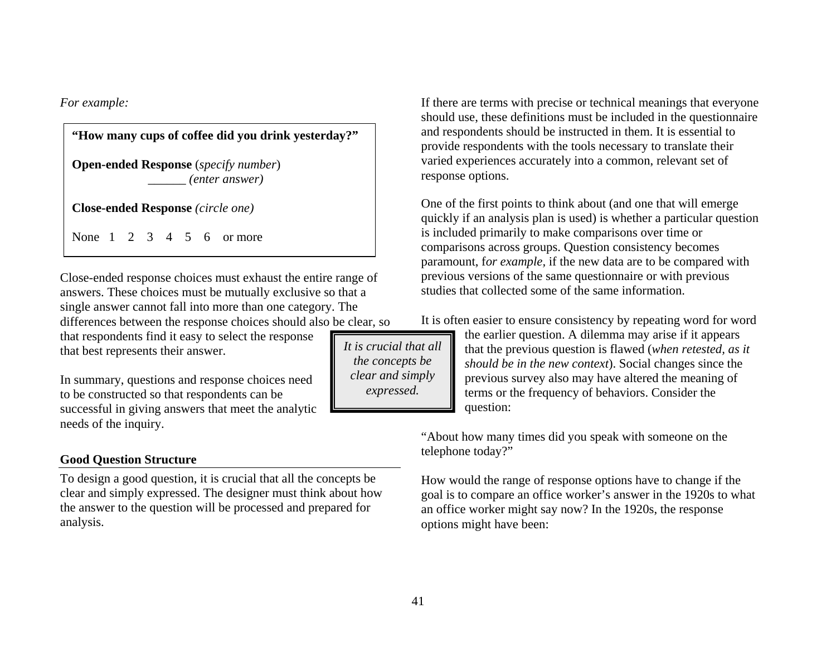*For example:* 

| "How many cups of coffee did you drink yesterday?"                            |  |  |  |  |  |  |                          |  |
|-------------------------------------------------------------------------------|--|--|--|--|--|--|--------------------------|--|
| <b>Open-ended Response</b> ( <i>specify number</i> )<br><i>(enter answer)</i> |  |  |  |  |  |  |                          |  |
| <b>Close-ended Response</b> (circle one)                                      |  |  |  |  |  |  |                          |  |
|                                                                               |  |  |  |  |  |  | None 1 2 3 4 5 6 or more |  |

Close-ended response choices must exhaust the entire range of answers. These choices must be mutually exclusive so that a single answer cannot fall into more than one category. The differences between the response choices should also be clear, so

that respondents find it easy to select the response that best represents their answer.

In summary, questions and response choices need to be constructed so that respondents can be successful in giving answers that meet the analytic needs of the inquiry.

#### **Good Question Structure**

To design a good question, it is crucial that all the concepts be clear and simply expressed. The designer must think about how the answer to the question will be processed and prepared for analysis.

If there are terms with precise or technical meanings that everyone should use, these definitions must be included in the questionnaire and respondents should be instructed in them. It is essential to provide respondents with the tools necessary to translate their varied experiences accurately into a common, relevant set of response options.

One of the first points to think about (and one that will emerge quickly if an analysis plan is used) is whether a particular question is included primarily to make comparisons over time or comparisons across groups. Question consistency becomes paramount, f*or example,* if the new data are to be compared with previous versions of the same questionnaire or with previous studies that collected some of the same information.

It is often easier to ensure consistency by repeating word for word

the earlier question. A dilemma may arise if it appears that the previous question is flawed (*when retested, as it should be in the new context*). Social changes since the previous survey also may have altered the meaning of terms or the frequency of behaviors. Consider the question:

"About how many times did you speak with someone on the telephone today?"

How would the range of response options have to change if the goal is to compare an office worker's answer in the 1920s to what an office worker might say now? In the 1920s, the response options might have been:

*It is crucial that all the concepts be clear and simply expressed.*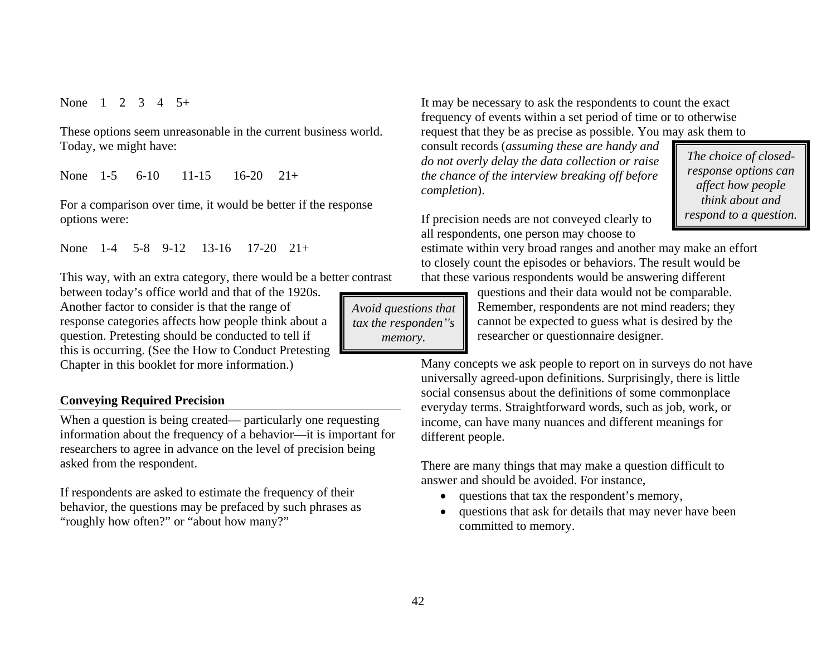None 1 2 3 4 5+

These options seem unreasonable in the current business world. Today, we might have:

None 1-5 6-10 11-15 16-20 21+

For a comparison over time, it would be better if the response options were:

```
None 1-4 5-8 9-12 13-16 17-20 21+
```
This way, with an extra category, there would be a better contrast

between today's office world and that of the 1920s. Another factor to consider is that the range of response categories affects how people think about a question. Pretesting should be conducted to tell if this is occurring. (See the How to Conduct Pretesting Chapter in this booklet for more information.)

#### **Conveying Required Precision**

When a question is being created— particularly one requesting information about the frequency of a behavior—it is important for researchers to agree in advance on the level of precision being asked from the respondent.

If respondents are asked to estimate the frequency of their behavior, the questions may be prefaced by such phrases as "roughly how often?" or "about how many?"

It may be necessary to ask the respondents to count the exact frequency of events within a set period of time or to otherwise request that they be as precise as possible. You may ask them to

consult records (*assuming these are handy and do not overly delay the data collection or raise the chance of the interview breaking off before completion*).

*The choice of closedresponse options can affect how people think about and respond to a question.*

If precision needs are not conveyed clearly to all respondents, one person may choose to

estimate within very broad ranges and another may make an effort to closely count the episodes or behaviors. The result would be that these various respondents would be answering different

*Avoid questions that tax the responden''s memory.* 

questions and their data would not be comparable. Remember, respondents are not mind readers; they cannot be expected to guess what is desired by the researcher or questionnaire designer.

Many concepts we ask people to report on in surveys do not have universally agreed-upon definitions. Surprisingly, there is little social consensus about the definitions of some commonplace everyday terms. Straightforward words, such as job, work, or income, can have many nuances and different meanings for different people.

There are many things that may make a question difficult to answer and should be avoided. For instance,

- •questions that tax the respondent's memory,
- • questions that ask for details that may never have been committed to memory.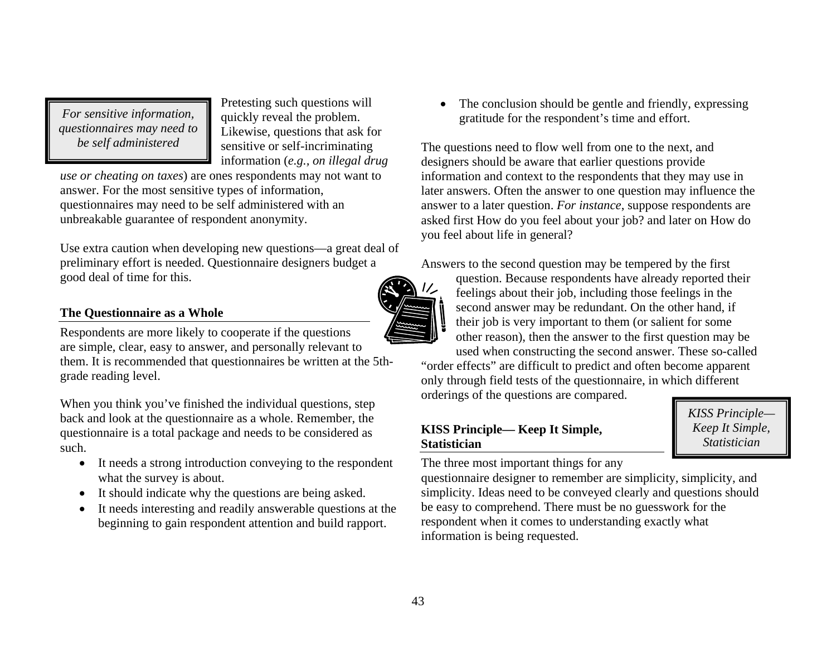Pretesting such questions will quickly reveal the problem. Likewise, questions that ask for sensitive or self-incriminating information (*e.g., on illegal drug* 

*use or cheating on taxes*) are ones respondents may not want to answer. For the most sensitive types of information, questionnaires may need to be self administered with an unbreakable guarantee of respondent anonymity.

Use extra caution when developing new questions—a great deal of preliminary effort is needed. Questionnaire designers budget a good deal of time for this.

#### **The Questionnaire as a Whole**

grade reading level.

Respondents are more likely to cooperate if the questions are simple, clear, easy to answer, and personally relevant to them. It is recommended that questionnaires be written at the 5th-

When you think you've finished the individual questions, step back and look at the questionnaire as a whole. Remember, the questionnaire is a total package and needs to be considered as such.

- It needs a strong introduction conveying to the respondent what the survey is about.
- It should indicate why the questions are being asked.
- It needs interesting and readily answerable questions at the beginning to gain respondent attention and build rapport.

• The conclusion should be gentle and friendly, expressing For sensitive information, quickly reveal the problem. gratitude for the respondent's time and effort.<br>*questionnaires may need to* **i** ikewise questions that ask for

*be self administered* **The guestions need to flow well from one to the next, and** designers should be aware that earlier questions provide information and context to the respondents that they may use in later answers. Often the answer to one question may influence the answer to a later question. *For instance*, suppose respondents are asked first How do you feel about your job? and later on How do you feel about life in general?

Answers to the second question may be tempered by the first



question. Because respondents have already reported their feelings about their job, including those feelings in the second answer may be redundant. On the other hand, if their job is very important to them (or salient for some other reason), then the answer to the first question may be used when constructing the second answer. These so-called

> *KISS Principle— Keep It Simple, Statistician*

"order effects" are difficult to predict and often become apparent only through field tests of the questionnaire, in which different orderings of the questions are compared.

#### **KISS Principle— Keep It Simple, Statistician**

The three most important things for any

questionnaire designer to remember are simplicity, simplicity, and simplicity. Ideas need to be conveyed clearly and questions should be easy to comprehend. There must be no guesswork for the respondent when it comes to understanding exactly what information is being requested.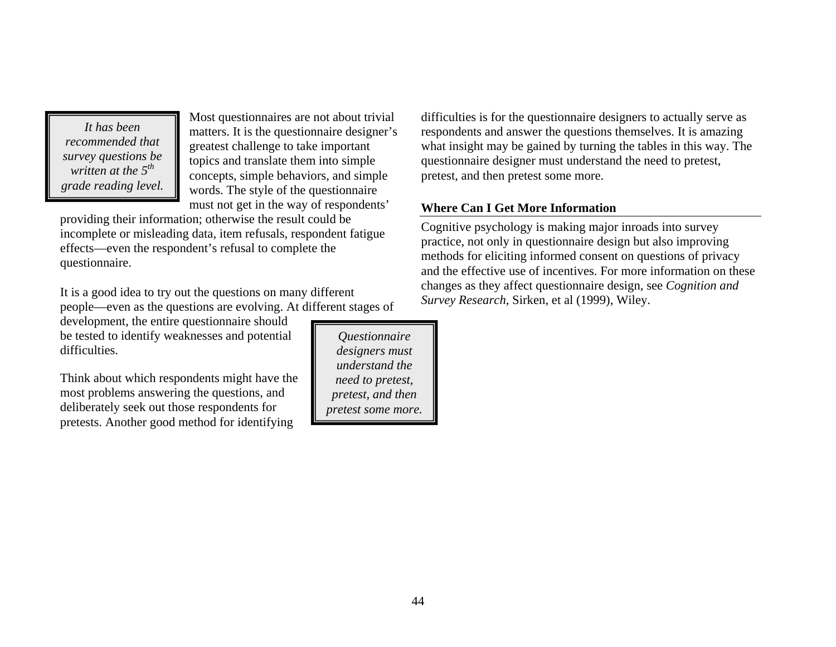*It has been recommended that survey questions be written at the 5th grade reading level.*

Most questionnaires are not about trivial matters. It is the questionnaire designer's greatest challenge to take important topics and translate them into simple concepts, simple behaviors, and simple words. The style of the questionnaire must not get in the way of respondents'

providing their information; otherwise the result could be incomplete or misleading data, item refusals, respondent fatigue effects—even the respondent's refusal to complete the questionnaire.

It is a good idea to try out the questions on many different people—even as the questions are evolving. At different stages of

development, the entire questionnaire should be tested to identify weaknesses and potential difficulties.

Think about which respondents might have the most problems answering the questions, and deliberately seek out those respondents for pretests. Another good method for identifying

*Questionnaire designers must understand the need to pretest, pretest, and then pretest some more.*

difficulties is for the questionnaire designers to actually serve as respondents and answer the questions themselves. It is amazing what insight may be gained by turning the tables in this way. The questionnaire designer must understand the need to pretest, pretest, and then pretest some more.

#### **Where Can I Get More Information**

Cognitive psychology is making major inroads into survey practice, not only in questionnaire design but also improving methods for eliciting informed consent on questions of privacy and the effective use of incentives. For more information on these changes as they affect questionnaire design, see *Cognition and Survey Research,* Sirken, et al (1999), Wiley.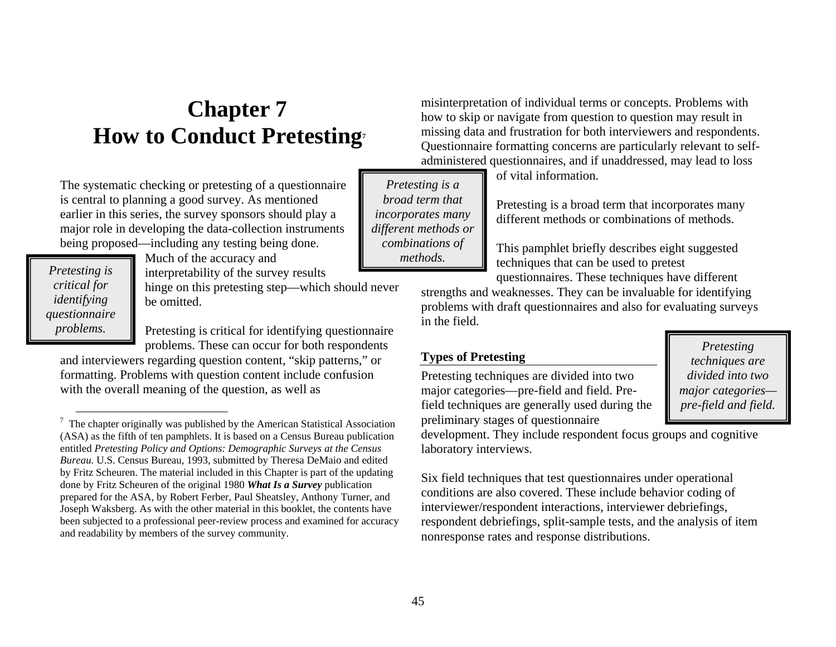### **Chapter 7 How to Conduct Pretesting7**

The systematic checking or pretesting of a questionnaire is central to planning a good survey. As m entioned earlier in this series, the survey sponsors should play a major role in developing the data-collection instrum ents being proposed—including any testing being done.

be omitted.

*Pretesting is critical for identifying questionnaire problems.* 

Much of the accuracy and interpretability of the survey results hinge on this pretesting step—which should never

Pretesting is critical for identifying questionnaire problems. These can occur for both respondents

and interviewers regarding question content, "skip patterns," or for matting. Problems with question content include confusion with the overall meaning of the question, as well as

misinterpretation of individual terms or concepts. Problems with how to skip or navigate from question to question m ay result in missing data and frustration for both interviewers and respondents. Questionnaire formatting concerns are particularly relevant to selfadministered questionnaires, and if unaddressed, m ay lead to loss

of vital information.

Pretesting is a broad term that incorporates m any different methods or combinations of methods.

This pamphlet briefly describes eight suggested techniques that can be used to pretest questionnaires. These techniques have different

strengths and weaknesses. They can be invaluable for identifying problems with draft questionnaires and also for evaluating surveys in the field.

#### **Types of Pretesting**

Pretesting techniques are divided into two major categories—pre-field and field. Prefield techniq ues are g enerally used d uring the preliminary stages of questionnaire

*Pretesting techniques are divided into two major categ oriespre-field and field.*

development. They inclu de respondent focus groups and cog nitive laboratory interviews.

Six field techniques that test questionnaires under operational conditions are also covered. These include behavior coding of interviewer/respondent interactions, interviewer debriefings, respondent debriefings, split-sample tests, and the analysis of item nonresponse rates and response distributions.

*Pretesting is a broad term that incorporates many different methods or combinations of methods.*

 $\sigma$  The chapter originally was published by the American Statistical Association (AS A) as the fifth of ten pamphlets. It is based on a Census B urea u publication entitled *Pretesting Policy and Options: Demograp hic Surveys at the Census Bureau.* U.S. Census Bureau, 1993, s ubmitted by T heresa DeMaio and edited b y Fritz Scheuren. The material inclu ded in this Chapter is part of the updating done by Fritz Scheuren of the original 1980 *What Is a Survey* pu blication prepared for the ASA, b y Robert Ferber, Paul Sheatsley, Anthony T urner, and Josep h Waksberg. As with the other material in this booklet, the co ntents have been s ubjected to a professional peer-review process and e xamined for accuracy and readability b y members of the survey commu nity.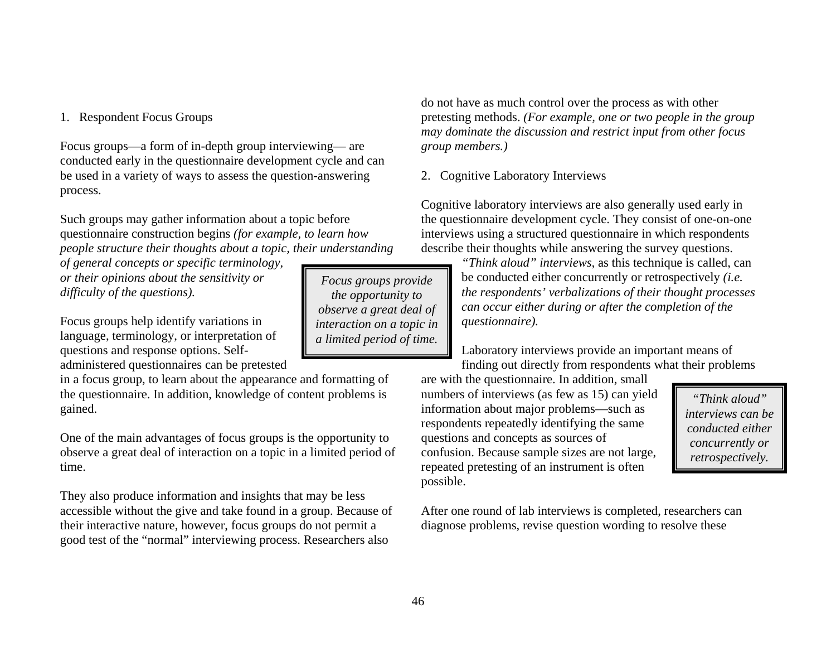Focus groups—a form of in-depth group interviewing— are conducted early in the questionnaire development cycle and can be used in a variety of ways to assess the question-answering process.

Such groups may gather information about a topic before questionnaire construction begins *(for example, to learn how people structure their thoughts about a topic, their understanding* 

*of general concepts or specific terminology, or their opinions about the sensitivity or difficulty of the questions).* 

Focus groups help identify variations in language, terminology, or interpretation of questions and response options. Selfadministered questionnaires can be pretested

in a focus group, to learn about the appearance and formatting of the questionnaire. In addition, knowledge of content problems is gained.

One of the main advantages of focus groups is the opportunity to observe a great deal of interaction on a topic in a limited period of time.

They also produce information and insights that may be less accessible without the give and take found in a group. Because of their interactive nature, however, focus groups do not permit a good test of the "normal" interviewing process. Researchers also

*Focus groups provide the opportunity to observe a great deal of interaction on a topic in a limited period of time.*

do not have as much control over the process as with other pretesting methods. *(For example, one or two people in the group may dominate the discussion and restrict input from other focus group members.)*

2. Cognitive Laboratory Interviews

Cognitive laboratory interviews are also generally used early in the questionnaire development cycle. They consist of one-on-one interviews using a structured questionnaire in which respondents describe their thoughts while answering the survey questions.

> *"Think aloud" interviews,* as this technique is called, can be conducted either concurrently or retrospectively *(i.e. the respondents' verbalizations of their thought processes can occur either during or after the completion of the questionnaire).*

> Laboratory interviews provide an important means of finding out directly from respondents what their problems

are with the questionnaire. In addition, small numbers of interviews (as few as 15) can yield information about major problems—such as respondents repeatedly identifying the same questions and concepts as sources of confusion. Because sample sizes are not large, repeated pretesting of an instrument is often possible.

*"Think aloud" interviews can be conducted either concurrently or retrospectively.* 

After one round of lab interviews is completed, researchers can diagnose problems, revise question wording to resolve these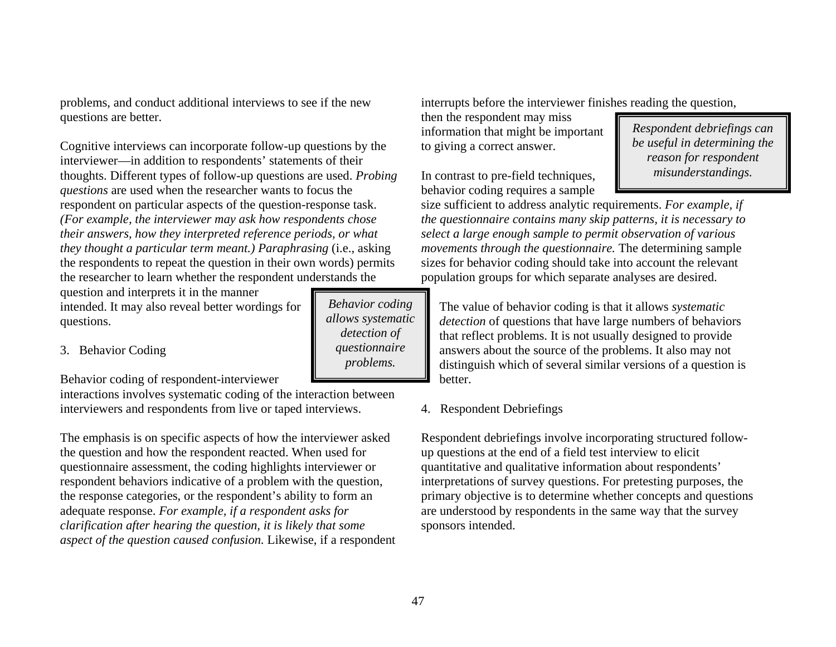problems, and conduct additional interviews to see if the new questions are better.

Cognitive interviews can incorporate follow-up questions by the interviewer—in addition to respondents' statements of their thoughts. Different types of follow-up questions are used. *Probing questions* are used when the researcher wants to focus the respondent on particular aspects of the question-response task. *(For example, the interviewer may ask how respondents chose their answers, how they interpreted reference periods, or what they thought a particular term meant.) Paraphrasing* (i.e., asking the respondents to repeat the question in their own words) permits the researcher to learn whether the respondent understands the

question and interprets it in the manner intended. It may also reveal better wordings for questions.

3. Behavior Coding

#### Behavior coding of respondent-interviewer

interactions involves systematic coding of the interaction between interviewers and respondents from live or taped interviews.

The emphasis is on specific aspects of how the interviewer asked the question and how the respondent reacted. When used for questionnaire assessment, the coding highlights interviewer or respondent behaviors indicative of a problem with the question, the response categories, or the respondent's ability to form an adequate response. *For example, if a respondent asks for clarification after hearing the question, it is likely that some aspect of the question caused confusion.* Likewise, if a respondent interrupts before the interviewer finishes reading the question,

then the respondent may miss information that might be important to giving a correct answer.

In contrast to pre-field techniques, behavior coding requires a sample

*Respondent debriefings can be useful in determining the reason for respondent misunderstandings.*

size sufficient to address analytic requirements. *For example, if the questionnaire contains many skip patterns, it is necessary to select a large enough sample to permit observation of various movements through the questionnaire.* The determining sample sizes for behavior coding should take into account the relevant population groups for which separate analyses are desired.

The value of behavior coding is that it allows *systematic detection* of questions that have large numbers of behaviors that reflect problems. It is not usually designed to provide answers about the source of the problems. It also may not distinguish which of several similar versions of a question is better.

4. Respondent Debriefings

Respondent debriefings involve incorporating structured followup questions at the end of a field test interview to elicit quantitative and qualitative information about respondents' interpretations of survey questions. For pretesting purposes, the primary objective is to determine whether concepts and questions are understood by respondents in the same way that the survey sponsors intended.

*Behavior coding allows systematic detection of questionnaire problems.*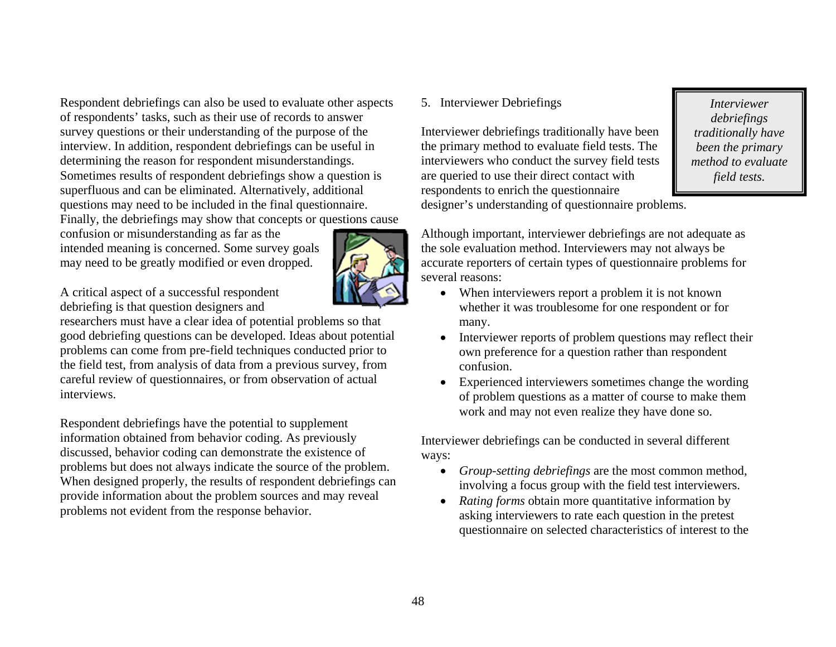Respondent debriefings can also be used to evaluate other aspects of respondents' tasks, such as their use of records to answer survey questions or their understanding of the purpose of the interview. In addition, respondent debriefings can be useful in determining the reason for respondent misunderstandings. Sometimes results of respondent debriefings show a question is superfluous and can be eliminated. Alternatively, additional questions may need to be included in the final questionnaire. Finally, the debriefings may show that concepts or questions cause

confusion or misunderstanding as far as the intended meaning is concerned. Some survey goals may need to be greatly modified or even dropped.

A critical aspect of a successful respondent debriefing is that question designers and

researchers must have a clear idea of potential problems so that good debriefing questions can be developed. Ideas about potential problems can come from pre-field techniques conducted prior to the field test, from analysis of data from a previous survey, from careful review of questionnaires, or from observation of actual interviews.

Respondent debriefings have the potential to supplement information obtained from behavior coding. As previously discussed, behavior coding can demonstrate the existence of problems but does not always indicate the source of the problem. When designed properly, the results of respondent debriefings can provide information about the problem sources and may reveal problems not evident from the response behavior.

Interviewer debriefings traditionally have been the primary method to evaluate field tests. The interviewers who conduct the survey field tests are queried to use their direct contact with respondents to enrich the questionnaire designer's understanding of questionnaire problems.

*Interviewer debriefings traditionally have been the primary method to evaluate field tests.* 

Although important, interviewer debriefings are not adequate as the sole evaluation method. Interviewers may not always be accurate reporters of certain types of questionnaire problems for several reasons:

- When interviewers report a problem it is not known whether it was troublesome for one respondent or for many.
- • Interviewer reports of problem questions may reflect their own preference for a question rather than respondent confusion.
- Experienced interviewers sometimes change the wording of problem questions as a matter of course to make them work and may not even realize they have done so.

Interviewer debriefings can be conducted in several different ways:

- *Group-setting debriefings* are the most common method, involving a focus group with the field test interviewers.
- • *Rating forms* obtain more quantitative information by asking interviewers to rate each question in the pretest questionnaire on selected characteristics of interest to the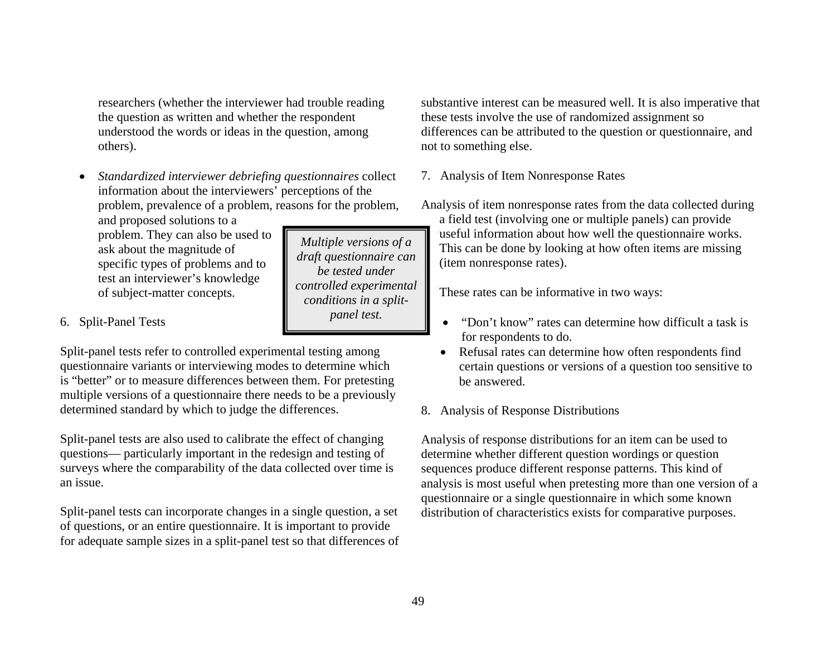researchers (whether the interviewer had trouble reading the question as written and whether the respondent understood the words or ideas in the question, among others).

• *Standardized interviewer debriefing questionnaires* collect information about the interviewers' perceptions of the problem, prevalence of a problem, reasons for the problem,

> *Multiple versions of a draft questionnaire can be tested under controlled experimental conditions in a split-*

and proposed solutions to a problem. They can also be used to ask about the magnitude of specific types of problems and to test an interviewer's knowledge of subject-matter concepts.

6. Split-Panel Tests

Split-panel tests refer to controlled experimental testing among questionnaire variants or interviewing modes to determine which is "better" or to measure differences between them. For pretesting multiple versions of a questionnaire there needs to be a previously determined standard by which to judge the differences.

Split-panel tests are also used to calibrate the effect of changing questions— particularly important in the redesign and testing of surveys where the comparability of the data collected over time is an issue.

Split-panel tests can incorporate changes in a single question, a set of questions, or an entire questionnaire. It is important to provide for adequate sample sizes in a split-panel test so that differences of substantive interest can be measured well. It is also imperative that these tests involve the use of randomized assignment so differences can be attributed to the question or questionnaire, and not to something else.

7. Analysis of Item Nonresponse Rates

Analysis of item nonresponse rates from the data collected during a field test (involving one or multiple panels) can provide useful information about how well the questionnaire works. This can be done by looking at how often items are missing (item nonresponse rates).

*panel test.* These rates can be informative in two ways:<br>*panel test.*  $\sqrt{D}$   $\rightarrow$   $\sqrt{D}$ 

- "Don't know" rates can determine how difficult a task is for respondents to do.
- • Refusal rates can determine how often respondents find certain questions or versions of a question too sensitive to be answered.
- 8. Analysis of Response Distributions

Analysis of response distributions for an item can be used to determine whether different question wordings or question sequences produce different response patterns. This kind of analysis is most useful when pretesting more than one version of a questionnaire or a single questionnaire in which some known distribution of characteristics exists for comparative purposes.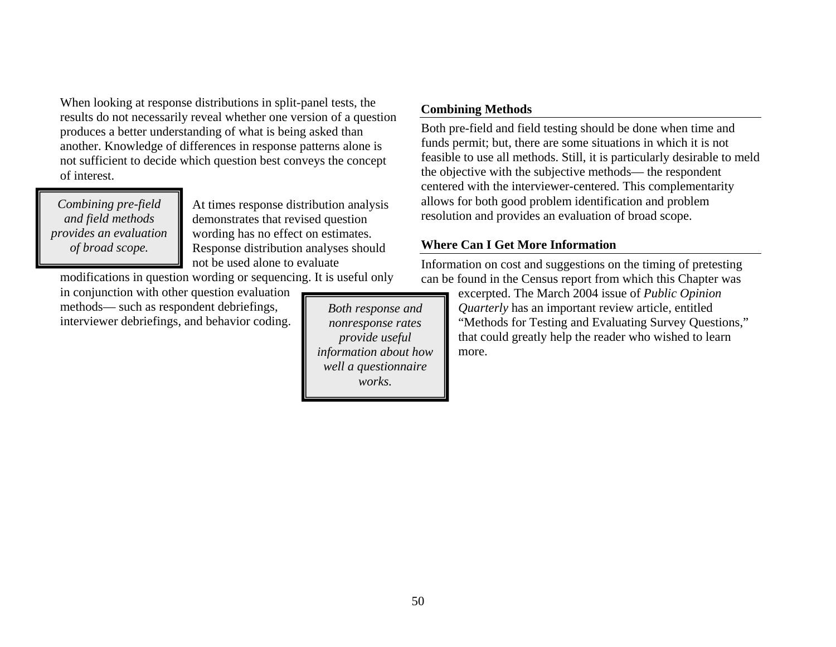When looking at response distributions in split-panel tests, the results do not necessarily reveal whether one version of a question produces a better understanding of what is being asked than another. Knowledge of differences in response patterns alone is not sufficient to decide which question best conveys the concept of interest.

*Combining pre-field and field methods provides an evaluation* 

At times response distribution analysis demonstrates that revised question wording has no effect on estimates. of broad scope. **Response distribution analyses should Where Can I Get More Information** not be used alone to evaluate

modifications in question wording or sequencing. It is useful only

in conjunction with other question evaluation methods— such as respondent debriefings, interviewer debriefings, and behavior coding.

*Both response and nonresponse rates provide useful information about how well a questionnaire works.*

#### **Combining Methods**

Both pre-field and field testing should be done when time and funds permit; but, there are some situations in which it is not feasible to use all methods. Still, it is particularly desirable to meld the objective with the subjective methods— the respondent centered with the interviewer-centered. This complementarity allows for both good problem identification and problem resolution and provides an evaluation of broad scope.

Information on cost and suggestions on the timing of pretesting can be found in the Census report from which this Chapter was

excerpted. The March 2004 issue of *Public Opinion Quarterly* has an important review article, entitled "Methods for Testing and Evaluating Survey Questions," that could greatly help the reader who wished to learn more.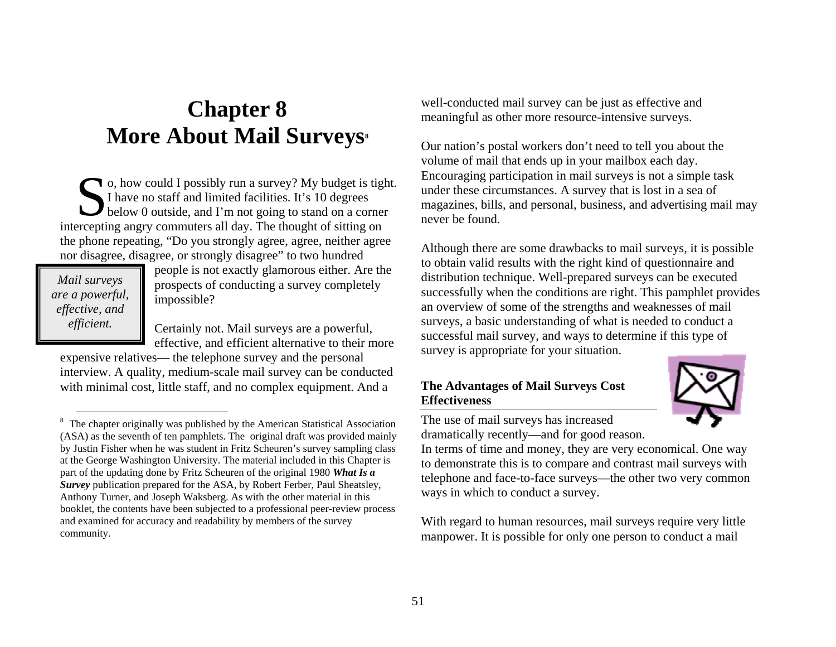### **Chapter 8 More About Mail Surveys**

o, how could I possibly run a survey? My budget is tight. I have no staff and li mited facilities. It's 10 degrees below 0 outside, and I'm not going to stand on a corner intercepting angry commuters all day. The thought of sitting on the phone repeating, "Do you strongly agree, agree, neither agree nor disagree, disagree, or strongly disagree" to two hundred  $\mathbf{S}^{\scriptscriptstyle{\mathrm{0},\mathrm{l}}} _{\scriptscriptstyle{\mathrm{bel}}}$ 

*Mail surveys are a powerful, effective, and efficient.* 

people is not exactly glamorous either. Are the prospects of conducting a survey completely impossible?

Certainly not. Mail surveys are a powerful, effective, and efficient alternative to their m ore

expensive relatives— the telephone survey and the personal interview. A quality, m edium-scale mail survey can be conducted with mini m al cost, little staff, and no com plex equipment. And a

well-conducted m ail survey can be just as effective and meaningful as other m ore resource-intensive surveys.

Our nation's postal workers don't need to tell you about the volume of mail that ends up in your m ailbox each day. Encouraging participation in m ail sur veys is not a sim ple task under these circumstances. A survey that is lost in a sea of m agazines, bills, and personal, business, and adv ertising m ail m ay never be found.

Although there are som e drawbacks to m ail surveys, it is possible to obtain valid results with the right kind of questionnaire and distribution technique. Well-prepared surveys can be executed successfully when the conditions are right. This pamphlet provides an overview of some of t he strengths and weaknesses of m ail surveys, a basic understanding of what is needed to conduct a successful m ail survey, and ways to determine if this typ e of survey is appropriate for your situation.

#### **The Advantages of Mail Surveys Cost Effectiveness**



The use of mail surveys has increased dramatically recently—and for good reason.

In terms of time and money, they are very economical. One way to demonstrate this is to com pare and contrast mail surveys with telephone and face-to-face surveys—the other two very common ways in which to conduct a survey.

With regard to human resources, mail surveys req uire very little manpower. It is possible for only one person to conduct a m ail

<sup>&</sup>lt;sup>8</sup> The chapter originally was published by the American Statistical Association (AS A) as the seventh of ten pamphlets. T he original draft was provided mainly by Justin Fisher w hen he was student i n Fritz Sche uren's s urvey sampling class at the George Washington University. The material inclu ded in this Chapter is part of the u p dating done by Fritz Scheuren of the original 1980 *What Is a*  Survey publication prepared for the ASA, by Robert Ferber, Paul Sheatsley, Anthony Turner, and Josep h Waksberg. As with the other material in this booklet, t he contents have been s ubjected to a professional peer-review process and examined for accuracy and readability by members of the survey comm u nity.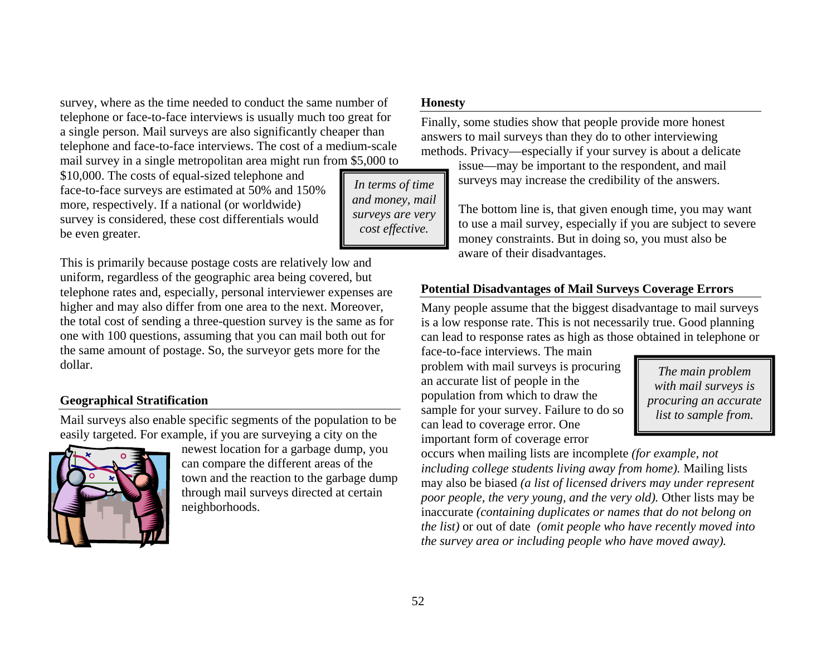survey, where as the time needed to conduct the sam e numb er of telephone or face-to-face interviews is usually m uch too great for a single person. Mail surveys are also significantly cheaper than telephone and face-to-face interviews. The cost of a m edium-scale m ail survey in a single m etropolitan area might run from \$5,000 to

\$10,000. The costs of equal-sized telephone and face-to-face surveys are estimated at 50% and 150% more, respectively. If a n ational (or worldwide) survey is considered, these cost differentials would be even greater.

This is primarily becaus e postage costs are relatively low and uniform, regardless of the geographic area being covered, but telephone rates and, especially, personal interviewer expenses are higher and m ay also differ from one area to the next. Moreover, the total cost of sending a three-question survey is the sam e as for one with 100 questions, assuming that you can m ail both out for the sam e a mount of postage. So, the surveyor gets m ore for t he dollar.

#### **Geographical Stratification**

Mail surveys also enable specific segments of the population to be easily targeted. For example, if you are surveying a city on the



newest location for a garbage dump, you can compare the different areas of the town and the reaction to the garbage dum p through m ail surveys directed at certain neighborhoods.

#### **Honesty**

*and money, mail surveys are very cost effective.* 

Finally, some studies show that people provide m ore honest answers to m ail surveys than they d o to other interviewing methods. Privacy—especially if your survey is about a delicate

issue—m ay be important to the respondent, and m ail In terms of time **surveys** may increase the credibility of the answers.

> The bottom line is, that given enough time, you m ay want to use a mail survey, especially if you are subject to severe money constraints. But in doing so, you m ust also be aware of their disadvantages.

#### **Potential Disadvantages of Mail Surveys Coverage Errors**

Many people assum e that the biggest disadvantage to m ail surveys is a low response rate. T his is not necessarily true. Good planning can lead to response rates as high as those obtained in telephone or

face-to-face interviews. The main problem with m ail surveys is procuring an accurate list of people in the population from which to draw the sam ple for your survey. Failure to do so can lead to coverage error. One important form of coverage error

*The main problem with mail surveys is procuring an accurate list to sample from.* 

occurs when mailing lists are incom plete *(for example, not including college students living away from home).* Mailing lists m ay also be biased *(a list of licensed drivers may under represent poor people, the very young, and the very old).* Other lists m ay be inaccurate *(containing duplicates or names that do not belong on the list)* or out of date *(omit people who have recently moved into the survey area or including people who have moved away).*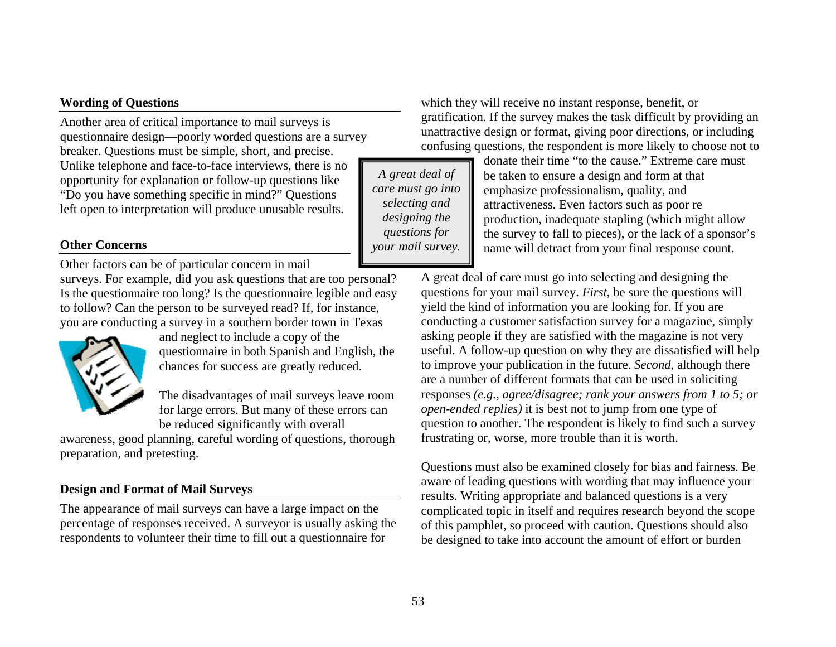#### **Wording of Questions**

Another area of critical importance to mail surveys is questionnaire design—poorly worded questions are a survey breaker. Questions m ust be simple, short, and precise. Unlike telephone and face-to-face interviews, there is no opportunity for explanation or follow-up questions like "Do you have som ething specific in mind?" Questions left open to interpretation will produce unusable results.

#### **Other Concerns**

Other factors can be of particular concern in m ail

surveys. For example, did you ask questions that are too personal? Is the questionnaire too long? Is the questionnaire legible and easy to follow? Can the person to be surveyed read? If, for instance, you are conducting a survey in a southern border town in Texas



and neglect to include a copy of the questionnaire in both Spanish and English, the chances for success are greatly reduced.

The disadvantages of m ail surveys leave room for large errors. But m any of these errors can be reduced significantly with overall

awareness, good planning, careful w ording of questions, thorough preparation, and pretesting.

#### **Design and Format of Mail Surveys**

The appearance of m ail surveys can have a large impact on the percentage of responses received. A surveyor is usually askin g the respondents to volunteer their time to fill out a questionnaire for

which they will receiv e no instant response, benefit, or gratification. If the surve y m akes the task difficult by providing an unattractive design or format, giving poor directions, or including confusing questions, the respondent is m ore likely to choose not to

*A great deal of care must g o into selecting and designing the questions for your mail survey.*

donate their time "to the cause." Extreme care must be taken to ensure a design and for m at that emphasize professionalism, quality, and attractiveness. Even factors such as poor re production, inadequate stapling (which might allow the survey to fall to pieces), or the lack of a sponsor's nam e will d etract from your final response count.

A great deal of care m ust go into selecting and designing the questions for your m ail survey. *First*, be sure the questions will yield the kind of infor mation you are looking for. If you are conducting a customer satisfaction survey for a m agazine, simply asking people if they are satisfied with the m agazine is not very useful. A follow-up question on why they are dissatisfied will help to improve your publication in the future. *Second*, although there are a number of different for mats that can be used in soliciting responses *(e.g., agree/disagree; rank your answers from 1 to 5; or open-ended replies)* it is best not to jum p from one type of question to another. The respondent is likely to find such a survey frustrating or, worse, m ore trouble than it is worth.

Questions must also be examined closely for bias and fairness. Be aware of leading questions with wording that m ay influence your results. Writing appropriate and balanced questions is a very complicated topic in itself and requires research beyond the scope of this pam phlet, so proceed with caution. Questions should also be designed to take into account the amount of effort or burden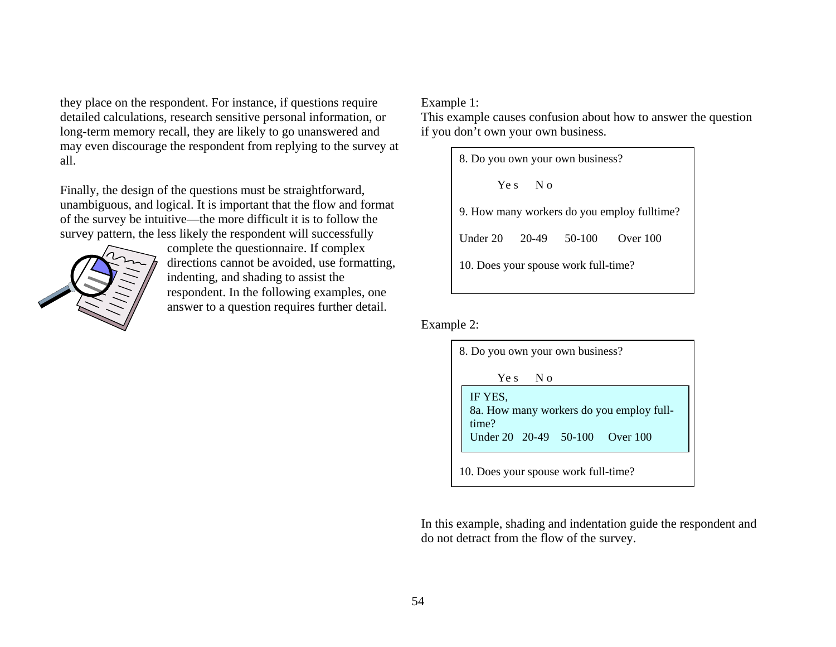they place on the respondent. For instance, if questions require detailed calculations, research sensitive personal information, or long-term memory recall, they are likely to go unanswered and may even discourage the respondent from replying to the survey at all.

Finally, the design of the questions must be straightforward, unambiguous, and logical. It is important that the flow and format of the survey be intuitive—the more difficult it is to follow the survey pattern, the less likely the respondent will successfully



complete the questionnaire. If complex directions cannot be avoided, use formatting, indenting, and shading to assist the respondent. In the following examples, one answer to a question requires further detail.

#### Example 1:

This example causes confusion about how to answer the question if you don't own your own business.

| 8. Do you own your own business?            |            |  |                         |  |  |  |  |
|---------------------------------------------|------------|--|-------------------------|--|--|--|--|
|                                             | $Yes \tNo$ |  |                         |  |  |  |  |
| 9. How many workers do you employ fulltime? |            |  |                         |  |  |  |  |
| Under 20                                    |            |  | $20-49$ 50-100 Over 100 |  |  |  |  |
| 10. Does your spouse work full-time?        |            |  |                         |  |  |  |  |

Example 2:

8. Do you own your own business? Ye s N o 10. Does your spouse work full-time? IF YES, 8a. How many workers do you employ fulltime? Under 20 20-49 50-100 Over 100

In this example, shading and indentation guide the respondent and do not detract from the flow of the survey.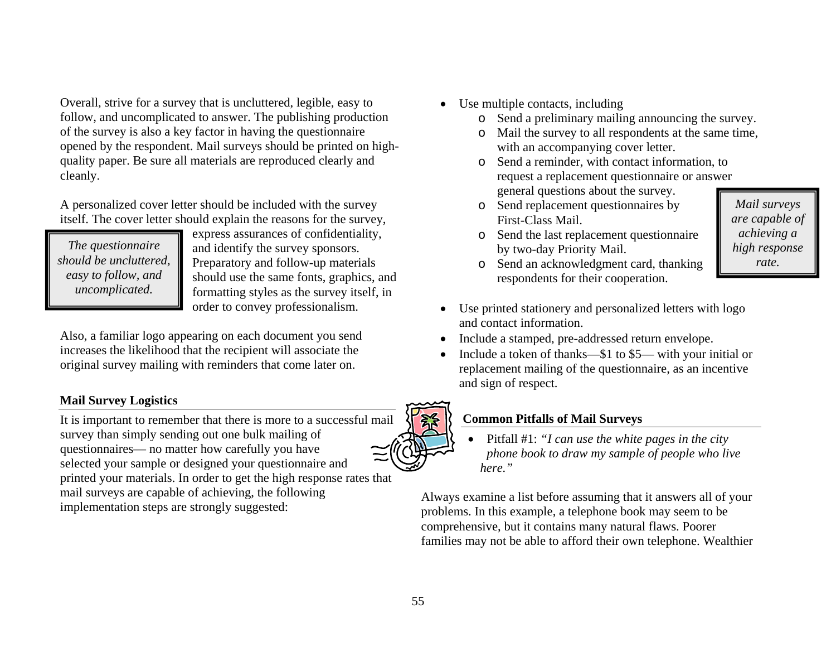Overall, strive for a survey that is uncluttered, legible, easy to follow, and uncomplicated to answer. The publishing production of the survey is also a key factor in having the questionnaire opened by the respondent. Mail surveys should be printed on highquality paper. Be sure all materials are reproduced clearly and cleanly.

A personalized cover letter should be included with the survey itself. The cover letter should explain the reasons for the survey,

*easy to follow, and uncomplicated.*

express assurances of confidentiality, The questionnaire and identify the survey sponsors.<br>
should be uncluttered, Preparatory and follow-up materials and the Send an acknowledgment Preparatory and follow-up materials should use the same fonts, graphics, and formatting styles as the survey itself, in order to convey professionalism.

Also, a familiar logo appearing on each document you send increases the likelihood that the recipient will associate the original survey mailing with reminders that come later on.

#### **Mail Survey Logistics**

It is important to remember that there is more to a successful mail survey than simply sending out one bulk mailing of questionnaires— no matter how carefully you have selected your sample or designed your questionnaire and printed your materials. In order to get the high response rates that mail surveys are capable of achieving, the following implementation steps are strongly suggested:

- • Use multiple contacts, including
	- o Send a preliminary mailing announcing the survey.
	- o Mail the survey to all respondents at the same time, with an accompanying cover letter.
	- o Send a reminder, with contact information, to request a replacement questionnaire or answer general questions about the survey.
	- o Send replacement questionnaires by First-Class Mail.
	- o Send the last replacement questionnaire
	- o Send an acknowledgment card, thanking respondents for their cooperation.

*Mail surveys are capable of achieving a high response rate.* 

- • Use printed stationery and personalized letters with logo and contact information.
- •Include a stamped, pre-addressed return envelope.
- • Include a token of thanks—\$1 to \$5— with your initial or replacement mailing of the questionnaire, as an incentive and sign of respect.

#### **Common Pitfalls of Mail Surveys**

• Pitfall #1: *"I can use the white pages in the city phone book to draw my sample of people who live here."* 

Always examine a list before assuming that it answers all of your problems. In this example, a telephone book may seem to be comprehensive, but it contains many natural flaws. Poorer families may not be able to afford their own telephone. Wealthier

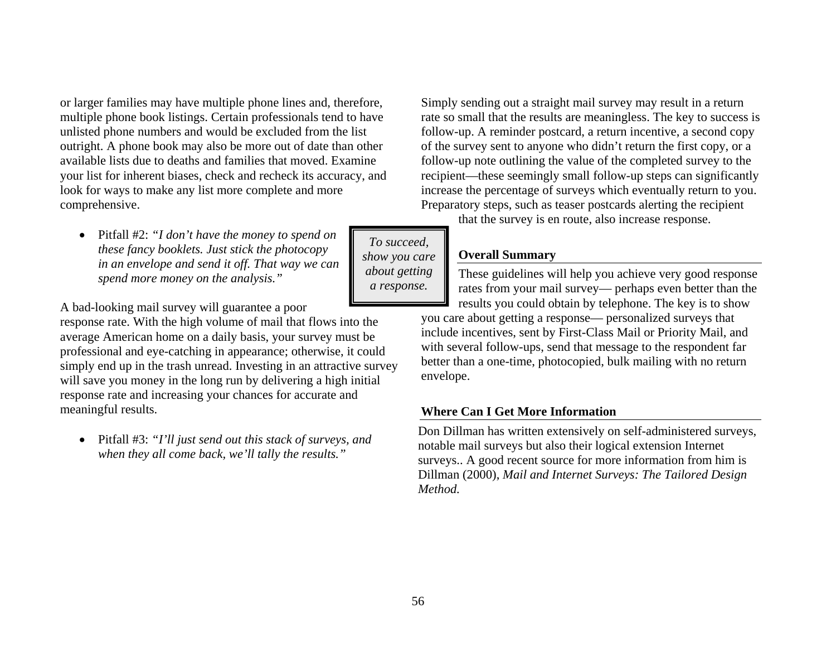or larger families may have multiple phone lines and, therefore, multiple phone book listings. Certain professionals tend to have unlisted phone numbers and would be excluded from the list outright. A phone book may also be more out of date than other available lists due to deaths and families that moved. Examine your list for inherent biases, check and recheck its accuracy, and look for ways to make any list more complete and more comprehensive.

• Pitfall #2: *"I don't have the money to spend on these fancy booklets. Just stick the photocopy in an envelope and send it off. That way we can spend more money on the analysis."* 

A bad-looking mail survey will guarantee a poor

response rate. With the high volume of mail that flows into the average American home on a daily basis, your survey must be professional and eye-catching in appearance; otherwise, it could simply end up in the trash unread. Investing in an attractive survey will save you money in the long run by delivering a high initial response rate and increasing your chances for accurate and meaningful results.

• Pitfall #3: *"I'll just send out this stack of surveys, and when they all come back, we'll tally the results."*

Simply sending out a straight mail survey may result in a return rate so small that the results are meaningless. The key to success is follow-up. A reminder postcard, a return incentive, a second copy of the survey sent to anyone who didn't return the first copy, or a follow-up note outlining the value of the completed survey to the recipient—these seemingly small follow-up steps can significantly increase the percentage of surveys which eventually return to you. Preparatory steps, such as teaser postcards alerting the recipient

that the survey is en route, also increase response.

#### **Overall Summary**

These guidelines will help you achieve very good response rates from your mail survey— perhaps even better than the results you could obtain by telephone. The key is to show

you care about getting a response— personalized surveys that include incentives, sent by First-Class Mail or Priority Mail, and with several follow-ups, send that message to the respondent far better than a one-time, photocopied, bulk mailing with no return envelope.

#### **Where Can I Get More Information**

Don Dillman has written extensively on self-administered surveys, notable mail surveys but also their logical extension Internet surveys.. A good recent source for more information from him is Dillman (2000), *Mail and Internet Surveys: The Tailored Design Method.*

*To succeed, show you care about getting a response.*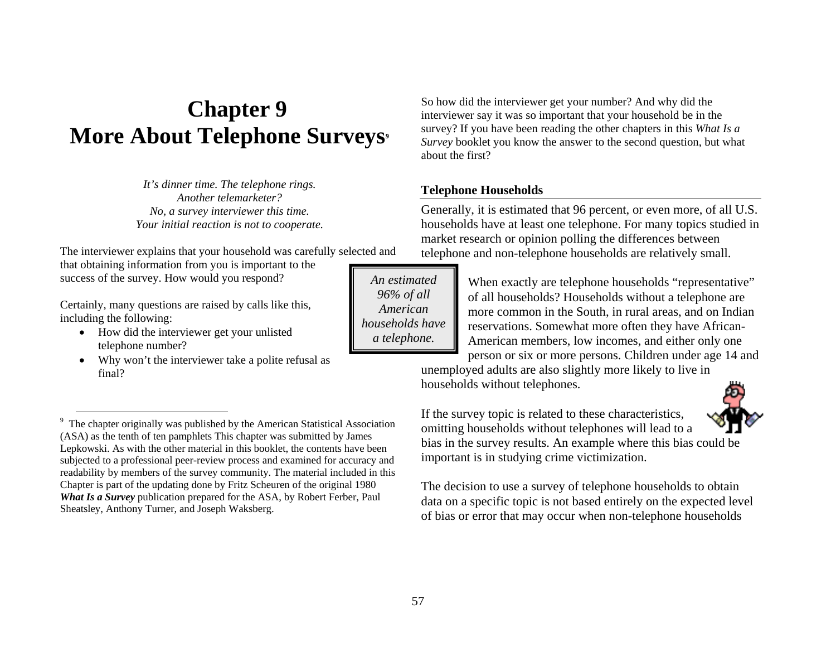### **Chapter 9 More About Telephone Surveys**

*It's dinner time. The telephone rings. Another telemarketer? No, a survey interviewer this time. Your initial reaction is not to cooperate.*

The interviewer explains that your household was carefully selected and

that obtaining information from you is important to the success of the survey. How would you respond?

Certainly, many questions are raised by calls like this, including the following:

- How did the interviewer get your unlisted telephone number?
- Why won't the interviewer take a polite refusal as final?

So how did the interviewer get your number? And why did the interviewer say it was so important that your household be in the survey? If you have been reading the other chapters in this *What Is a Survey* booklet you know the answer to the second question, but what about the first?

#### **Telephone Households**

Generally, it is estimated that 96 percent, or even more, of all U.S. households have at least one telephone. For many topics studied in market research or opinion polling the differences between telephone and non-telephone households are relatively small.

*An estimated 96% of all American households have a telephone.* 

When exactly are telephone households "representative" of all households? Households without a telephone are more common in the South, in rural areas, and on Indian reservations. Somewhat more often they have African-American members, low incomes, and either only one person or six or more persons. Children under age 14 and

unemployed adults are also slightly more likely to live in households without telephones.

If the survey topic is related to these characteristics, omitting households without telephones will lead to a bias in the survey results. An example where this bias could be important is in studying crime victimization.

The decision to use a survey of telephone households to obtain data on a specific topic is not based entirely on the expected level of bias or error that may occur when non-telephone households



<sup>&</sup>lt;sup>9</sup> The chapter originally was published by the American Statistical Association (ASA) as the tenth of ten pamphlets This chapter was submitted by James Lepkowski. As with the other material in this booklet, the contents have been subjected to a professional peer-review process and examined for accuracy and readability by members of the survey community. The material included in this Chapter is part of the updating done by Fritz Scheuren of the original 1980 *What Is a Survey* publication prepared for the ASA, by Robert Ferber, Paul Sheatsley, Anthony Turner, and Joseph Waksberg.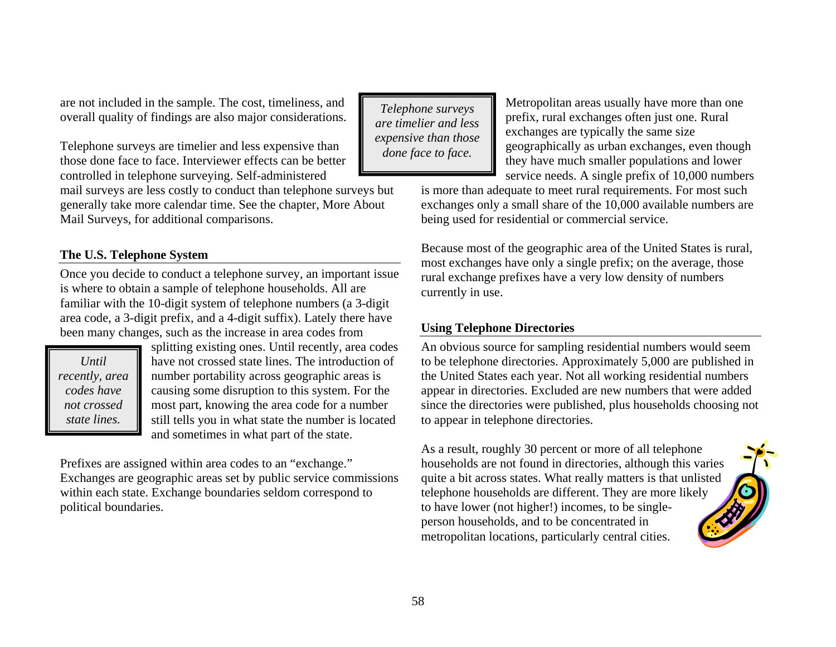are not included in the sample. The cost, timeliness, and overall quality of findings are also major considerations.

Telephone surveys are timelier and less expensive than those done face to face. Interviewer effects can be better controlled in telephone surveying. Self-administered

mail surveys are less costly to conduct than telephone surveys but generally take more calendar time. See the chapter, More About Mail Surveys, for additional comparisons.

#### **The U.S. Telephone System**

Once you decide to conduct a telephone survey, an important issue is where to obtain a sample of telephone households. All are familiar with the 10-digit system of telephone numbers (a 3-digit area code, a 3-digit prefix, and a 4-digit suffix). Lately there have been many changes, such as the increase in area codes from

*Until recently, area codes have not crossed state lines.* 

splitting existing ones. Until recently, area codes have not crossed state lines. The introduction of number portability across geographic areas is causing some disruption to this system. For the most part, knowing the area code for a number still tells you in what state the number is located and sometimes in what part of the state.

Prefixes are assigned within area codes to an "exchange." Exchanges are geographic areas set by public service commissions within each state. Exchange boundaries seldom correspond to political boundaries.

*Telephone surveys are timelier and less expensive than those done face to face.* 

Metropolitan areas usually have more than one prefix, rural exchanges often just one. Rural exchanges are typically the same size geographically as urban exchanges, even though they have much smaller populations and lower service needs. A single prefix of 10,000 numbers

is more than adequate to meet rural requirements. For most such exchanges only a small share of the 10,000 available numbers are being used for residential or commercial service.

Because most of the geographic area of the United States is rural, most exchanges have only a single prefix; on the average, those rural exchange prefixes have a very low density of numbers currently in use.

#### **Using Telephone Directories**

An obvious source for sampling residential numbers would seem to be telephone directories. Approximately 5,000 are published in the United States each year. Not all working residential numbers appear in directories. Excluded are new numbers that were added since the directories were published, plus households choosing not to appear in telephone directories.

As a result, roughly 30 percent or more of all telephone households are not found in directories, although this varies quite a bit across states. What really matters is that unlisted telephone households are different. They are more likely to have lower (not higher!) incomes, to be singleperson households, and to be concentrated in metropolitan locations, particularly central cities.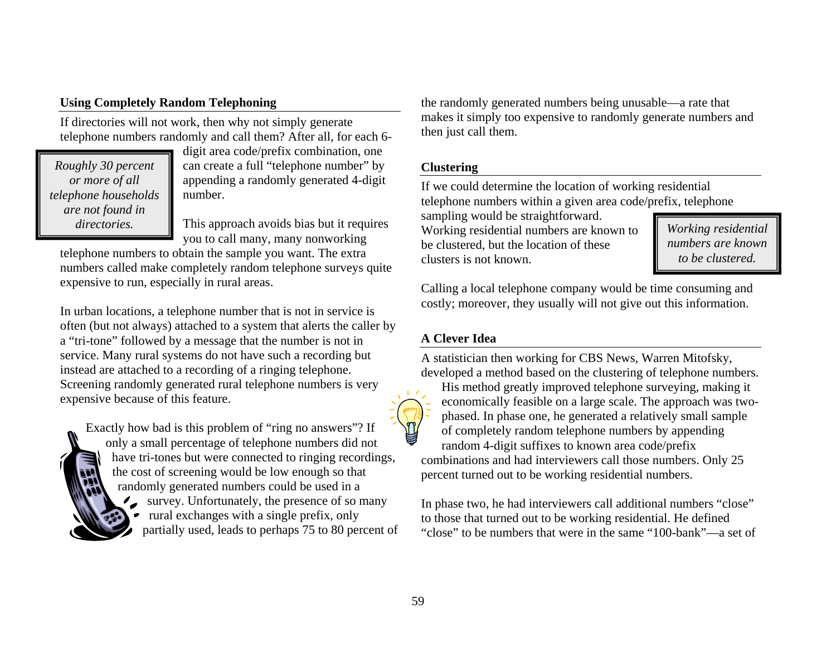#### **Using Completely Random Telephoning**

If directories will not work, then why not sim ply generate telephone numbers randomly and call them? After all, for each 6-

*Roughly 30 percent or more of all telephone households are not found in directories.* 

digit area code/prefix combination, one can create a full "telephone number" by appending a randomly generated 4-digit number.

This approach avoids bias but it requires you to call m any, many nonworking

telephone numbers to obtain the sample you want. The extra numbers called make completely ran dom telephone surveys q uite expensive to run, especially in rural areas.

In urban locations, a telephone number that is not in service is often (but not always) attached to a s ystem that alerts the caller by <sup>a</sup>"tri-tone" followed by a m essage that the number is not in service. Many rural systems do not have such a recording but instead are attached to a recording of a ringing telephone. Screening randomly generated rural telephone numbers is very expensive because of this feature.



Exactly how bad is this problem of "ring no answers"? If only a small percentage of telephone numbers did not have tri-tones but were connected to ringing recordings, the cost of screening would be low enough so that randomly generated numbers could be used in a survey. Unfortunately, the presence of so m any rural exchanges with a single prefix, only partially used, leads to perhaps 75 to 80 percent of the randomly generated numbers being unusable—a rate that m akes it simply too expensive to randomly generate numbers and then just call them.

#### **Clustering**

If we could determine the location of working residential telephone numbers within a given area code/prefix, telephone

sam pling would be straightforward.

Working residential numbers are known to be clustered, but the location of these clusters is not known.

*Working residential numbers are known to be clustered.* 

Calling a local telephone com pany would be tim e consuming and costly; m oreover, they usually will not give out this information.

#### **A Clever Idea**

A statisticia n then working for CBS News, W arren Mitofsky, developed a m ethod based on the clustering of telephone numbers.

His method greatly improved telephone surveying, m aking it economically feasible on a large scale. The approach was twophased. In phase one, he generated a relatively small sa m ple of completely random telephone numbers by appending random 4-digit suffixes to known area code/prefix combinations and had interviewers call those numbers. Only 25 percent turned out to be working residential numbers.

In phase two, he had interviewers call additional numbers "close" to those that turned out to be working residential. He defined "close" to be numbers that were in the same "100-bank"—a set of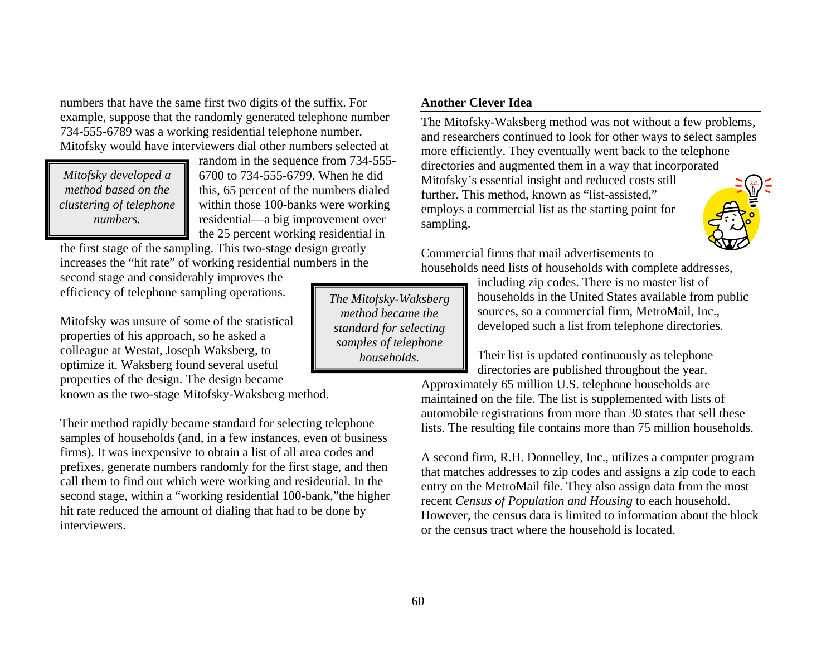numbers that have the sam e first two digits of the suffix. For example, suppose that the randomly generated telephone number 734-555-6789 was a working residential telephone number. Mitofsky would have interviewers dial other numbers selected at

*Mitofsky developed a method based on the clustering of telephone numbers.* 

random in the sequence from 734-555- 6700 to 734-555-6799. When he did this, 65 percent of the numbers dialed within those 100-banks were working residential—a big improvem ent over the 25 per cent working r esidential in

the first stage of the sampling. This two-stage design greatly increases the "hit rate" of working residential numbers in the second stage and considerably improves the

efficiency of telephone sam pling operations.

Mitofsky was unsure of som e of the statistical properties of his approach, so he asked a colleague at Westat, Joseph W aksberg, to optimize it. Waksberg found several useful properties of the design. The design became

known as the two-stage Mitofsky-Waksberg m ethod.

Their m ethod rapidly became standard for selecting telephone samples of households (and, in a few instances, even of business firms). It was inexpensive to obtain a list of all area codes and prefixes, generate numbers randomly for the first stage, and then call them to find out which were working and residential. In the second stage, within a "working residential 100-bank,"the higher hit rate reduced the amount of dialing that had to be done by interviewers.

#### **Another Clever Idea**

The Mitofsky-Waksberg m ethod was not without a few problems, and researchers continued to look for other ways to select samples more efficiently. They eventually went back to the telephone directories and augmented them in a way that incorporated Mitofsky's essential insight and reduced costs still further. This method, known as "list-assisted," employs a commercial list as the starting point for sampling.

Commercial firms that mail advertisements to households need lists of households with complete addresses,

*The Mitofsky-Waksb erg method became the standard for selecting samples of telephone households.* 

including zip codes. There is no m aster list of households in the United States available from public sources, so a commercial firm, MetroMail, Inc., developed such a list from telephone directories.

Their list is updated continuously as telephone directories are published throughout the year.

Approxim ately 65 million U.S. telephone households are m aintained on the file. The list is supplemented with lists of automobile registrations from m ore than 30 states that sell these lists. The resulting file contains more than 75 million households.

A second firm, R.H. Donnelley, Inc., utilizes a computer program that m atches addresses to zip codes and assigns a zip code to each entry on the MetroMail file. They also assign data from the most recent *Census of Population and Housing* to each household. However, the census data is limited to information about the block or the census tract where the household is located.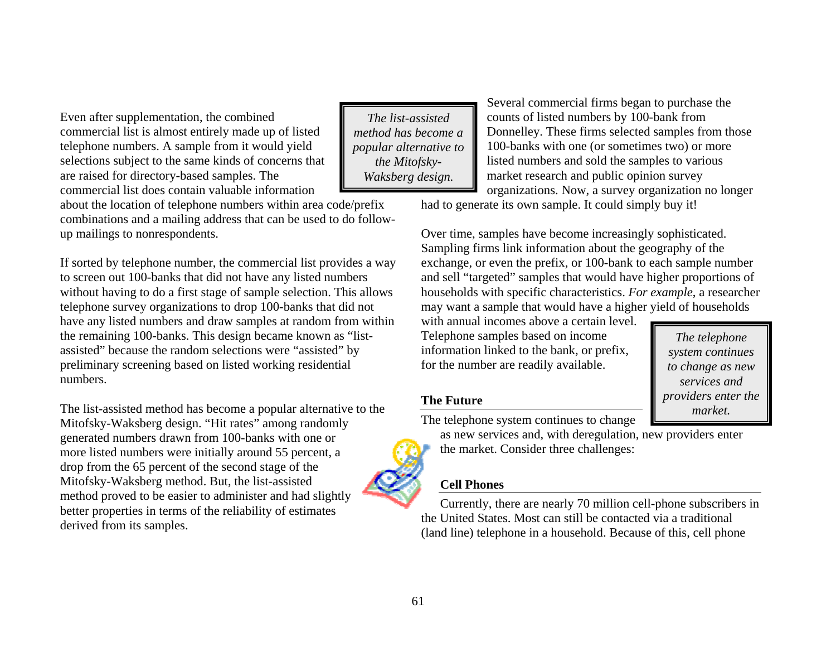Even after supplementation, the combined commercial list is almost entirely made up of listed telephone numbers. A sample from it would yield selections subject to the same kinds of concerns that are raised for directory-based samples. The commercial list does contain valuable information

*The list-assisted method has become a popular alternative to the Mitofsky-Waksberg design.* 

Several commercial firms began to purchase the counts of listed numbers by 100-bank from Donnelley. These firms selected samples from those 100-banks with one (or sometimes two) or more listed numbers and sold the samples to various market research and public opinion survey organizations. Now, a survey organization no longer

> *The telephone system continues to change as new services and providers enter the market.*

had to generate its own sample. It could simply buy it!

Over time, samples have become increasingly sophisticated. Sampling firms link information about the geography of the exchange, or even the prefix, or 100-bank to each sample number and sell "targeted" samples that would have higher proportions of households with specific characteristics. *For example*, a researcher may want a sample that would have a higher yield of households

with annual incomes above a certain level. Telephone samples based on income information linked to the bank, or prefix, for the number are readily available.

#### **The Future**

The telephone system continues to change

as new services and, with deregulation, new providers enter the market. Consider three challenges:

#### **Cell Phones**

Currently, there are nearly 70 million cell-phone subscribers in the United States. Most can still be contacted via a traditional (land line) telephone in a household. Because of this, cell phone

about the location of telephone numbers within area code/prefix combinations and a mailing address that can be used to do followup mailings to nonrespondents.

If sorted by telephone number, the commercial list provides a way to screen out 100-banks that did not have any listed numbers without having to do a first stage of sample selection. This allows telephone survey organizations to drop 100-banks that did not have any listed numbers and draw samples at random from within the remaining 100-banks. This design became known as "listassisted" because the random selections were "assisted" by preliminary screening based on listed working residential numbers.

The list-assisted method has become a popular alternative to the Mitofsky-Waksberg design. "Hit rates" among randomly generated numbers drawn from 100-banks with one or more listed numbers were initially around 55 percent, a drop from the 65 percent of the second stage of the Mitofsky-Waksberg method. But, the list-assisted method proved to be easier to administer and had slightly better properties in terms of the reliability of estimates derived from its samples.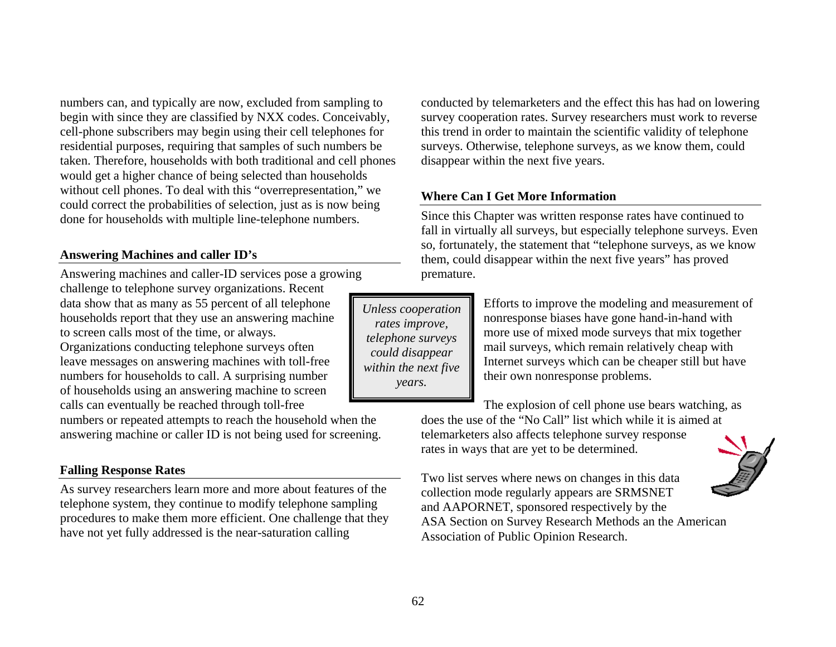numbers can, and typically are now, excluded from sampling to begin with since they are classified by NXX codes. Conceivably, cell-phone subscribers may begin using their cell telephones for residential purposes, requiring that samples of such numbers be taken. Therefore, households with both traditional and cell phones would get a higher chance of being selected than households without cell phones. To deal with this "overrepresentation," we could correct the probabilities of selection, just as is now being done for households with multiple line-telephone numbers.

#### **Answering Machines and caller ID's**

Answering machines and caller-ID services pose a growing challenge to telephone survey organizations. Recent data show that as many as 55 percent of all telephone households report that they use an answering machine to screen calls most of the time, or always. Organizations conducting telephone surveys often leave messages on answering machines with toll-free numbers for households to call. A surprising number of households using an answering machine to screen calls can eventually be reached through toll-free

numbers or repeated attempts to reach the household when the answering machine or caller ID is not being used for screening.

#### **Falling Response Rates**

As survey researchers learn more and more about features of the telephone system, they continue to modify telephone sampling procedures to make them more efficient. One challenge that they have not yet fully addressed is the near-saturation calling

conducted by telemarketers and the effect this has had on lowering survey cooperation rates. Survey researchers must work to reverse this trend in order to maintain the scientific validity of telephone surveys. Otherwise, telephone surveys, as we know them, could disappear within the next five years.

#### **Where Can I Get More Information**

Since this Chapter was written response rates have continued to fall in virtually all surveys, but especially telephone surveys. Even so, fortunately, the statement that "telephone surveys, as we know them, could disappear within the next five years" has proved premature.

> Efforts to improve the modeling and measurement of nonresponse biases have gone hand-in-hand with more use of mixed mode surveys that mix together mail surveys, which remain relatively cheap with Internet surveys which can be cheaper still but have their own nonresponse problems.

The explosion of cell phone use bears watching, as does the use of the "No Call" list which while it is aimed at telemarketers also affects telephone survey response rates in ways that are yet to be determined.

Two list serves where news on changes in this data collection mode regularly appears are SRMSNET and AAPORNET, sponsored respectively by the ASA Section on Survey Research Methods an the American Association of Public Opinion Research.

*Unless cooperation rates improve, telephone surveys could disappear within the next five years.* 

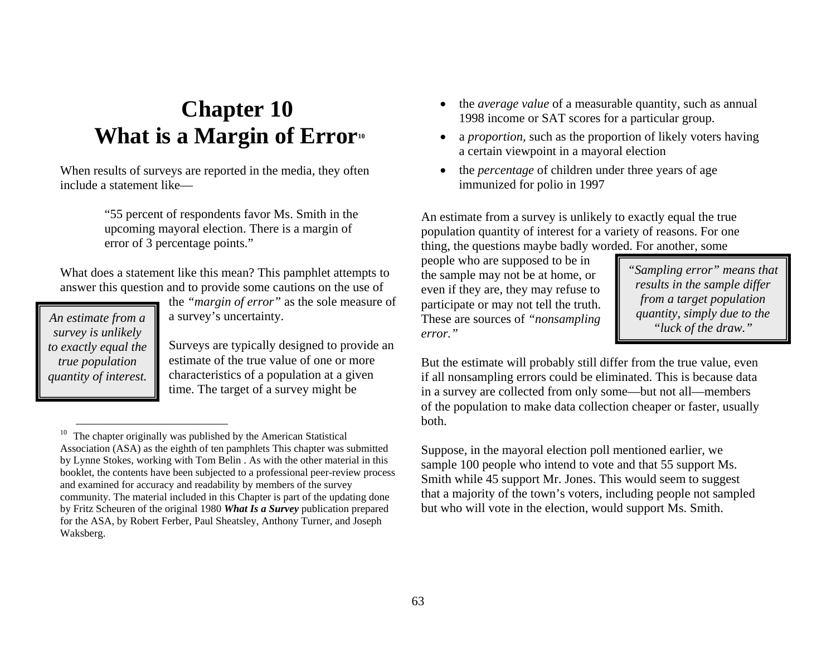### **Chapter 10 What is a Margin of Error**<sup>10</sup>

When results of surveys are reported in the media, they often include a statement like—

> "55 percent of respondents favor Ms. Smith in the upcoming mayoral election. There is a margin of error of 3 percentage points."

What does a statement like this mean? This pamphlet attempts to answer this question and to provide some cautions on the use of

*to exactly equal the true population quantity of interest.* 

the *"margin of error"* as the sole measure of a survey's uncertainty.

Surveys are typically designed to provide an estimate of the true value of one or more characteristics of a population at a given time. The target of a survey might be

- • the *average value* of a measurable quantity, such as annual 1998 income or SAT scores for a particular group.
- $\bullet$  <sup>a</sup>*proportion,* such as the proportion of likely voters having a certain viewpoint in a mayoral election
- • the *percentage* of children under three years of age immunized for polio in 1997

An estimate from a survey is unlikely to exactly equal the true population quantity of interest for a variety of reasons. For one thing, the questions maybe badly worded. For another, some

people who are supposed to be in the sample may not be at home, or even if they are, they may refuse to participate or may not tell the truth. An estimate from a survey's uncertainty.<br> *survey is unlikely* and a survey is unlikely and a survey is unlikely a survey is unlikely and the draw." *error."* 

*"Sampling error" means that results in the sample differ from a target population quantity, simply due to the* 

But the estimate will probably still differ from the true value, even if all nonsampling errors could be eliminated. This is because data in a survey are collected from only some—but not all—members of the population to make data collection cheaper or faster, usually both.

Suppose, in the mayoral election poll mentioned earlier, we sample 100 people who intend to vote and that 55 support Ms. Smith while 45 support Mr. Jones. This would seem to suggest that a majority of the town's voters, including people not sampled but who will vote in the election, would support Ms. Smith.

<sup>10</sup> The chapter originally was published by the American Statistical Association (ASA) as the eighth of ten pamphlets This chapter was submitted by Lynne Stokes, working with Tom Belin . As with the other material in this booklet, the contents have been subjected to a professional peer-review process and examined for accuracy and readability by members of the survey community. The material included in this Chapter is part of the updating done by Fritz Scheuren of the original 1980 *What Is a Survey* publication prepared for the ASA, by Robert Ferber, Paul Sheatsley, Anthony Turner, and Joseph Waksberg.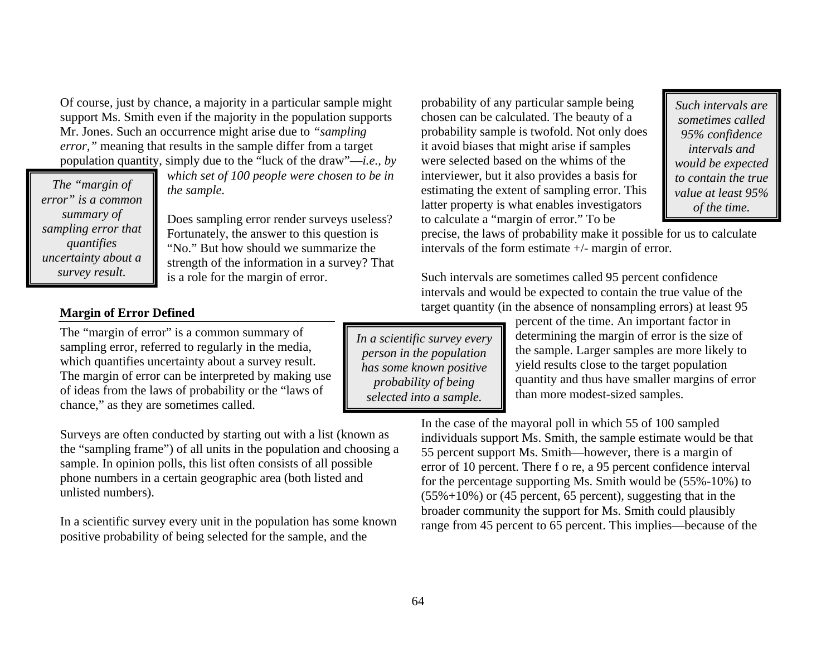Of course, just by chance, a m ajority in a particular sam ple might support Ms. Smith even if the m ajority in the population supports Mr. Jones. Such an occurrence might arise due to *"sampling error,"*  meaning that res ults in the s ample differ from a target population quantity, sim ply due to the "luck of the draw"—*i.e., by* 

*The "margin of error" is a common summary of sampling error that quantifies uncertainty about a surve*

*which set of 100 people were chosen to be in the sample.*

Does sampling error ren der surveys useless? Fortunately, the answer to this question is "No." But how should we summarize the strength of the inform ation in a survey? That *y result.* is a role for the margin of error. Such intervals are som

#### **Margin of Error Defined**

The "margin of error" is a common summary of sampling error, referred to regularly in the m edia, which quantifies uncertainty about a survey result. The margin of error can be interpreted by m aking use of ideas from the laws of probability or the "laws of chance," as they are som etimes called.

Surveys are often conducted by starting out with a list (known as the "sampling fra me") of all units in the population and choosing a sam ple. In opinion polls, this list often consists of all possible phone numbers in a certain geographic area (both listed and unlisted numbers).

In a scientific survey every unit in the population has som e known positive pro bability of being selecte d for the sample, and the

chosen can be calculated. The beauty of a probability s a m ple is twofold. Not only does it avoid biases that might arise if samples were selected based on the whims of the interviewer, but it also provides a basis for estimating the extent of sam pling error. This latter property is what enables investigators to calculate a "margin of error." To b e

probability of any particular sam ple being

*Such intervals are sometimes called95% confidence intervals and would be expected to contain the true value at least 95% of the time.*

precise, the laws of probability m ake it possible for us to calculate intervals of the form estim ate +/- m argin of error.

metimes called 95 percent confidence intervals and would be expected to contain the true value of the target quantity (in the absence of nonsampling errors) at least 95

percent of the time. An important factor in determining the m argin of error is the size of the sam ple. Larger s a m ples are m ore likely to yield results close to the target population quantity and thus have smaller m argins of error than m ore modest-sized sam ples.

In the case of the m ayoral poll in which 55 of 100 sam pled individuals support Ms. Smith, the sam ple estimate would be that 55 percent support Ms. Smith—however, there is a m argin of error of 10 percent. There f o re, a 95 percent confidence interval for the percentage supporting Ms. Smith would be (55%-10%) to  $(55\% + 10\%)$  or (45 percent, 65 percent), suggesting that in the broader community the support for Ms. Smith could plausibly range from 45 percent to 65 percent. This implies—because of the

*In a scientific survey every person in the population has some known positive probability of being selected into a sample.*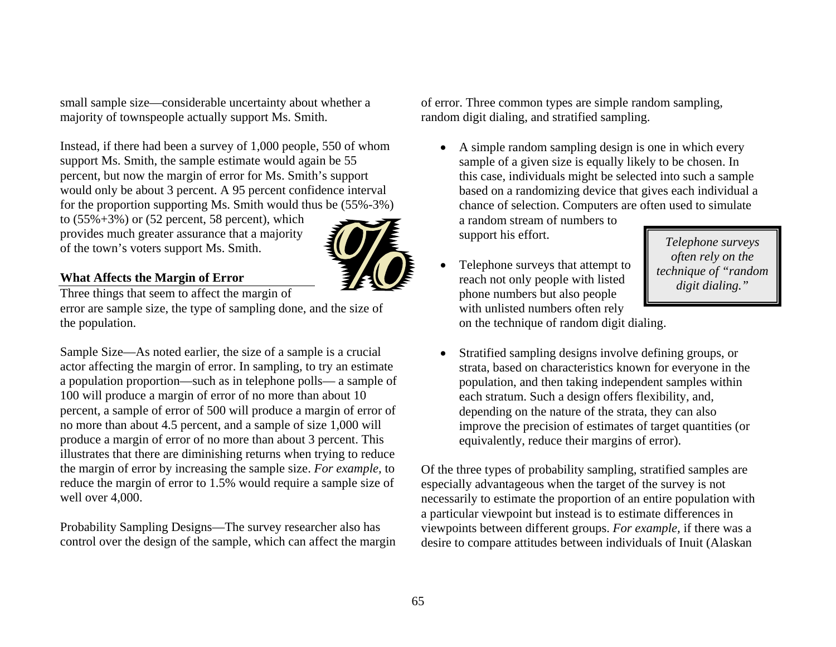small sample size—considerable uncertainty about whether a majority of townspeople actually support Ms. Smith.

Instead, if there had been a survey of 1,000 people, 550 of whom support Ms. Smith, the sample estimate would again be 55 percent, but now the margin of error for Ms. Smith's support would only be about 3 percent. A 95 percent confidence interval for the proportion supporting Ms. Smith would thus be (55%-3%)

to  $(55\% + 3\%)$  or  $(52$  percent, 58 percent), which provides much greater assurance that a majority of the town's voters support Ms. Smith.



#### **What Affects the Margin of Error**

Three things that seem to affect the margin of error are sample size, the type of sampling done, and the size of the population.

Sample Size—As noted earlier, the size of a sample is a crucial actor affecting the margin of error. In sampling, to try an estimate a population proportion—such as in telephone polls— a sample of 100 will produce a margin of error of no more than about 10 percent, a sample of error of 500 will produce a margin of error of no more than about 4.5 percent, and a sample of size 1,000 will produce a margin of error of no more than about 3 percent. This illustrates that there are diminishing returns when trying to reduce the margin of error by increasing the sample size. *For example,* to reduce the margin of error to 1.5% would require a sample size of well over 4,000.

Probability Sampling Designs—The survey researcher also has control over the design of the sample, which can affect the margin of error. Three common types are simple random sampling, random digit dialing, and stratified sampling.

- • A simple random sampling design is one in which every sample of a given size is equally likely to be chosen. In this case, individuals might be selected into such a sample based on a randomizing device that gives each individual a chance of selection. Computers are often used to simulate a random stream of numbers to support his effort.
- • Telephone surveys that attempt to reach not only people with listed phone numbers but also people with unlisted numbers often rely on the technique of random digit dialing.

*Telephone surveys often rely on the technique of "random digit dialing."* 

• Stratified sampling designs involve defining groups, or strata, based on characteristics known for everyone in the population, and then taking independent samples within each stratum. Such a design offers flexibility, and, depending on the nature of the strata, they can also improve the precision of estimates of target quantities (or equivalently, reduce their margins of error).

Of the three types of probability sampling, stratified samples are especially advantageous when the target of the survey is not necessarily to estimate the proportion of an entire population with a particular viewpoint but instead is to estimate differences in viewpoints between different groups. *For example,* if there was a desire to compare attitudes between individuals of Inuit (Alaskan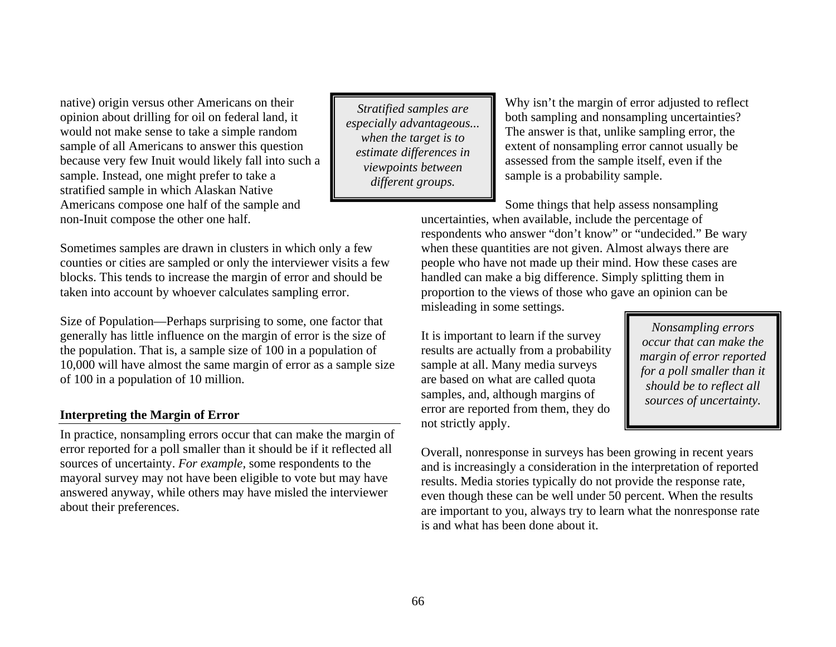native) origin versus other Americans on their opinion about drilling for oil on federal land, it would not make sense to take a simple random sample of all Americans to answer this question because very few Inuit would likely fall into such a sample. Instead, one might prefer to take a stratified sample in which Alaskan Native Americans compose one half of the sample and non-Inuit compose the other one half.

*Stratified samples are especially advantageous... when the target is to estimate differences in viewpoints between different groups.* 

Why isn't the margin of error adjusted to reflect both sampling and nonsampling uncertainties? The answer is that, unlike sampling error, the extent of nonsampling error cannot usually be assessed from the sample itself, even if the sample is a probability sample.

Some things that help assess nonsampling uncertainties, when available, include the percentage of respondents who answer "don't know" or "undecided." Be wary when these quantities are not given. Almost always there are people who have not made up their mind. How these cases are handled can make a big difference. Simply splitting them in proportion to the views of those who gave an opinion can be misleading in some settings.

It is important to learn if the survey results are actually from a probability sample at all. Many media surveys are based on what are called quota samples, and, although margins of error are reported from them, they do not strictly apply.

*Nonsampling errors occur that can make the margin of error reported for a poll smaller than it should be to reflect all sources of uncertainty.* 

Overall, nonresponse in surveys has been growing in recent years and is increasingly a consideration in the interpretation of reported results. Media stories typically do not provide the response rate, even though these can be well under 50 percent. When the results are important to you, always try to learn what the nonresponse rate is and what has been done about it.

Sometimes samples are drawn in clusters in which only a few counties or cities are sampled or only the interviewer visits a few blocks. This tends to increase the margin of error and should be taken into account by whoever calculates sampling error.

Size of Population—Perhaps surprising to some, one factor that generally has little influence on the margin of error is the size of the population. That is, a sample size of 100 in a population of 10,000 will have almost the same margin of error as a sample size of 100 in a population of 10 million.

#### **Interpreting the Margin of Error**

In practice, nonsampling errors occur that can make the margin of error reported for a poll smaller than it should be if it reflected all sources of uncertainty. *For example,* some respondents to the mayoral survey may not have been eligible to vote but may have answered anyway, while others may have misled the interviewer about their preferences.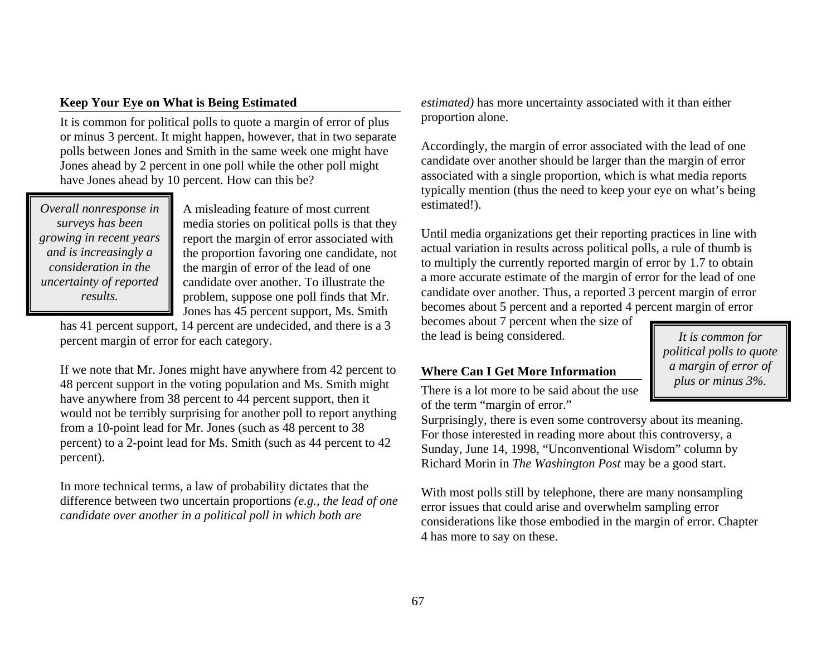#### **Keep Your Eye on What is Being Estimated**

It is common for political polls to quote a margin of error of plus or minus 3 percent. It might happen, however, that in two separate polls between Jones and Smith in the same week one might have Jones ahead by 2 percent in one poll while the other poll might have Jones ahead by 10 percent. How can this be?

*surveys has been growing in recent years and is increasingly a consideration in the uncertainty of reported results.* 

*Overall nonresponse in* A misleading feature of most current estimated!). media stories on political polls is that they report the margin of error associated with the proportion favoring one candidate, not the margin of error of the lead of one candidate over another. To illustrate the problem, suppose one poll finds that Mr. Jones has 45 percent support, Ms. Smith

has 41 percent support, 14 percent are undecided, and there is a 3 percent margin of error for each category.

If we note that Mr. Jones might have anywhere from 42 percent to 48 percent support in the voting population and Ms. Smith might have anywhere from 38 percent to 44 percent support, then it would not be terribly surprising for another poll to report anything from a 10-point lead for Mr. Jones (such as 48 percent to 38 percent) to a 2-point lead for Ms. Smith (such as 44 percent to 42 percent).

In more technical terms, a law of probability dictates that the difference between two uncertain proportions *(e.g., the lead of one candidate over another in a political poll in which both are* 

*estimated)* has more uncertainty associated with it than either proportion alone.

Accordingly, the margin of error associated with the lead of one candidate over another should be larger than the margin of error associated with a single proportion, which is what media reports typically mention (thus the need to keep your eye on what's being

Until media organizations get their reporting practices in line with actual variation in results across political polls, a rule of thumb is to multiply the currently reported margin of error by 1.7 to obtain a more accurate estimate of the margin of error for the lead of one candidate over another. Thus, a reported 3 percent margin of error becomes about 5 percent and a reported 4 percent margin of error

becomes about 7 percent when the size of the lead is being considered.

#### **Where Can I Get More Information**

There is a lot more to be said about the use of the term "margin of error."

Surprisingly, there is even some controversy about its meaning. For those interested in reading more about this controversy, a Sunday, June 14, 1998, "Unconventional Wisdom" column by Richard Morin in *The Washington Post* may be a good start.

With most polls still by telephone, there are many nonsampling error issues that could arise and overwhelm sampling error considerations like those embodied in the margin of error. Chapter 4 has more to say on these.

*It is common for political polls to quote a margin of error of plus or minus 3%.*